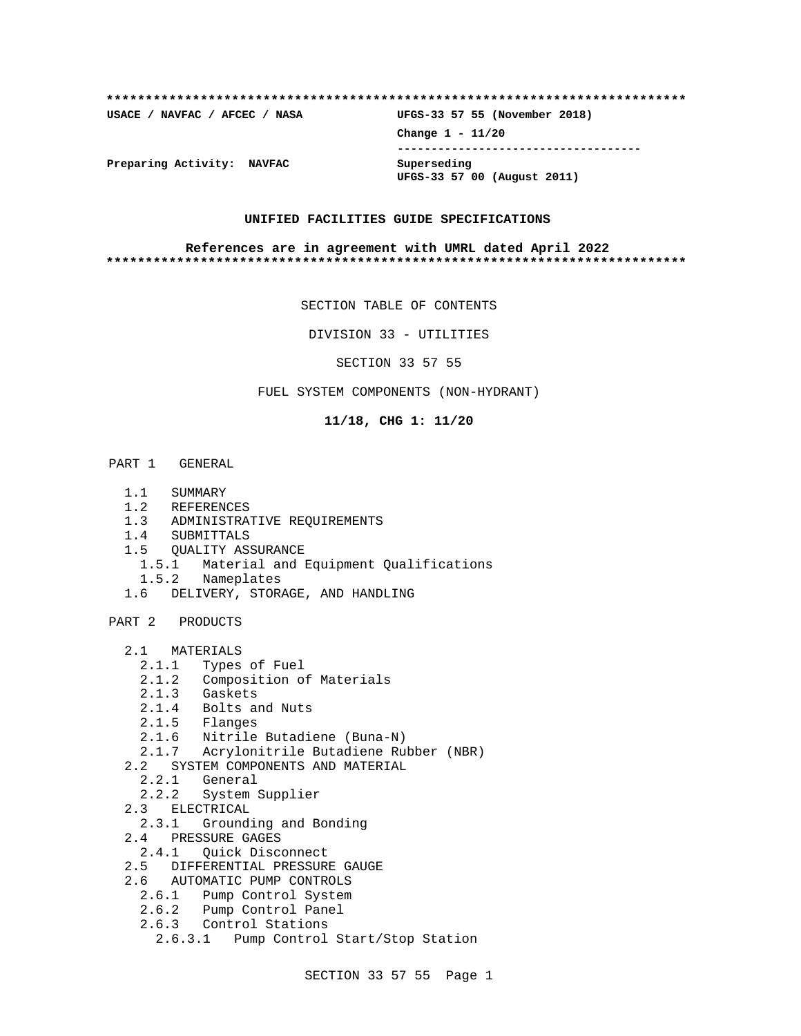# **\*\*\*\*\*\*\*\*\*\*\*\*\*\*\*\*\*\*\*\*\*\*\*\*\*\*\*\*\*\*\*\*\*\*\*\*\*\*\*\*\*\*\*\*\*\*\*\*\*\*\*\*\*\*\*\*\*\*\*\*\*\*\*\*\*\*\*\*\*\*\*\*\*\* USACE / NAVFAC / AFCEC / NASA UFGS-33 57 55 (November 2018) Change 1 - 11/20 ------------------------------------ Preparing Activity: NAVFAC Superseding UFGS-33 57 00 (August 2011)**

# **UNIFIED FACILITIES GUIDE SPECIFICATIONS**

#### **References are in agreement with UMRL dated April 2022 \*\*\*\*\*\*\*\*\*\*\*\*\*\*\*\*\*\*\*\*\*\*\*\*\*\*\*\*\*\*\*\*\*\*\*\*\*\*\*\*\*\*\*\*\*\*\*\*\*\*\*\*\*\*\*\*\*\*\*\*\*\*\*\*\*\*\*\*\*\*\*\*\*\***

SECTION TABLE OF CONTENTS

DIVISION 33 - UTILITIES

SECTION 33 57 55

FUEL SYSTEM COMPONENTS (NON-HYDRANT)

**11/18, CHG 1: 11/20**

#### PART 1 GENERAL

- 1.1 SUMMARY
- 1.2 REFERENCES
- 1.3 ADMINISTRATIVE REQUIREMENTS
- 1.4 SUBMITTALS
- 1.5 QUALITY ASSURANCE
- 1.5.1 Material and Equipment Qualifications
- 1.5.2 Nameplates
- 1.6 DELIVERY, STORAGE, AND HANDLING

PART 2 PRODUCTS

- 2.1 MATERIALS
	- 2.1.1 Types of Fuel
	- 2.1.2 Composition of Materials
	- 2.1.3 Gaskets
	- 2.1.4 Bolts and Nuts
	- 2.1.5 Flanges
	- 2.1.6 Nitrile Butadiene (Buna-N)
	- 2.1.7 Acrylonitrile Butadiene Rubber (NBR)
- 2.2 SYSTEM COMPONENTS AND MATERIAL
- 2.2.1 General
- 2.2.2 System Supplier
	- 2.3 ELECTRICAL
	- 2.3.1 Grounding and Bonding
	- 2.4 PRESSURE GAGES
		- 2.4.1 Quick Disconnect
	- 2.5 DIFFERENTIAL PRESSURE GAUGE
	- 2.6 AUTOMATIC PUMP CONTROLS
	- 2.6.1 Pump Control System
	- 2.6.2 Pump Control Panel
	- 2.6.3 Control Stations
		- 2.6.3.1 Pump Control Start/Stop Station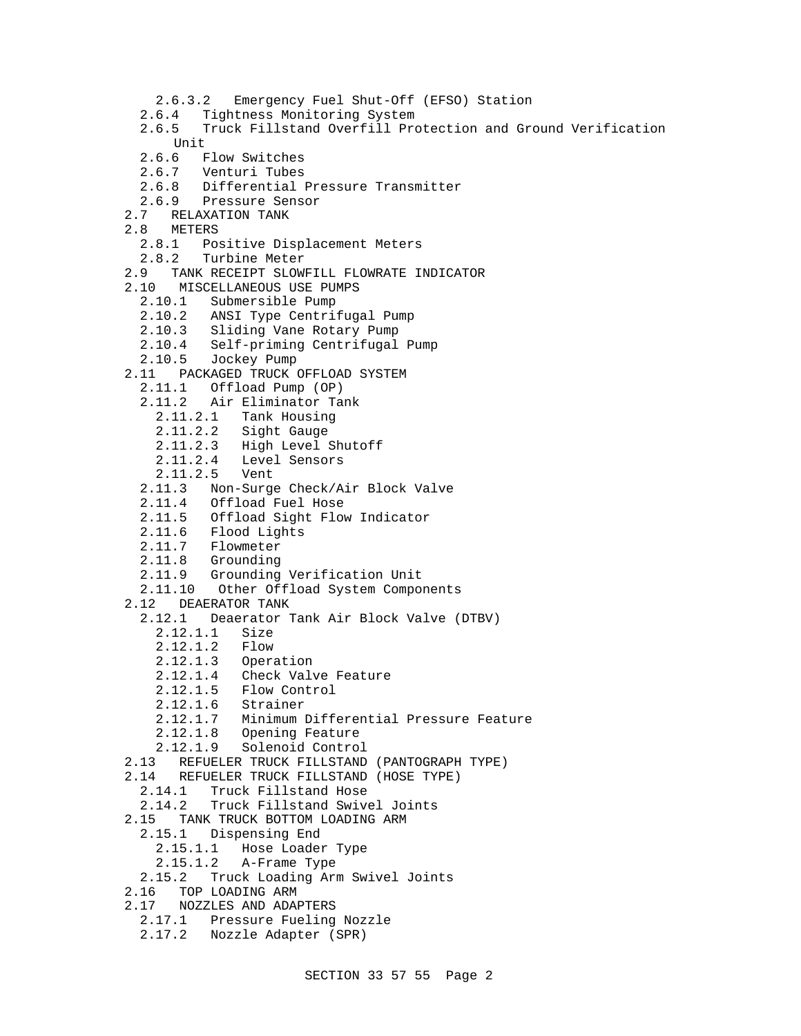- 2.6.3.2 Emergency Fuel Shut-Off (EFSO) Station
- 2.6.4 Tightness Monitoring System<br>2.6.5 Truck Fillstand Overfill Pro
- 2.6.5 Truck Fillstand Overfill Protection and Ground Verification Unit<br>2.6.6 E
- Flow Switches
- 2.6.7 Venturi Tubes
- 2.6.8 Differential Pressure Transmitter
- 2.6.9 Pressure Sensor<br>2.7 RELAXATION TANK
	- 2.7 RELAXATION TANK
- 2.8 METERS
	- 2.8.1 Positive Displacement Meters
	- 2.8.2 Turbine Meter
- 2.9 TANK RECEIPT SLOWFILL FLOWRATE INDICATOR
- 2.10 MISCELLANEOUS USE PUMPS
	- 2.10.1 Submersible Pump
	- 2.10.2 ANSI Type Centrifugal Pump
	- 2.10.3 Sliding Vane Rotary Pump
	- 2.10.4 Self-priming Centrifugal Pump
	- 2.10.5 Jockey Pump
- 2.11 PACKAGED TRUCK OFFLOAD SYSTEM
	- 2.11.1 Offload Pump (OP)
	- 2.11.2 Air Eliminator Tank
		- 2.11.2.1 Tank Housing
		- 2.11.2.2 Sight Gauge
		- 2.11.2.3 High Level Shutoff
		- 2.11.2.4 Level Sensors
		- 2.11.2.5 Vent
	- 2.11.3 Non-Surge Check/Air Block Valve
	- 2.11.4 Offload Fuel Hose
	- 2.11.5 Offload Sight Flow Indicator
	- 2.11.6 Flood Lights
	- 2.11.7 Flowmeter
	- 2.11.8 Grounding
	- 2.11.9 Grounding Verification Unit
	- 2.11.10 Other Offload System Components
- 2.12 DEAERATOR TANK
- 2.12.1 Deaerator Tank Air Block Valve (DTBV)
	- 2.12.1.1 Size
	- 2.12.1.2 Flow
	- 2.12.1.3 Operation
	- 2.12.1.4 Check Valve Feature
- 2.12.1.5 Flow Control
- 2.12.1.6 Strainer
	- 2.12.1.7 Minimum Differential Pressure Feature
	- 2.12.1.8 Opening Feature
	- 2.12.1.9 Solenoid Control
	- 2.13 REFUELER TRUCK FILLSTAND (PANTOGRAPH TYPE)
	- 2.14 REFUELER TRUCK FILLSTAND (HOSE TYPE)
	- 2.14.1 Truck Fillstand Hose
	- 2.14.2 Truck Fillstand Swivel Joints
	- 2.15 TANK TRUCK BOTTOM LOADING ARM
	- 2.15.1 Dispensing End
		- 2.15.1.1 Hose Loader Type
		- 2.15.1.2 A-Frame Type
	- 2.15.2 Truck Loading Arm Swivel Joints
	- 2.16 TOP LOADING ARM
	- 2.17 NOZZLES AND ADAPTERS
	- 2.17.1 Pressure Fueling Nozzle
	- 2.17.2 Nozzle Adapter (SPR)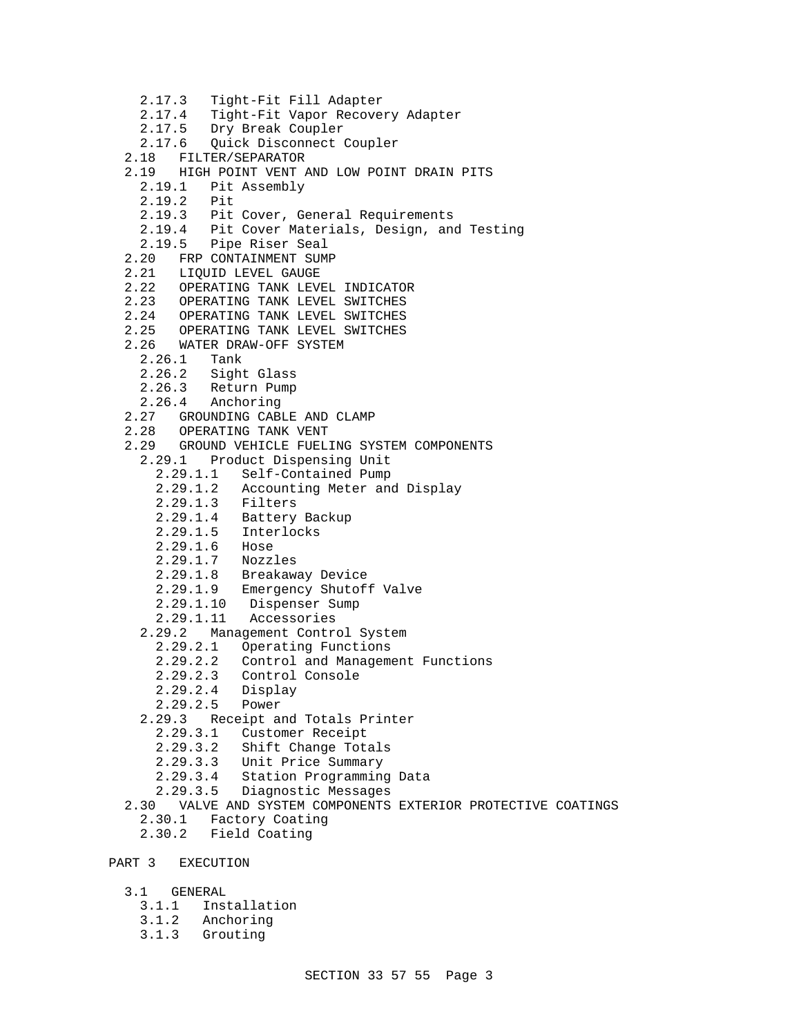```
 2.17.3 Tight-Fit Fill Adapter
     2.17.4 Tight-Fit Vapor Recovery Adapter
     2.17.5 Dry Break Coupler
     2.17.6 Quick Disconnect Coupler
   2.18 FILTER/SEPARATOR
   2.19 HIGH POINT VENT AND LOW POINT DRAIN PITS
     2.19.1 Pit Assembly
     2.19.2 Pit
     2.19.3 Pit Cover, General Requirements
     2.19.4 Pit Cover Materials, Design, and Testing
     2.19.5 Pipe Riser Seal
   2.20 FRP CONTAINMENT SUMP
   2.21 LIQUID LEVEL GAUGE
  2.22 OPERATING TANK LEVEL INDICATOR<br>2.23 OPERATING TANK LEVEL SWITCHES
        OPERATING TANK LEVEL SWITCHES
   2.24 OPERATING TANK LEVEL SWITCHES
   2.25 OPERATING TANK LEVEL SWITCHES
   2.26 WATER DRAW-OFF SYSTEM
     2.26.1 Tank
    2.26.2 Sight Glass<br>2.26.3 Return Pump
           Return Pump
     2.26.4 Anchoring
   2.27 GROUNDING CABLE AND CLAMP
   2.28 OPERATING TANK VENT
   2.29 GROUND VEHICLE FUELING SYSTEM COMPONENTS
     2.29.1 Product Dispensing Unit
       2.29.1.1 Self-Contained Pump
       2.29.1.2 Accounting Meter and Display
       2.29.1.3 Filters
 2.29.1.4 Battery Backup
 2.29.1.5 Interlocks
       2.29.1.6 Hose
       2.29.1.7 Nozzles
       2.29.1.8 Breakaway Device
       2.29.1.9 Emergency Shutoff Valve
       2.29.1.10 Dispenser Sump
       2.29.1.11 Accessories
     2.29.2 Management Control System
       2.29.2.1 Operating Functions
       2.29.2.2 Control and Management Functions
       2.29.2.3 Control Console
       2.29.2.4 Display
       2.29.2.5 Power
     2.29.3 Receipt and Totals Printer
       2.29.3.1 Customer Receipt
       2.29.3.2 Shift Change Totals
       2.29.3.3 Unit Price Summary
       2.29.3.4 Station Programming Data
       2.29.3.5 Diagnostic Messages
  2.30 VALVE AND SYSTEM COMPONENTS EXTERIOR PROTECTIVE COATINGS<br>2.30.1 Factory Coating
             Factory Coating
     2.30.2 Field Coating
PART 3 EXECUTION
   3.1 GENERAL
```
- 3.1.1 Installation
- 3.1.2 Anchoring
- 3.1.3 Grouting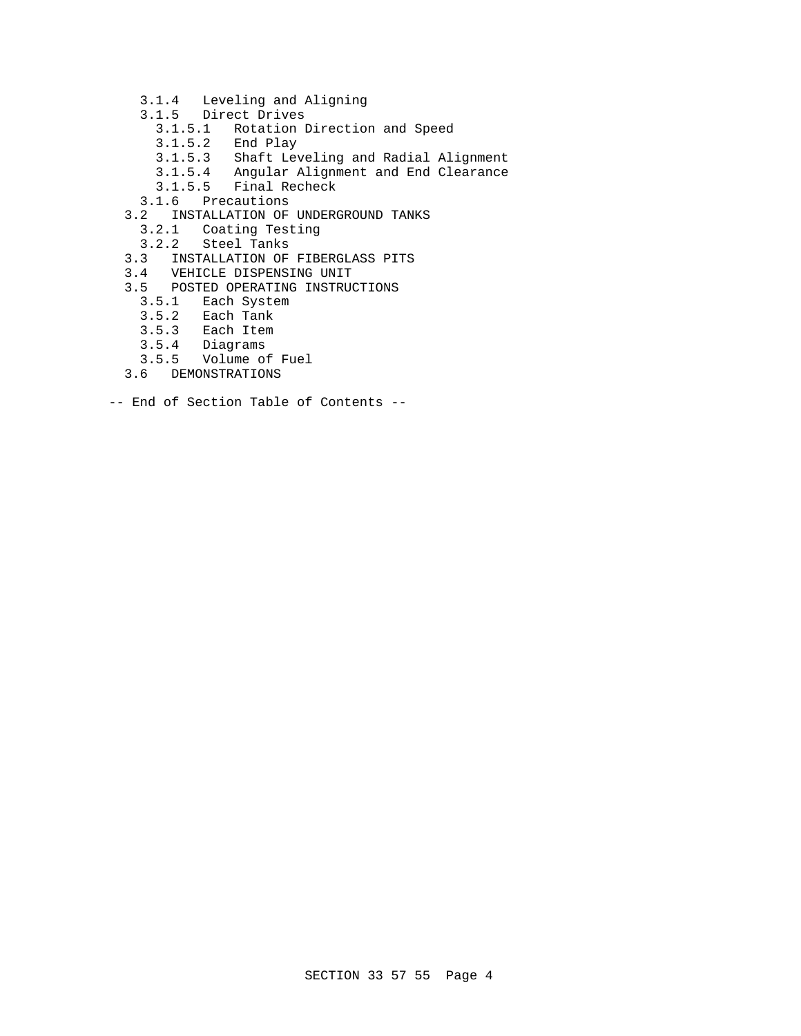- 3.1.4 Leveling and Aligning
- 3.1.5 Direct Drives
	- 3.1.5.1 Rotation Direction and Speed
	- 3.1.5.2 End Play
		- Shaft Leveling and Radial Alignment
- 3.1.5.4 Angular Alignment and End Clearance
- 3.1.5.5 Final Recheck
	- 3.1.6 Precautions
	- 3.2 INSTALLATION OF UNDERGROUND TANKS
		- 3.2.1 Coating Testing
		- 3.2.2 Steel Tanks
	- 3.3 INSTALLATION OF FIBERGLASS PITS
	- 3.4 VEHICLE DISPENSING UNIT
	- 3.5 POSTED OPERATING INSTRUCTIONS
		- 3.5.1 Each System<br>3.5.2 Each Tank
		- 3.5.2 Each Tank
		- 3.5.3 Each Item
		- 3.5.4 Diagrams
		- 3.5.5 Volume of Fuel
	- 3.6 DEMONSTRATIONS
- -- End of Section Table of Contents --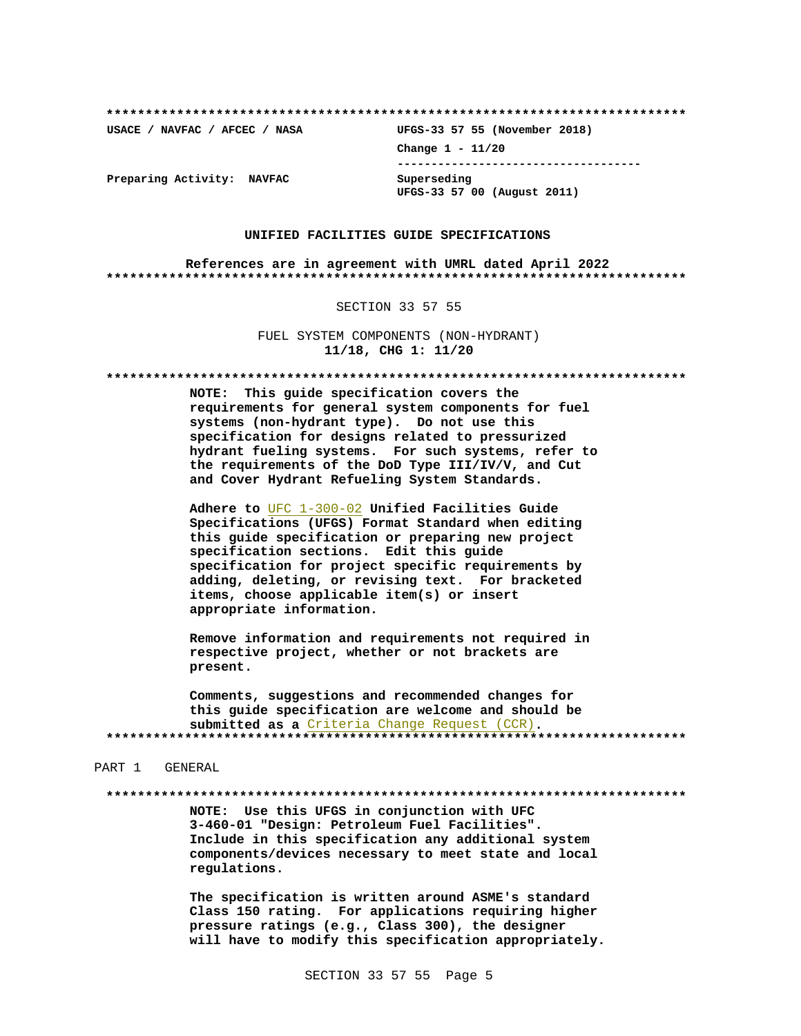USACE / NAVFAC / AFCEC / NASA

UFGS-33 57 55 (November 2018) Change  $1 - 11/20$ ------------------------------------Superseding UFGS-33 57 00 (August 2011)

Preparing Activity: NAVFAC

#### UNIFIED FACILITIES GUIDE SPECIFICATIONS

References are in agreement with UMRL dated April 2022 

#### SECTION 33 57 55

FUEL SYSTEM COMPONENTS (NON-HYDRANT) 11/18, CHG 1: 11/20

NOTE: This guide specification covers the requirements for general system components for fuel systems (non-hydrant type). Do not use this specification for designs related to pressurized hydrant fueling systems. For such systems, refer to the requirements of the DoD Type III/IV/V, and Cut and Cover Hydrant Refueling System Standards.

Adhere to UFC 1-300-02 Unified Facilities Guide Specifications (UFGS) Format Standard when editing this guide specification or preparing new project specification sections. Edit this guide specification for project specific requirements by adding, deleting, or revising text. For bracketed items, choose applicable item(s) or insert appropriate information.

Remove information and requirements not required in respective project, whether or not brackets are present.

Comments, suggestions and recommended changes for this guide specification are welcome and should be submitted as a Criteria Change Request (CCR). 

#### PART 1 GENERAL

NOTE: Use this UFGS in conjunction with UFC 3-460-01 "Design: Petroleum Fuel Facilities". Include in this specification any additional system components/devices necessary to meet state and local regulations.

The specification is written around ASME's standard Class 150 rating. For applications requiring higher pressure ratings (e.g., Class 300), the designer will have to modify this specification appropriately.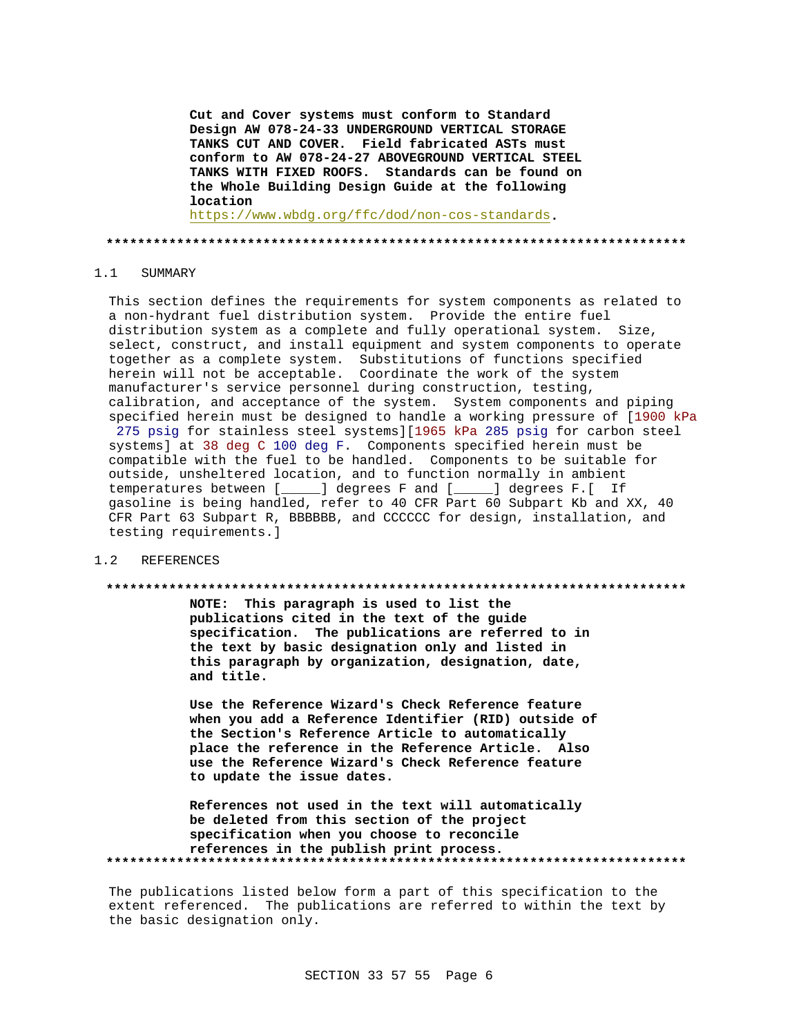**Cut and Cover systems must conform to Standard Design AW 078-24-33 UNDERGROUND VERTICAL STORAGE TANKS CUT AND COVER. Field fabricated ASTs must conform to AW 078-24-27 ABOVEGROUND VERTICAL STEEL TANKS WITH FIXED ROOFS. Standards can be found on the Whole Building Design Guide at the following location** 

https://www.wbdg.org/ffc/dod/non-cos-standards**.**

#### **\*\*\*\*\*\*\*\*\*\*\*\*\*\*\*\*\*\*\*\*\*\*\*\*\*\*\*\*\*\*\*\*\*\*\*\*\*\*\*\*\*\*\*\*\*\*\*\*\*\*\*\*\*\*\*\*\*\*\*\*\*\*\*\*\*\*\*\*\*\*\*\*\*\***

#### 1.1 SUMMARY

This section defines the requirements for system components as related to a non-hydrant fuel distribution system. Provide the entire fuel distribution system as a complete and fully operational system. Size, select, construct, and install equipment and system components to operate together as a complete system. Substitutions of functions specified herein will not be acceptable. Coordinate the work of the system manufacturer's service personnel during construction, testing, calibration, and acceptance of the system. System components and piping specified herein must be designed to handle a working pressure of [1900 kPa 275 psig for stainless steel systems][1965 kPa 285 psig for carbon steel systems] at 38 deg C 100 deg F. Components specified herein must be compatible with the fuel to be handled. Components to be suitable for outside, unsheltered location, and to function normally in ambient temperatures between [\_\_\_\_\_] degrees F and [\_\_\_\_\_] degrees F.[ If gasoline is being handled, refer to 40 CFR Part 60 Subpart Kb and XX, 40 CFR Part 63 Subpart R, BBBBBB, and CCCCCC for design, installation, and testing requirements.]

#### 1.2 REFERENCES

#### **\*\*\*\*\*\*\*\*\*\*\*\*\*\*\*\*\*\*\*\*\*\*\*\*\*\*\*\*\*\*\*\*\*\*\*\*\*\*\*\*\*\*\*\*\*\*\*\*\*\*\*\*\*\*\*\*\*\*\*\*\*\*\*\*\*\*\*\*\*\*\*\*\*\***

**NOTE: This paragraph is used to list the publications cited in the text of the guide specification. The publications are referred to in the text by basic designation only and listed in this paragraph by organization, designation, date, and title.**

**Use the Reference Wizard's Check Reference feature when you add a Reference Identifier (RID) outside of the Section's Reference Article to automatically place the reference in the Reference Article. Also use the Reference Wizard's Check Reference feature to update the issue dates.**

**References not used in the text will automatically be deleted from this section of the project specification when you choose to reconcile references in the publish print process. \*\*\*\*\*\*\*\*\*\*\*\*\*\*\*\*\*\*\*\*\*\*\*\*\*\*\*\*\*\*\*\*\*\*\*\*\*\*\*\*\*\*\*\*\*\*\*\*\*\*\*\*\*\*\*\*\*\*\*\*\*\*\*\*\*\*\*\*\*\*\*\*\*\***

The publications listed below form a part of this specification to the extent referenced. The publications are referred to within the text by the basic designation only.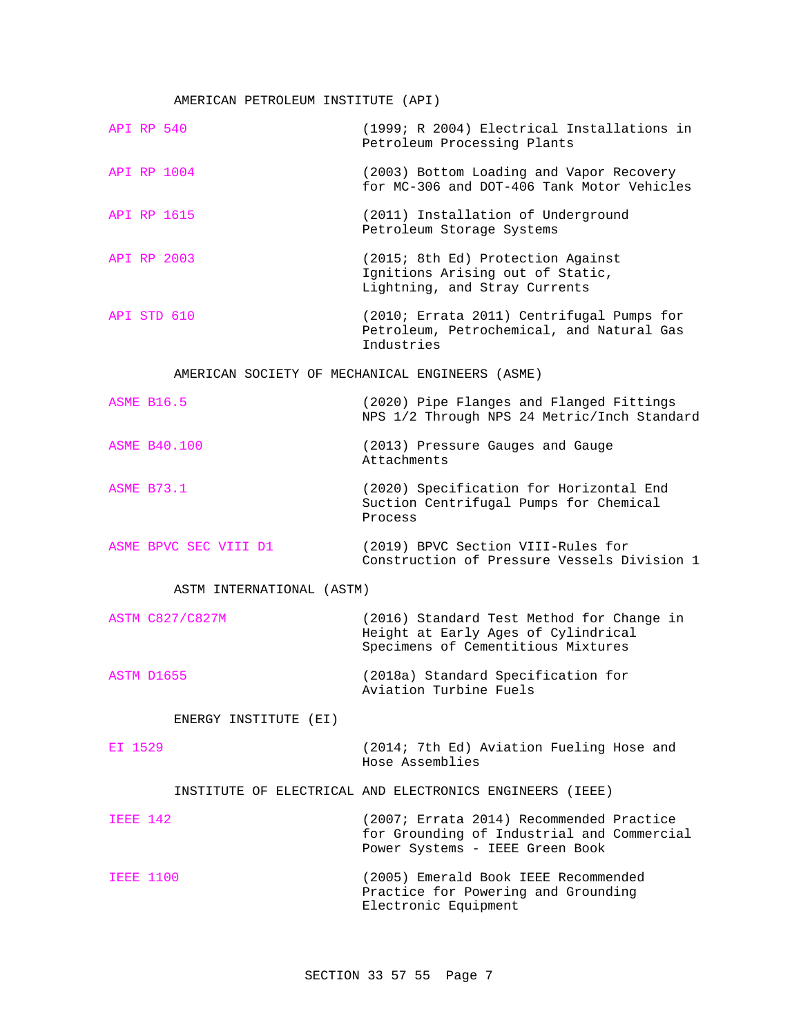# AMERICAN PETROLEUM INSTITUTE (API)

| API RP 540                                      | (1999; R 2004) Electrical Installations in<br>Petroleum Processing Plants                                                 |  |
|-------------------------------------------------|---------------------------------------------------------------------------------------------------------------------------|--|
| <b>API RP 1004</b>                              | (2003) Bottom Loading and Vapor Recovery<br>for MC-306 and DOT-406 Tank Motor Vehicles                                    |  |
| API RP 1615                                     | (2011) Installation of Underground<br>Petroleum Storage Systems                                                           |  |
| API RP 2003                                     | (2015; 8th Ed) Protection Against<br>Ignitions Arising out of Static,<br>Lightning, and Stray Currents                    |  |
| API STD 610                                     | (2010; Errata 2011) Centrifugal Pumps for<br>Petroleum, Petrochemical, and Natural Gas<br>Industries                      |  |
| AMERICAN SOCIETY OF MECHANICAL ENGINEERS (ASME) |                                                                                                                           |  |
| <b>ASME B16.5</b>                               | (2020) Pipe Flanges and Flanged Fittings<br>NPS 1/2 Through NPS 24 Metric/Inch Standard                                   |  |
| <b>ASME B40.100</b>                             | (2013) Pressure Gauges and Gauge<br>Attachments                                                                           |  |
| <b>ASME B73.1</b>                               | (2020) Specification for Horizontal End<br>Suction Centrifugal Pumps for Chemical<br>Process                              |  |
| ASME BPVC SEC VIII D1                           | (2019) BPVC Section VIII-Rules for<br>Construction of Pressure Vessels Division 1                                         |  |
| ASTM INTERNATIONAL (ASTM)                       |                                                                                                                           |  |
| <b>ASTM C827/C827M</b>                          | (2016) Standard Test Method for Change in<br>Height at Early Ages of Cylindrical<br>Specimens of Cementitious Mixtures    |  |
| ASTM D1655                                      | (2018a) Standard Specification for<br>Aviation Turbine Fuels                                                              |  |
| ENERGY INSTITUTE (EI)                           |                                                                                                                           |  |
| EI 1529                                         | (2014; 7th Ed) Aviation Fueling Hose and<br>Hose Assemblies                                                               |  |
|                                                 | INSTITUTE OF ELECTRICAL AND ELECTRONICS ENGINEERS (IEEE)                                                                  |  |
| <b>IEEE 142</b>                                 | (2007; Errata 2014) Recommended Practice<br>for Grounding of Industrial and Commercial<br>Power Systems - IEEE Green Book |  |
| <b>IEEE 1100</b>                                | (2005) Emerald Book IEEE Recommended<br>Practice for Powering and Grounding<br>Electronic Equipment                       |  |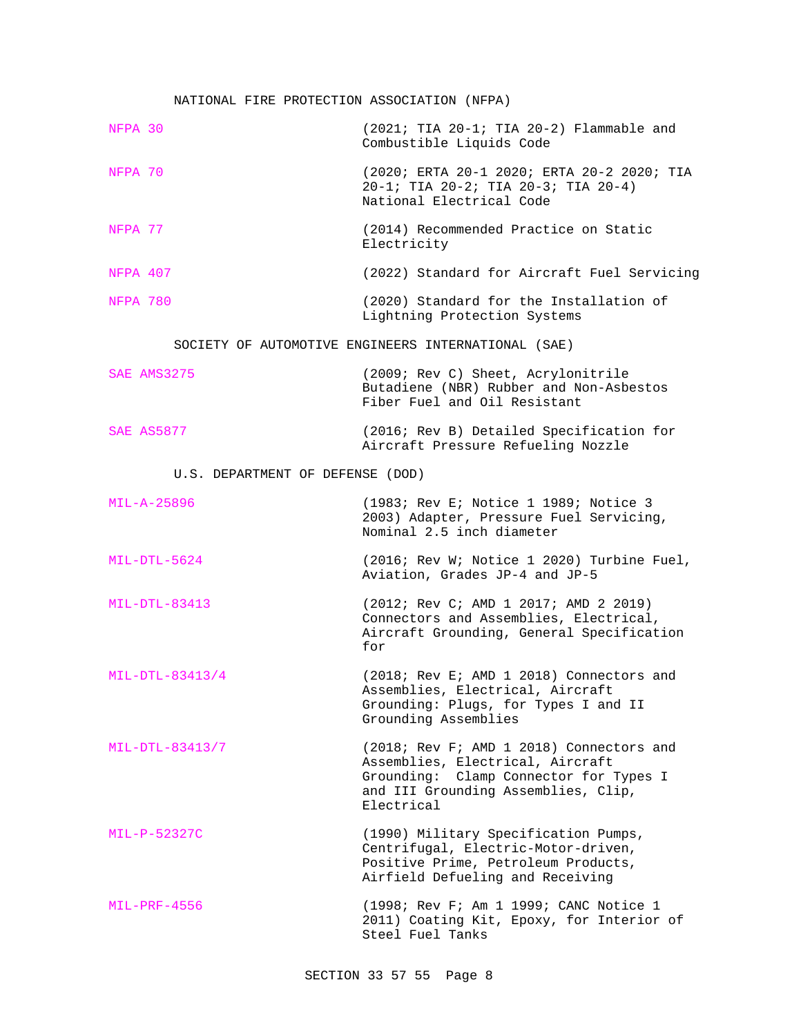# NATIONAL FIRE PROTECTION ASSOCIATION (NFPA)

| NFPA 30                          | $(2021; TIA 20-1; TIA 20-2)$ Flammable and<br>Combustible Liquids Code                                                                                                      |  |
|----------------------------------|-----------------------------------------------------------------------------------------------------------------------------------------------------------------------------|--|
| NFPA 70                          | (2020; ERTA 20-1 2020; ERTA 20-2 2020; TIA<br>20-1; TIA 20-2; TIA 20-3; TIA 20-4)<br>National Electrical Code                                                               |  |
| NFPA 77                          | (2014) Recommended Practice on Static<br>Electricity                                                                                                                        |  |
| NFPA 407                         | (2022) Standard for Aircraft Fuel Servicing                                                                                                                                 |  |
| NFPA 780                         | (2020) Standard for the Installation of<br>Lightning Protection Systems                                                                                                     |  |
|                                  | SOCIETY OF AUTOMOTIVE ENGINEERS INTERNATIONAL (SAE)                                                                                                                         |  |
| <b>SAE AMS3275</b>               | (2009; Rev C) Sheet, Acrylonitrile<br>Butadiene (NBR) Rubber and Non-Asbestos<br>Fiber Fuel and Oil Resistant                                                               |  |
| <b>SAE AS5877</b>                | (2016; Rev B) Detailed Specification for<br>Aircraft Pressure Refueling Nozzle                                                                                              |  |
| U.S. DEPARTMENT OF DEFENSE (DOD) |                                                                                                                                                                             |  |
| MIL-A-25896                      | (1983; Rev E; Notice 1 1989; Notice 3<br>2003) Adapter, Pressure Fuel Servicing,<br>Nominal 2.5 inch diameter                                                               |  |
| MIL-DTL-5624                     | (2016; Rev W; Notice 1 2020) Turbine Fuel,<br>Aviation, Grades JP-4 and JP-5                                                                                                |  |
| $MIL-DTL-83413$                  | (2012; Rev C; AMD 1 2017; AMD 2 2019)<br>Connectors and Assemblies, Electrical,<br>Aircraft Grounding, General Specification<br>for                                         |  |
| MIL-DTL-83413/4                  | (2018; Rev E; AMD 1 2018) Connectors and<br>Assemblies, Electrical, Aircraft<br>Grounding: Plugs, for Types I and II<br>Grounding Assemblies                                |  |
| MIL-DTL-83413/7                  | (2018; Rev F; AMD 1 2018) Connectors and<br>Assemblies, Electrical, Aircraft<br>Grounding: Clamp Connector for Types I<br>and III Grounding Assemblies, Clip,<br>Electrical |  |
| MIL-P-52327C                     | (1990) Military Specification Pumps,<br>Centrifugal, Electric-Motor-driven,<br>Positive Prime, Petroleum Products,<br>Airfield Defueling and Receiving                      |  |
| MIL-PRF-4556                     | (1998; Rev F; Am 1 1999; CANC Notice 1<br>2011) Coating Kit, Epoxy, for Interior of<br>Steel Fuel Tanks                                                                     |  |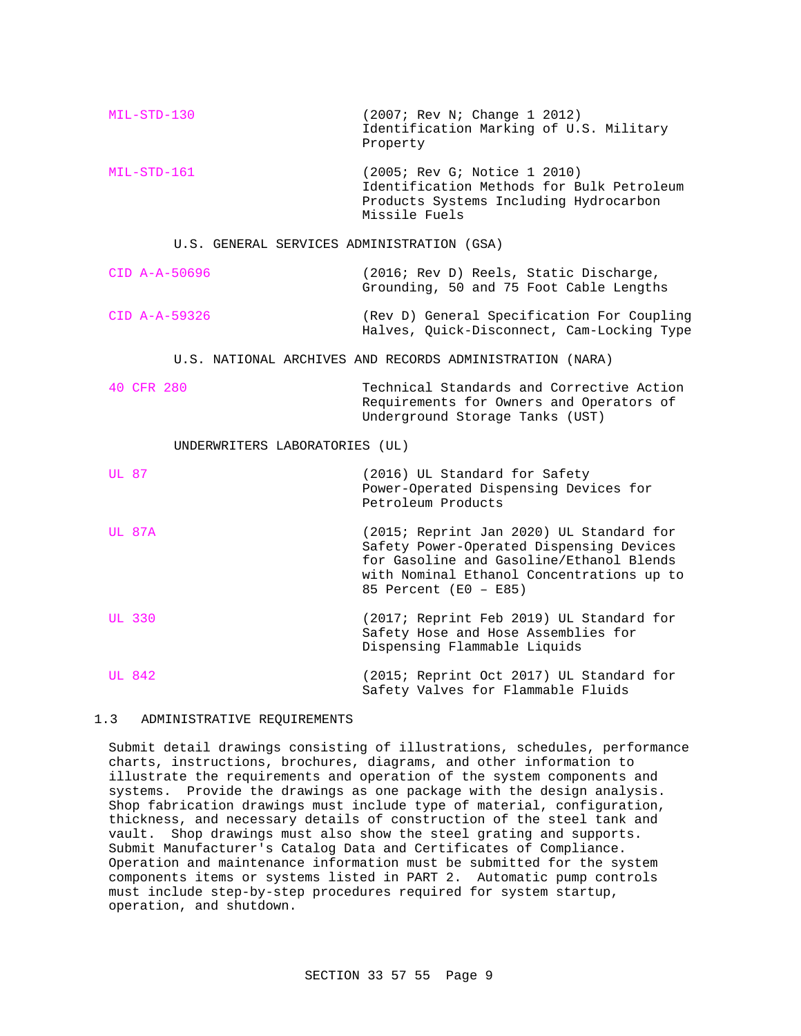| $MIL-STD-130$                                            | (2007; Rev N; Change 1 2012)<br>Identification Marking of U.S. Military<br>Property                                                                                                                    |  |
|----------------------------------------------------------|--------------------------------------------------------------------------------------------------------------------------------------------------------------------------------------------------------|--|
| $MIL-STD-161$                                            | (2005; Rev G; Notice 1 2010)<br>Identification Methods for Bulk Petroleum<br>Products Systems Including Hydrocarbon<br>Missile Fuels                                                                   |  |
| U.S. GENERAL SERVICES ADMINISTRATION (GSA)               |                                                                                                                                                                                                        |  |
| $CID A-A-50696$                                          | (2016; Rev D) Reels, Static Discharge,<br>Grounding, 50 and 75 Foot Cable Lengths                                                                                                                      |  |
| $CID A-A-59326$                                          | (Rev D) General Specification For Coupling<br>Halves, Quick-Disconnect, Cam-Locking Type                                                                                                               |  |
| U.S. NATIONAL ARCHIVES AND RECORDS ADMINISTRATION (NARA) |                                                                                                                                                                                                        |  |
| 40 CFR 280                                               | Technical Standards and Corrective Action<br>Requirements for Owners and Operators of<br>Underground Storage Tanks (UST)                                                                               |  |
| UNDERWRITERS LABORATORIES (UL)                           |                                                                                                                                                                                                        |  |
| UL 87                                                    | (2016) UL Standard for Safety<br>Power-Operated Dispensing Devices for<br>Petroleum Products                                                                                                           |  |
| <b>UL 87A</b>                                            | (2015; Reprint Jan 2020) UL Standard for<br>Safety Power-Operated Dispensing Devices<br>for Gasoline and Gasoline/Ethanol Blends<br>with Nominal Ethanol Concentrations up to<br>85 Percent (E0 - E85) |  |
| <b>UL 330</b>                                            | (2017; Reprint Feb 2019) UL Standard for<br>Safety Hose and Hose Assemblies for<br>Dispensing Flammable Liquids                                                                                        |  |
| <b>UL 842</b>                                            | (2015; Reprint Oct 2017) UL Standard for<br>Safety Valves for Flammable Fluids                                                                                                                         |  |

# 1.3 ADMINISTRATIVE REQUIREMENTS

Submit detail drawings consisting of illustrations, schedules, performance charts, instructions, brochures, diagrams, and other information to illustrate the requirements and operation of the system components and systems. Provide the drawings as one package with the design analysis. Shop fabrication drawings must include type of material, configuration, thickness, and necessary details of construction of the steel tank and vault. Shop drawings must also show the steel grating and supports. Submit Manufacturer's Catalog Data and Certificates of Compliance. Operation and maintenance information must be submitted for the system components items or systems listed in PART 2. Automatic pump controls must include step-by-step procedures required for system startup, operation, and shutdown.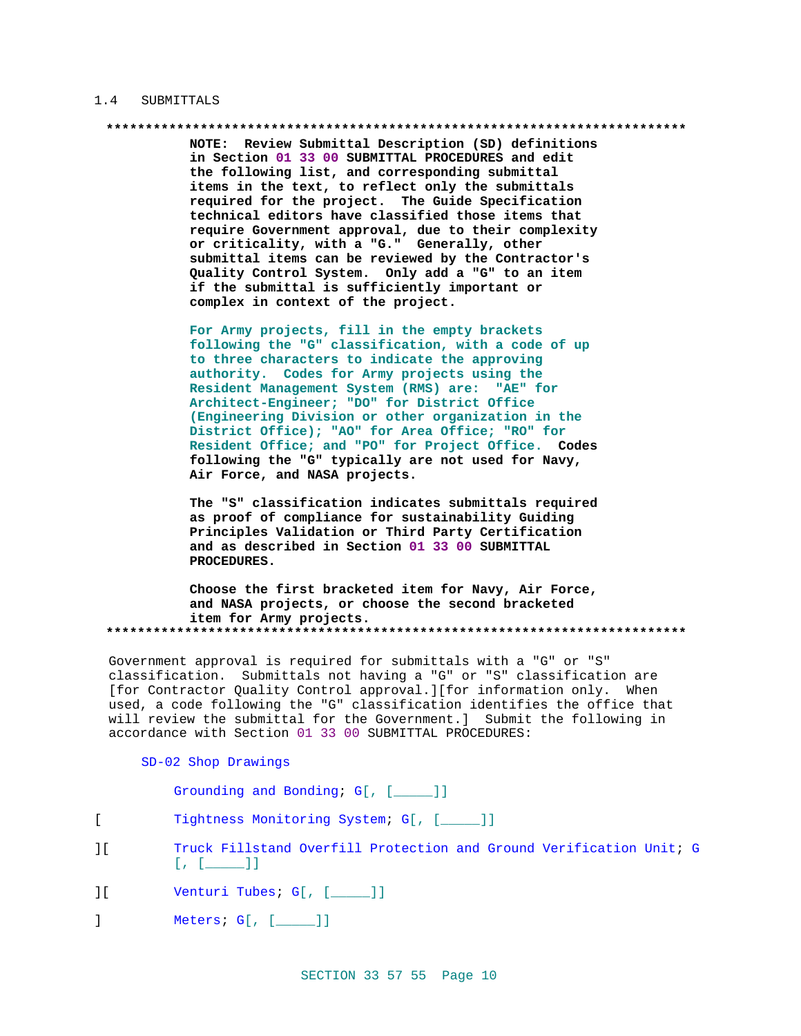#### $1.4$ SUBMITTALS

NOTE: Review Submittal Description (SD) definitions in Section 01 33 00 SUBMITTAL PROCEDURES and edit the following list, and corresponding submittal items in the text, to reflect only the submittals required for the project. The Guide Specification technical editors have classified those items that require Government approval, due to their complexity or criticality, with a "G." Generally, other submittal items can be reviewed by the Contractor's Quality Control System. Only add a "G" to an item if the submittal is sufficiently important or complex in context of the project.

For Army projects, fill in the empty brackets following the "G" classification, with a code of up to three characters to indicate the approving authority. Codes for Army projects using the Resident Management System (RMS) are: "AE" for Architect-Engineer; "DO" for District Office (Engineering Division or other organization in the District Office); "AO" for Area Office; "RO" for Resident Office; and "PO" for Project Office. Codes following the "G" typically are not used for Navy, Air Force, and NASA projects.

The "S" classification indicates submittals required as proof of compliance for sustainability Guiding Principles Validation or Third Party Certification and as described in Section 01 33 00 SUBMITTAL PROCEDURES.

Choose the first bracketed item for Navy, Air Force, and NASA projects, or choose the second bracketed item for Army projects. 

Government approval is required for submittals with a "G" or "S" classification. Submittals not having a "G" or "S" classification are [for Contractor Quality Control approval.][for information only. When used, a code following the "G" classification identifies the office that will review the submittal for the Government.] Submit the following in accordance with Section 01 33 00 SUBMITTAL PROCEDURES:

#### SD-02 Shop Drawings

Grounding and Bonding; G[, [\_\_\_\_]]

- $\mathbf{r}$ Tightness Monitoring System; G[, [\_\_\_\_]]
- $\overline{\phantom{a}}$ Truck Fillstand Overfill Protection and Ground Verification Unit; G  $[ , [ \_ \_ ] ]$
- Venturi Tubes; G[, [\_\_\_\_]]  $\overline{11}$
- $\mathbf{1}$ Meters;  $G[$ ,  $[\underline{\hspace{1cm}}]$ ]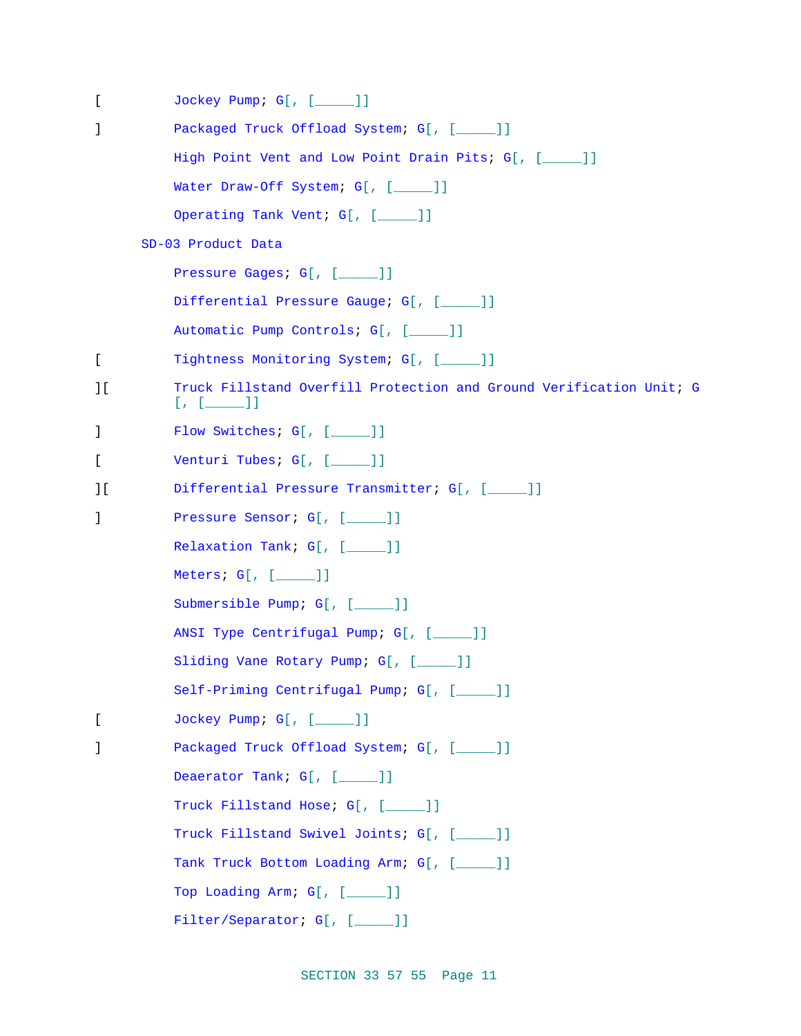| L              | Jockey Pump; G[, [____]]                                                              |
|----------------|---------------------------------------------------------------------------------------|
| 1              | Packaged Truck Offload System; G[, [____]]                                            |
|                | High Point Vent and Low Point Drain Pits; G[, [_____]]                                |
|                | Water Draw-Off System; G[, [____]]                                                    |
|                | Operating Tank Vent; G[, [____]]                                                      |
|                | SD-03 Product Data                                                                    |
|                | Pressure Gages; G[, [____]]                                                           |
|                | Differential Pressure Gauge; G[, [____]]                                              |
|                | Automatic Pump Controls; G[, [____]]                                                  |
| L              | Tightness Monitoring System; G[, [____]]                                              |
| ΙI             | Truck Fillstand Overfill Protection and Ground Verification Unit; G<br>$[ , [ \_ 1 ]$ |
| J.             | Flow Switches; G[, [____]]                                                            |
| L              | Venturi Tubes; G[, [____]]                                                            |
| 1 <sup>1</sup> | Differential Pressure Transmitter; G[, [____]]                                        |
| ı              | Pressure Sensor; G[, [____]]                                                          |
|                | Relaxation Tank; G[, [____]]                                                          |
|                | Meters; $G[$ , $[\underline{\hspace{1cm}}]$ ]]                                        |
|                | Submersible Pump; G[, [____]]                                                         |
|                | ANSI Type Centrifugal Pump; G[, [____]]                                               |
|                | Sliding Vane Rotary Pump; G[, [____]]                                                 |
|                | Self-Priming Centrifugal Pump; G[, [____]]                                            |
| L              | Jockey Pump; G[, [____]]                                                              |
| 1              | Packaged Truck Offload System; G[, [____]]                                            |
|                | Deaerator Tank; G[, [____]]                                                           |
|                | Truck Fillstand Hose; G[, [____]]                                                     |
|                | Truck Fillstand Swivel Joints; G[, [____]]                                            |
|                | Tank Truck Bottom Loading Arm; G[, [____]]                                            |
|                | Top Loading Arm; G[, [____]]                                                          |
|                | Filter/Separator; G[, [____]]                                                         |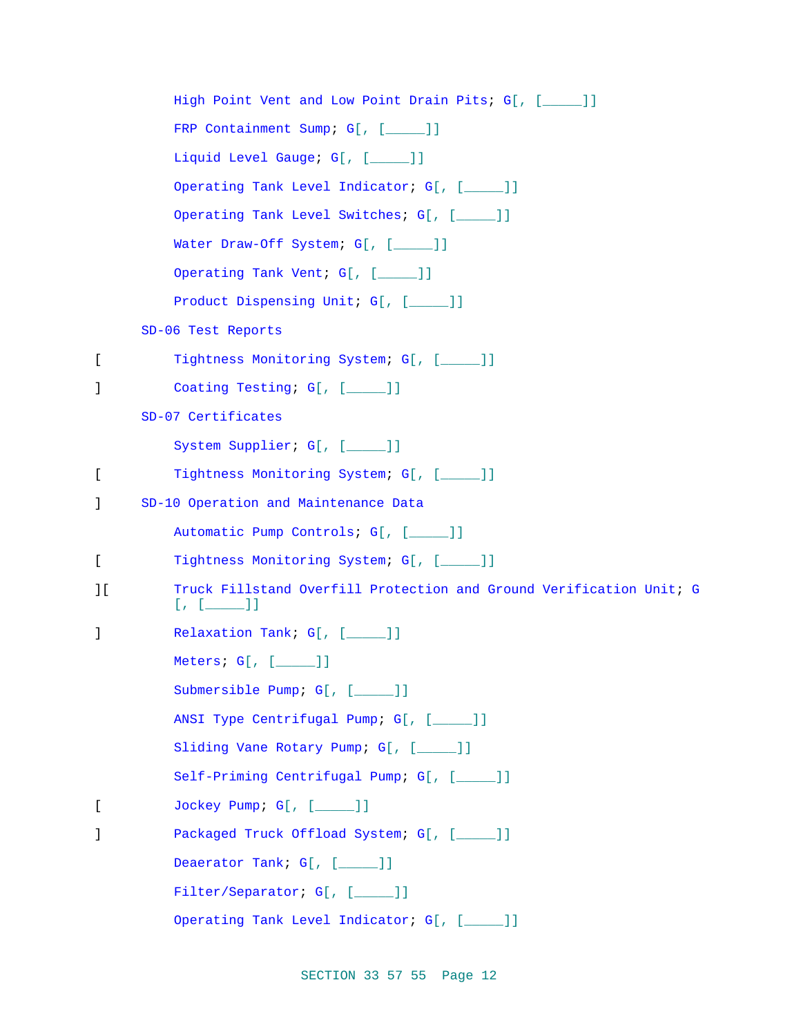High Point Vent and Low Point Drain Pits; G[, [\_\_\_\_]] FRP Containment Sump; G[, [\_\_\_\_]] Liquid Level Gauge; G[, [\_\_\_\_\_]] Operating Tank Level Indicator; G[, [\_\_\_\_\_]] Operating Tank Level Switches; G[, [\_\_\_\_]] Water Draw-Off System; G[, [\_\_\_\_]] Operating Tank Vent; G[, [\_\_\_\_]] Product Dispensing Unit; G[, [\_\_\_\_]] SD-06 Test Reports [ Tightness Monitoring System; G[, [ \_\_\_\_ ]] ] Coating Testing; G[, [\_\_\_\_\_]] SD-07 Certificates System Supplier; G[, [\_\_\_\_\_]] [ Tightness Monitoring System; G[, [ \_\_\_\_\_ ]] ] SD-10 Operation and Maintenance Data Automatic Pump Controls; G[, [\_\_\_\_\_]] [ Tightness Monitoring System; G[, [ \_\_\_\_ ]] ][ Truck Fillstand Overfill Protection and Ground Verification Unit; G  $[ , [ ] ]$ ] Relaxation Tank; G[, [\_\_\_\_\_]] Meters; G[, [\_\_\_\_\_]] Submersible Pump; G[, [\_\_\_\_\_]] ANSI Type Centrifugal Pump; G[, [\_\_\_\_\_]] Sliding Vane Rotary Pump; G[, [\_\_\_\_]] Self-Priming Centrifugal Pump; G[, [\_\_\_\_]] [ Jockey Pump; G[, [\_\_\_\_\_]] ] Packaged Truck Offload System; G[, [\_\_\_\_]] Deaerator Tank; G[, [\_\_\_\_]] Filter/Separator; G[, [\_\_\_\_]] Operating Tank Level Indicator; G[, [\_\_\_\_\_]]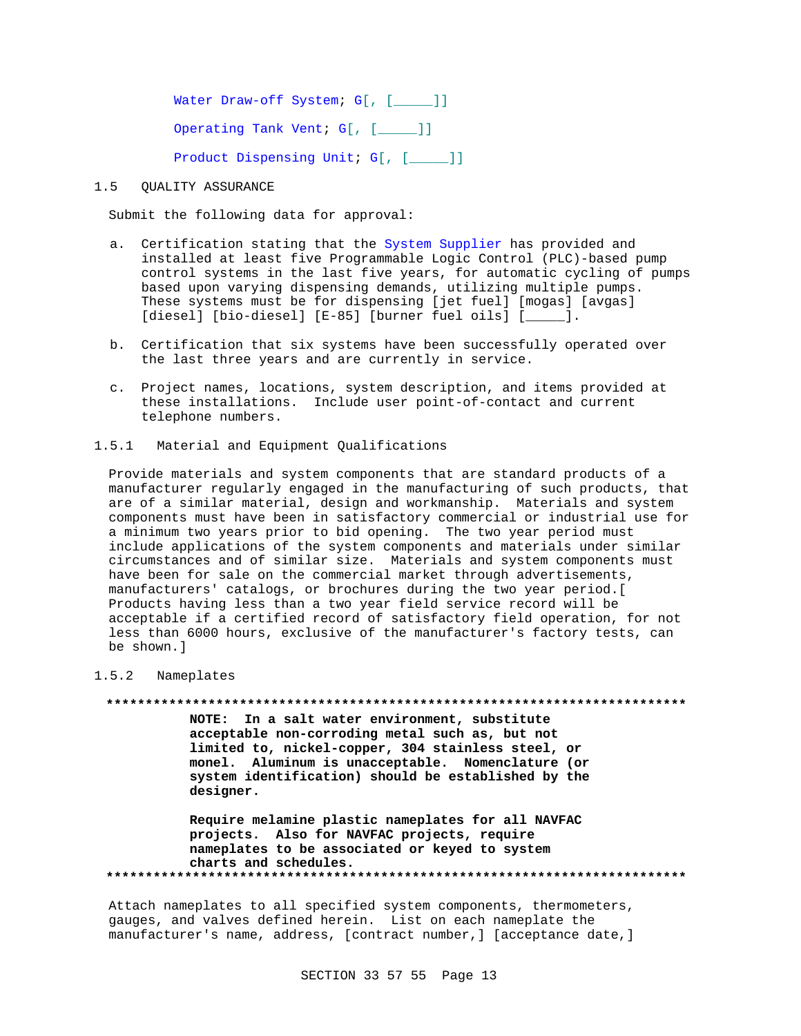Water Draw-off System; G[, [\_\_\_\_]] Operating Tank Vent; G[, [\_\_\_\_]] Product Dispensing Unit; G[, [\_\_\_\_]]

#### $1.5$ **OUALITY ASSURANCE**

Submit the following data for approval:

- a. Certification stating that the System Supplier has provided and installed at least five Programmable Logic Control (PLC)-based pump control systems in the last five years, for automatic cycling of pumps based upon varying dispensing demands, utilizing multiple pumps. These systems must be for dispensing [jet fuel] [mogas] [avgas] [diesel] [bio-diesel] [E-85] [burner fuel oils] [\_\_\_\_\_].
- b. Certification that six systems have been successfully operated over the last three years and are currently in service.
- c. Project names, locations, system description, and items provided at these installations. Include user point-of-contact and current telephone numbers.
- $1.5.1$ Material and Equipment Oualifications

Provide materials and system components that are standard products of a manufacturer regularly engaged in the manufacturing of such products, that are of a similar material, design and workmanship. Materials and system components must have been in satisfactory commercial or industrial use for a minimum two years prior to bid opening. The two year period must include applications of the system components and materials under similar circumstances and of similar size. Materials and system components must have been for sale on the commercial market through advertisements, manufacturers' catalogs, or brochures during the two year period. [ Products having less than a two year field service record will be acceptable if a certified record of satisfactory field operation, for not less than 6000 hours, exclusive of the manufacturer's factory tests, can be shown.]

#### $1.5.2$ Nameplates

NOTE: In a salt water environment, substitute acceptable non-corroding metal such as, but not limited to, nickel-copper, 304 stainless steel, or monel. Aluminum is unacceptable. Nomenclature (or system identification) should be established by the designer.

Require melamine plastic nameplates for all NAVFAC projects. Also for NAVFAC projects, require nameplates to be associated or keyed to system charts and schedules. 

Attach nameplates to all specified system components, thermometers, gauges, and valves defined herein. List on each nameplate the manufacturer's name, address, [contract number,] [acceptance date,]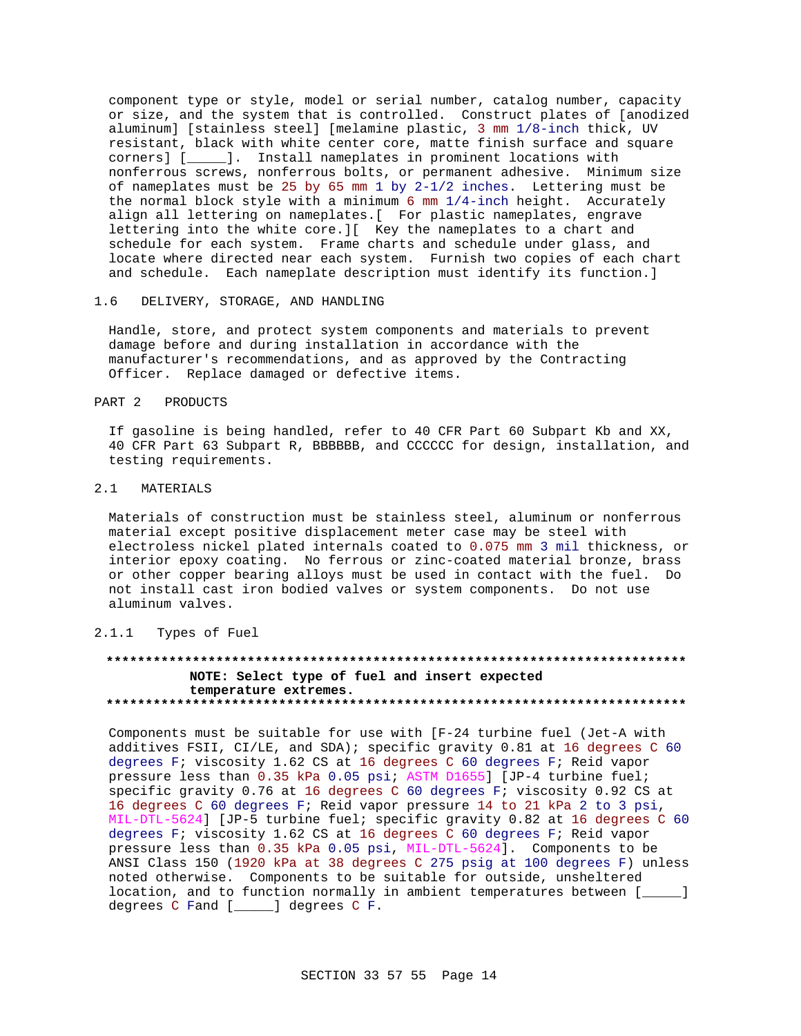component type or style, model or serial number, catalog number, capacity or size, and the system that is controlled. Construct plates of [anodized aluminum] [stainless steel] [melamine plastic, 3 mm 1/8-inch thick, UV resistant, black with white center core, matte finish surface and square corners] [\_\_\_\_\_]. Install nameplates in prominent locations with nonferrous screws, nonferrous bolts, or permanent adhesive. Minimum size of nameplates must be 25 by 65 mm 1 by 2-1/2 inches. Lettering must be the normal block style with a minimum 6 mm 1/4-inch height. Accurately align all lettering on nameplates.[ For plastic nameplates, engrave lettering into the white core.][ Key the nameplates to a chart and schedule for each system. Frame charts and schedule under glass, and locate where directed near each system. Furnish two copies of each chart and schedule. Each nameplate description must identify its function.]

### 1.6 DELIVERY, STORAGE, AND HANDLING

Handle, store, and protect system components and materials to prevent damage before and during installation in accordance with the manufacturer's recommendations, and as approved by the Contracting Officer. Replace damaged or defective items.

## PART 2 PRODUCTS

If gasoline is being handled, refer to 40 CFR Part 60 Subpart Kb and XX, 40 CFR Part 63 Subpart R, BBBBBB, and CCCCCC for design, installation, and testing requirements.

### 2.1 MATERIALS

Materials of construction must be stainless steel, aluminum or nonferrous material except positive displacement meter case may be steel with electroless nickel plated internals coated to 0.075 mm 3 mil thickness, or interior epoxy coating. No ferrous or zinc-coated material bronze, brass or other copper bearing alloys must be used in contact with the fuel. Do not install cast iron bodied valves or system components. Do not use aluminum valves.

### 2.1.1 Types of Fuel

### **\*\*\*\*\*\*\*\*\*\*\*\*\*\*\*\*\*\*\*\*\*\*\*\*\*\*\*\*\*\*\*\*\*\*\*\*\*\*\*\*\*\*\*\*\*\*\*\*\*\*\*\*\*\*\*\*\*\*\*\*\*\*\*\*\*\*\*\*\*\*\*\*\*\* NOTE: Select type of fuel and insert expected temperature extremes. \*\*\*\*\*\*\*\*\*\*\*\*\*\*\*\*\*\*\*\*\*\*\*\*\*\*\*\*\*\*\*\*\*\*\*\*\*\*\*\*\*\*\*\*\*\*\*\*\*\*\*\*\*\*\*\*\*\*\*\*\*\*\*\*\*\*\*\*\*\*\*\*\*\***

Components must be suitable for use with [F-24 turbine fuel (Jet-A with additives FSII, CI/LE, and SDA); specific gravity 0.81 at 16 degrees C 60 degrees F; viscosity 1.62 CS at 16 degrees C 60 degrees F; Reid vapor pressure less than 0.35 kPa 0.05 psi; ASTM D1655] [JP-4 turbine fuel; specific gravity 0.76 at 16 degrees C 60 degrees F; viscosity 0.92 CS at 16 degrees C 60 degrees F; Reid vapor pressure 14 to 21 kPa 2 to 3 psi, MIL-DTL-5624] [JP-5 turbine fuel; specific gravity 0.82 at 16 degrees C 60 degrees F; viscosity 1.62 CS at 16 degrees C 60 degrees F; Reid vapor pressure less than 0.35 kPa 0.05 psi, MIL-DTL-5624]. Components to be ANSI Class 150 (1920 kPa at 38 degrees C 275 psig at 100 degrees F) unless noted otherwise. Components to be suitable for outside, unsheltered location, and to function normally in ambient temperatures between [\_\_\_\_\_] degrees C Fand [\_\_\_\_\_] degrees C F.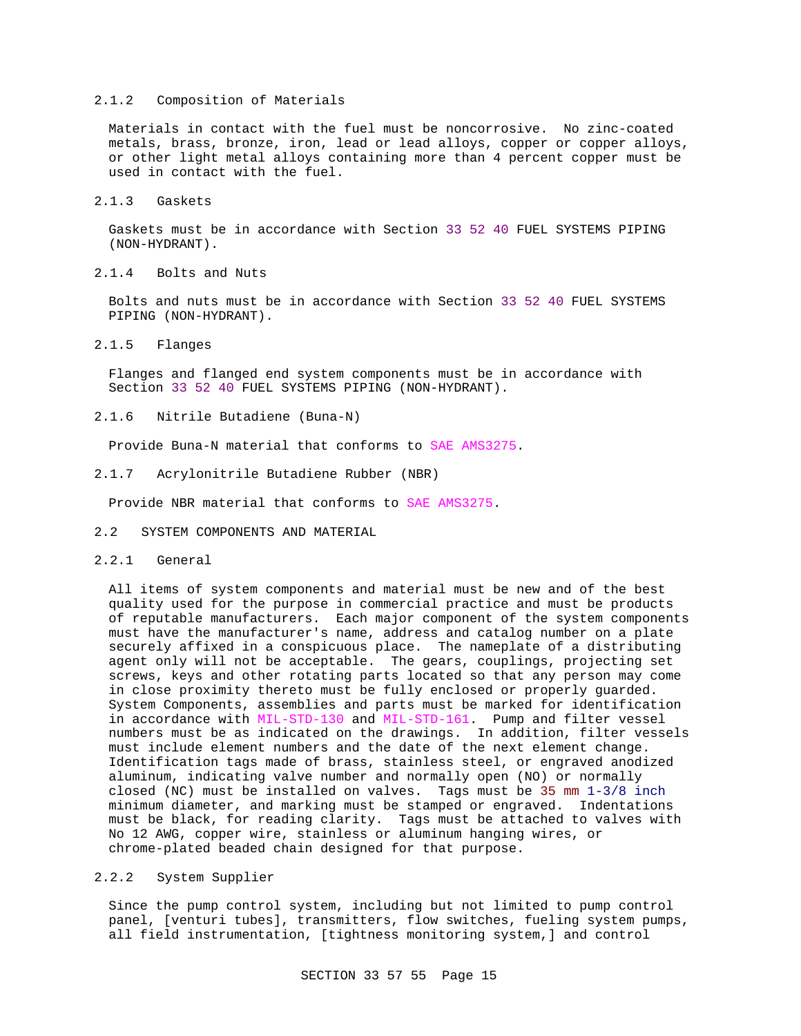#### 2.1.2 Composition of Materials

Materials in contact with the fuel must be noncorrosive. No zinc-coated metals, brass, bronze, iron, lead or lead alloys, copper or copper alloys, or other light metal alloys containing more than 4 percent copper must be used in contact with the fuel.

2.1.3 Gaskets

Gaskets must be in accordance with Section 33 52 40 FUEL SYSTEMS PIPING (NON-HYDRANT).

2.1.4 Bolts and Nuts

Bolts and nuts must be in accordance with Section 33 52 40 FUEL SYSTEMS PIPING (NON-HYDRANT).

2.1.5 Flanges

Flanges and flanged end system components must be in accordance with Section 33 52 40 FUEL SYSTEMS PIPING (NON-HYDRANT).

2.1.6 Nitrile Butadiene (Buna-N)

Provide Buna-N material that conforms to SAE AMS3275.

2.1.7 Acrylonitrile Butadiene Rubber (NBR)

Provide NBR material that conforms to SAE AMS3275.

- 2.2 SYSTEM COMPONENTS AND MATERIAL
- 2.2.1 General

All items of system components and material must be new and of the best quality used for the purpose in commercial practice and must be products of reputable manufacturers. Each major component of the system components must have the manufacturer's name, address and catalog number on a plate securely affixed in a conspicuous place. The nameplate of a distributing agent only will not be acceptable. The gears, couplings, projecting set screws, keys and other rotating parts located so that any person may come in close proximity thereto must be fully enclosed or properly guarded. System Components, assemblies and parts must be marked for identification in accordance with MIL-STD-130 and MIL-STD-161. Pump and filter vessel numbers must be as indicated on the drawings. In addition, filter vessels must include element numbers and the date of the next element change. Identification tags made of brass, stainless steel, or engraved anodized aluminum, indicating valve number and normally open (NO) or normally closed (NC) must be installed on valves. Tags must be 35 mm  $1-3/8$  inch minimum diameter, and marking must be stamped or engraved. Indentations must be black, for reading clarity. Tags must be attached to valves with No 12 AWG, copper wire, stainless or aluminum hanging wires, or chrome-plated beaded chain designed for that purpose.

#### 2.2.2 System Supplier

Since the pump control system, including but not limited to pump control panel, [venturi tubes], transmitters, flow switches, fueling system pumps, all field instrumentation, [tightness monitoring system,] and control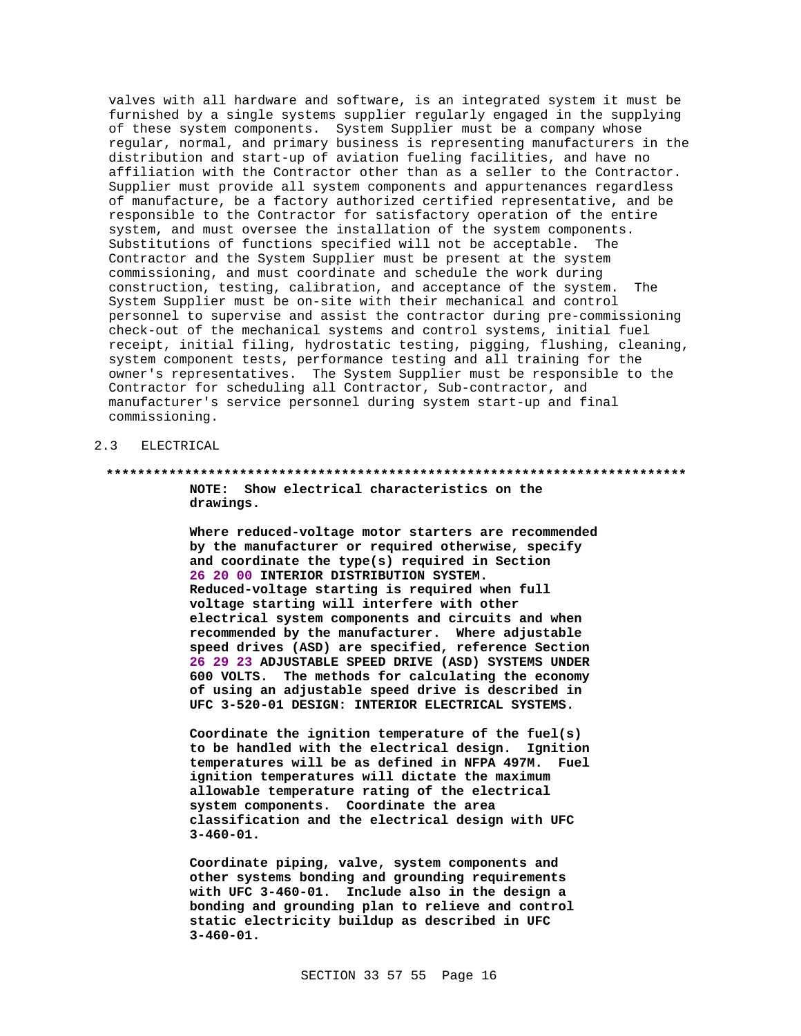valves with all hardware and software, is an integrated system it must be furnished by a single systems supplier regularly engaged in the supplying of these system components. System Supplier must be a company whose regular, normal, and primary business is representing manufacturers in the distribution and start-up of aviation fueling facilities, and have no affiliation with the Contractor other than as a seller to the Contractor. Supplier must provide all system components and appurtenances regardless of manufacture, be a factory authorized certified representative, and be responsible to the Contractor for satisfactory operation of the entire system, and must oversee the installation of the system components. Substitutions of functions specified will not be acceptable. The Contractor and the System Supplier must be present at the system commissioning, and must coordinate and schedule the work during construction, testing, calibration, and acceptance of the system. The System Supplier must be on-site with their mechanical and control personnel to supervise and assist the contractor during pre-commissioning check-out of the mechanical systems and control systems, initial fuel receipt, initial filing, hydrostatic testing, pigging, flushing, cleaning, system component tests, performance testing and all training for the owner's representatives. The System Supplier must be responsible to the Contractor for scheduling all Contractor, Sub-contractor, and manufacturer's service personnel during system start-up and final commissioning.

#### 2.3 ELECTRICAL

# **\*\*\*\*\*\*\*\*\*\*\*\*\*\*\*\*\*\*\*\*\*\*\*\*\*\*\*\*\*\*\*\*\*\*\*\*\*\*\*\*\*\*\*\*\*\*\*\*\*\*\*\*\*\*\*\*\*\*\*\*\*\*\*\*\*\*\*\*\*\*\*\*\*\* NOTE: Show electrical characteristics on the**

**drawings.**

**Where reduced-voltage motor starters are recommended by the manufacturer or required otherwise, specify and coordinate the type(s) required in Section 26 20 00 INTERIOR DISTRIBUTION SYSTEM. Reduced-voltage starting is required when full voltage starting will interfere with other electrical system components and circuits and when recommended by the manufacturer. Where adjustable speed drives (ASD) are specified, reference Section 26 29 23 ADJUSTABLE SPEED DRIVE (ASD) SYSTEMS UNDER 600 VOLTS. The methods for calculating the economy of using an adjustable speed drive is described in UFC 3-520-01 DESIGN: INTERIOR ELECTRICAL SYSTEMS.**

**Coordinate the ignition temperature of the fuel(s) to be handled with the electrical design. Ignition temperatures will be as defined in NFPA 497M. Fuel ignition temperatures will dictate the maximum allowable temperature rating of the electrical system components. Coordinate the area classification and the electrical design with UFC 3-460-01.**

**Coordinate piping, valve, system components and other systems bonding and grounding requirements with UFC 3-460-01. Include also in the design a bonding and grounding plan to relieve and control static electricity buildup as described in UFC 3-460-01.**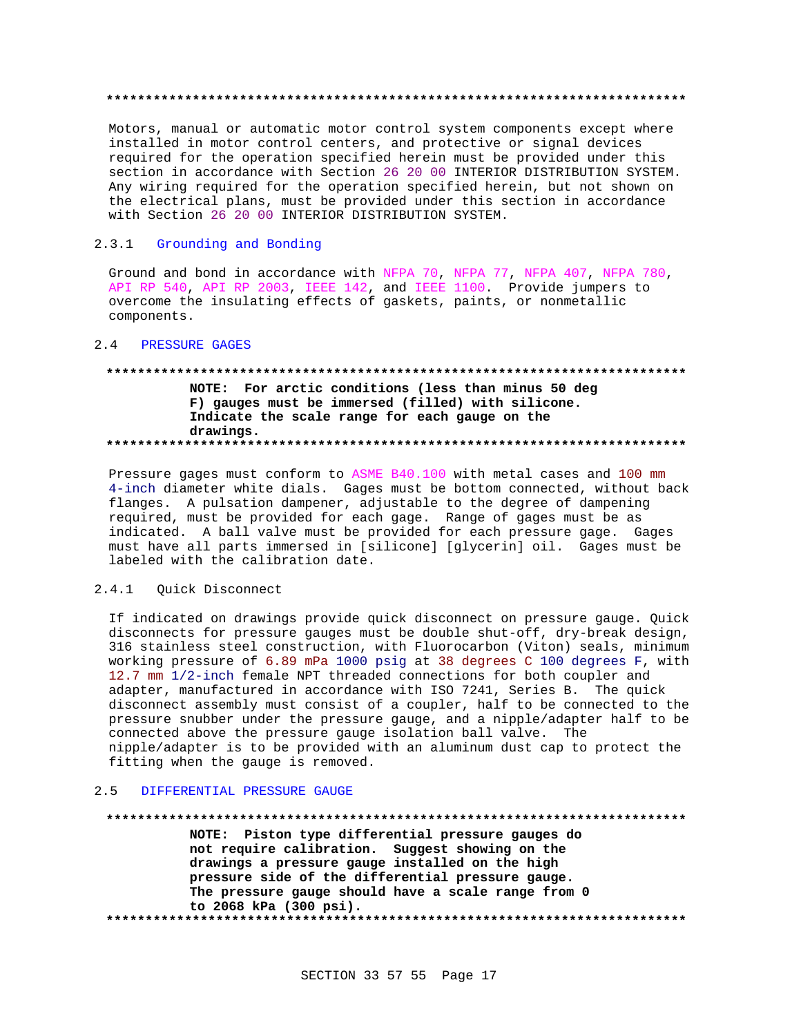#### 

Motors, manual or automatic motor control system components except where installed in motor control centers, and protective or signal devices required for the operation specified herein must be provided under this section in accordance with Section 26 20 00 INTERIOR DISTRIBUTION SYSTEM. Any wiring required for the operation specified herein, but not shown on the electrical plans, must be provided under this section in accordance with Section 26 20 00 INTERIOR DISTRIBUTION SYSTEM.

#### $2.3.1$ Grounding and Bonding

Ground and bond in accordance with NFPA 70, NFPA 77, NFPA 407, NFPA 780, API RP 540, API RP 2003, IEEE 142, and IEEE 1100. Provide jumpers to overcome the insulating effects of gaskets, paints, or nonmetallic components.

#### 2.4 PRESSURE GAGES

### NOTE: For arctic conditions (less than minus 50 deg F) gauges must be immersed (filled) with silicone. Indicate the scale range for each gauge on the drawings.

Pressure gages must conform to ASME B40.100 with metal cases and 100 mm 4-inch diameter white dials. Gages must be bottom connected, without back flanges. A pulsation dampener, adjustable to the degree of dampening required, must be provided for each gage. Range of gages must be as indicated. A ball valve must be provided for each pressure gage. Gages must have all parts immersed in [silicone] [glycerin] oil. Gages must be labeled with the calibration date.

#### $2.4.1$ Quick Disconnect

If indicated on drawings provide quick disconnect on pressure gauge. Ouick disconnects for pressure gauges must be double shut-off, dry-break design, 316 stainless steel construction, with Fluorocarbon (Viton) seals, minimum working pressure of 6.89 mPa 1000 psig at 38 degrees C 100 degrees F, with 12.7 mm 1/2-inch female NPT threaded connections for both coupler and adapter, manufactured in accordance with ISO 7241, Series B. The quick disconnect assembly must consist of a coupler, half to be connected to the pressure snubber under the pressure gauge, and a nipple/adapter half to be connected above the pressure gauge isolation ball valve. The nipple/adapter is to be provided with an aluminum dust cap to protect the fitting when the gauge is removed.

#### DIFFERENTIAL PRESSURE GAUGE  $2.5$

#### 

NOTE: Piston type differential pressure gauges do not require calibration. Suggest showing on the drawings a pressure gauge installed on the high pressure side of the differential pressure gauge. The pressure gauge should have a scale range from 0 to 2068 kPa (300 psi).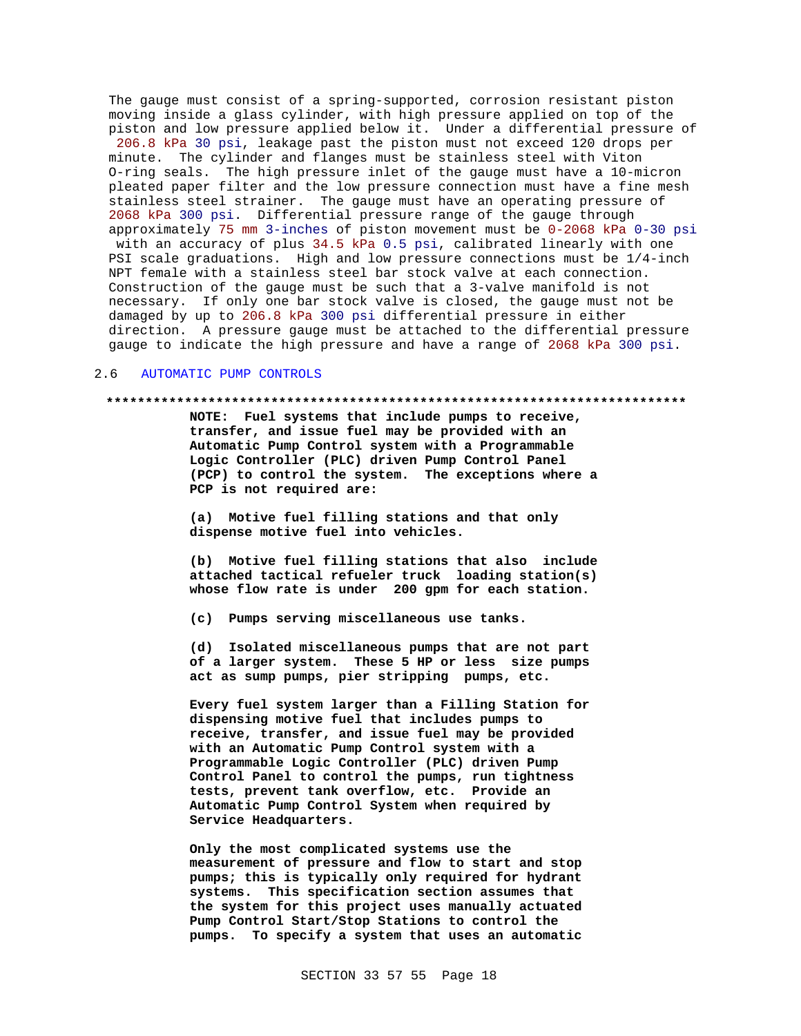The gauge must consist of a spring-supported, corrosion resistant piston moving inside a glass cylinder, with high pressure applied on top of the piston and low pressure applied below it. Under a differential pressure of 206.8 kPa 30 psi, leakage past the piston must not exceed 120 drops per minute. The cylinder and flanges must be stainless steel with Viton O-ring seals. The high pressure inlet of the gauge must have a 10-micron pleated paper filter and the low pressure connection must have a fine mesh stainless steel strainer. The gauge must have an operating pressure of 2068 kPa 300 psi. Differential pressure range of the gauge through approximately 75 mm 3-inches of piston movement must be 0-2068 kPa 0-30 psi with an accuracy of plus 34.5 kPa 0.5 psi, calibrated linearly with one PSI scale graduations. High and low pressure connections must be 1/4-inch NPT female with a stainless steel bar stock valve at each connection. Construction of the gauge must be such that a 3-valve manifold is not necessary. If only one bar stock valve is closed, the gauge must not be damaged by up to 206.8 kPa 300 psi differential pressure in either direction. A pressure gauge must be attached to the differential pressure gauge to indicate the high pressure and have a range of 2068 kPa 300 psi.

#### 2.6 AUTOMATIC PUMP CONTROLS

#### **\*\*\*\*\*\*\*\*\*\*\*\*\*\*\*\*\*\*\*\*\*\*\*\*\*\*\*\*\*\*\*\*\*\*\*\*\*\*\*\*\*\*\*\*\*\*\*\*\*\*\*\*\*\*\*\*\*\*\*\*\*\*\*\*\*\*\*\*\*\*\*\*\*\***

**NOTE: Fuel systems that include pumps to receive, transfer, and issue fuel may be provided with an Automatic Pump Control system with a Programmable Logic Controller (PLC) driven Pump Control Panel (PCP) to control the system. The exceptions where a PCP is not required are:**

**(a) Motive fuel filling stations and that only dispense motive fuel into vehicles.**

**(b) Motive fuel filling stations that also include attached tactical refueler truck loading station(s) whose flow rate is under 200 gpm for each station.**

**(c) Pumps serving miscellaneous use tanks.**

**(d) Isolated miscellaneous pumps that are not part of a larger system. These 5 HP or less size pumps act as sump pumps, pier stripping pumps, etc.**

**Every fuel system larger than a Filling Station for dispensing motive fuel that includes pumps to receive, transfer, and issue fuel may be provided with an Automatic Pump Control system with a Programmable Logic Controller (PLC) driven Pump Control Panel to control the pumps, run tightness tests, prevent tank overflow, etc. Provide an Automatic Pump Control System when required by Service Headquarters.**

**Only the most complicated systems use the measurement of pressure and flow to start and stop pumps; this is typically only required for hydrant systems. This specification section assumes that the system for this project uses manually actuated Pump Control Start/Stop Stations to control the pumps. To specify a system that uses an automatic**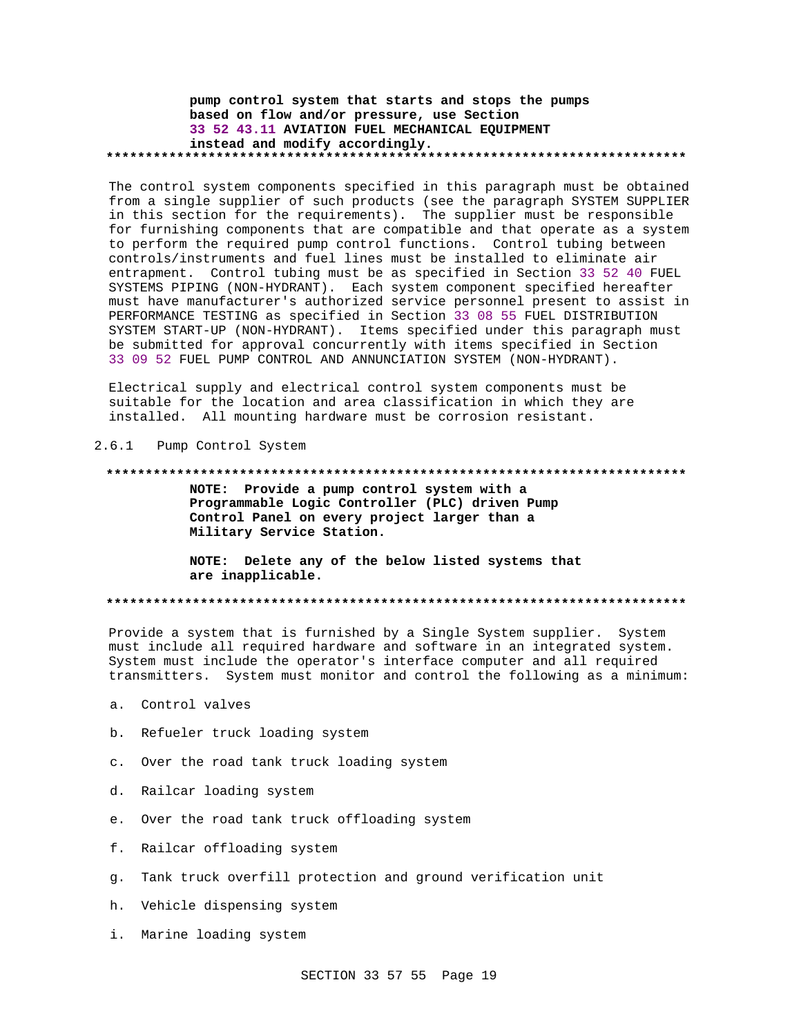### pump control system that starts and stops the pumps based on flow and/or pressure, use Section 33 52 43.11 AVIATION FUEL MECHANICAL EQUIPMENT instead and modify accordingly.

The control system components specified in this paragraph must be obtained from a single supplier of such products (see the paragraph SYSTEM SUPPLIER in this section for the requirements). The supplier must be responsible for furnishing components that are compatible and that operate as a system to perform the required pump control functions. Control tubing between controls/instruments and fuel lines must be installed to eliminate air entrapment. Control tubing must be as specified in Section 33 52 40 FUEL SYSTEMS PIPING (NON-HYDRANT). Each system component specified hereafter must have manufacturer's authorized service personnel present to assist in PERFORMANCE TESTING as specified in Section 33 08 55 FUEL DISTRIBUTION SYSTEM START-UP (NON-HYDRANT). Items specified under this paragraph must be submitted for approval concurrently with items specified in Section 33 09 52 FUEL PUMP CONTROL AND ANNUNCIATION SYSTEM (NON-HYDRANT).

Electrical supply and electrical control system components must be suitable for the location and area classification in which they are installed. All mounting hardware must be corrosion resistant.

#### $2.6.1$ Pump Control System

#### 

NOTE: Provide a pump control system with a Programmable Logic Controller (PLC) driven Pump Control Panel on every project larger than a Military Service Station.

NOTE: Delete any of the below listed systems that are inapplicable.

Provide a system that is furnished by a Single System supplier. System must include all required hardware and software in an integrated system. System must include the operator's interface computer and all required transmitters. System must monitor and control the following as a minimum:

- a. Control valves
- b. Refueler truck loading system
- c. Over the road tank truck loading system
- d. Railcar loading system
- e. Over the road tank truck offloading system
- f. Railcar offloading system
- g. Tank truck overfill protection and ground verification unit
- h. Vehicle dispensing system
- i. Marine loading system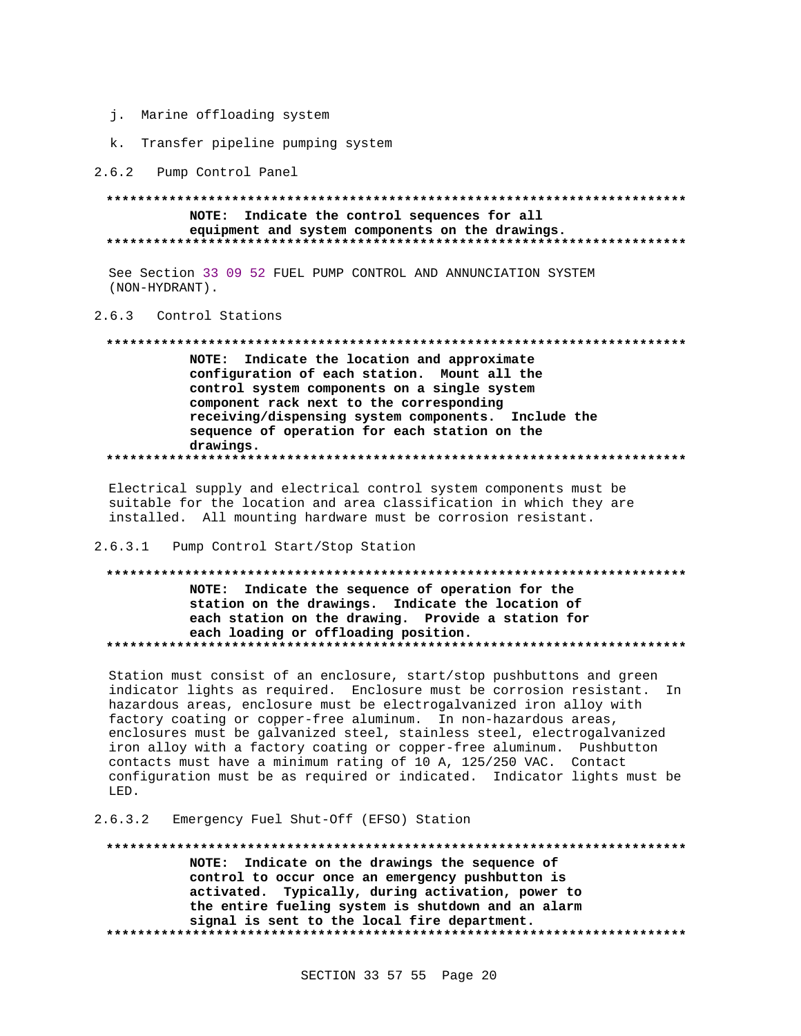- j. Marine offloading system
- k. Transfer pipeline pumping system

2.6.2 Pump Control Panel

#### NOTE: Indicate the control sequences for all equipment and system components on the drawings.

See Section 33 09 52 FUEL PUMP CONTROL AND ANNUNCIATION SYSTEM (NON-HYDRANT).

#### 2.6.3 Control Stations

# NOTE: Indicate the location and approximate configuration of each station. Mount all the control system components on a single system component rack next to the corresponding receiving/dispensing system components. Include the sequence of operation for each station on the drawings.

Electrical supply and electrical control system components must be suitable for the location and area classification in which they are installed. All mounting hardware must be corrosion resistant.

#### 2.6.3.1 Pump Control Start/Stop Station

# NOTE: Indicate the sequence of operation for the station on the drawings. Indicate the location of each station on the drawing. Provide a station for each loading or offloading position.

Station must consist of an enclosure, start/stop pushbuttons and green indicator lights as required. Enclosure must be corrosion resistant. In hazardous areas, enclosure must be electrogalvanized iron alloy with factory coating or copper-free aluminum. In non-hazardous areas, enclosures must be galvanized steel, stainless steel, electrogalvanized iron alloy with a factory coating or copper-free aluminum. Pushbutton contacts must have a minimum rating of 10 A, 125/250 VAC. Contact configuration must be as required or indicated. Indicator lights must be LED.

#### Emergency Fuel Shut-Off (EFSO) Station  $2.6.3.2$

### NOTE: Indicate on the drawings the sequence of control to occur once an emergency pushbutton is activated. Typically, during activation, power to the entire fueling system is shutdown and an alarm signal is sent to the local fire department.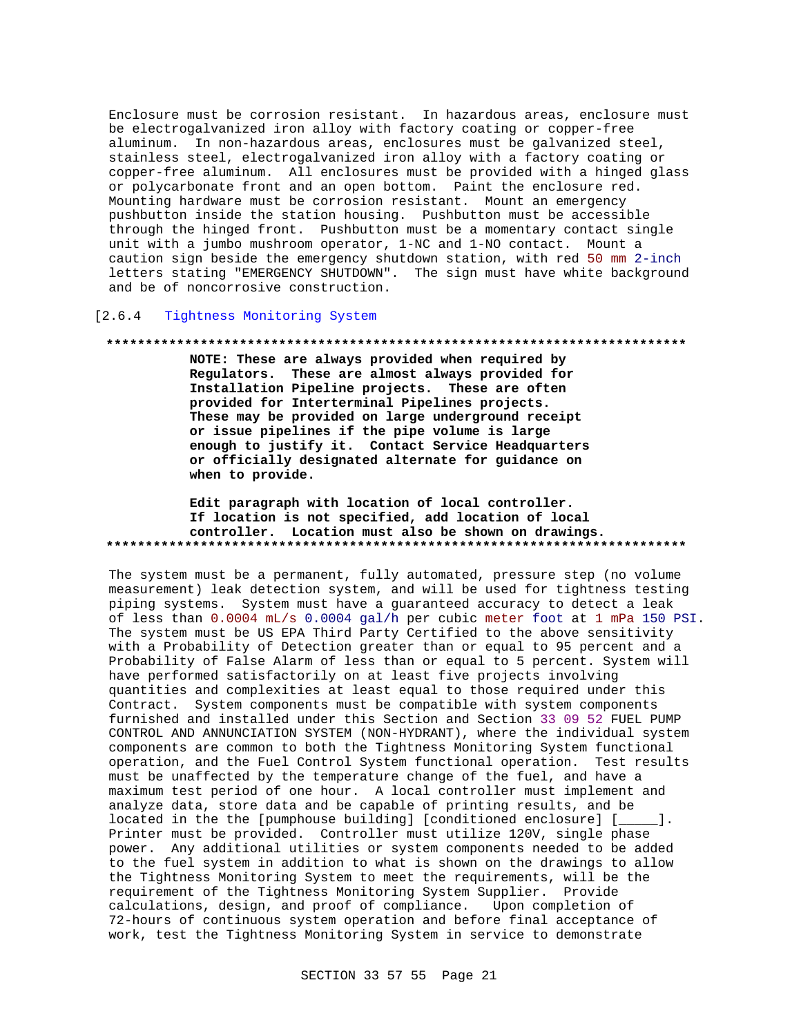Enclosure must be corrosion resistant. In hazardous areas, enclosure must be electrogalvanized iron alloy with factory coating or copper-free aluminum. In non-hazardous areas, enclosures must be galvanized steel, stainless steel, electrogalvanized iron alloy with a factory coating or copper-free aluminum. All enclosures must be provided with a hinged glass or polycarbonate front and an open bottom. Paint the enclosure red. Mounting hardware must be corrosion resistant. Mount an emergency pushbutton inside the station housing. Pushbutton must be accessible through the hinged front. Pushbutton must be a momentary contact single unit with a jumbo mushroom operator, 1-NC and 1-NO contact. Mount a caution sign beside the emergency shutdown station, with red 50 mm 2-inch letters stating "EMERGENCY SHUTDOWN". The sign must have white background and be of noncorrosive construction.

### [2.6.4 Tightness Monitoring System

#### 

NOTE: These are always provided when required by Regulators. These are almost always provided for Installation Pipeline projects. These are often provided for Interterminal Pipelines projects. These may be provided on large underground receipt or issue pipelines if the pipe volume is large enough to justify it. Contact Service Headquarters or officially designated alternate for guidance on when to provide.

### Edit paragraph with location of local controller. If location is not specified, add location of local controller. Location must also be shown on drawings.

The system must be a permanent, fully automated, pressure step (no volume measurement) leak detection system, and will be used for tightness testing piping systems. System must have a guaranteed accuracy to detect a leak of less than 0.0004 mL/s 0.0004 gal/h per cubic meter foot at 1 mPa 150 PSI. The system must be US EPA Third Party Certified to the above sensitivity with a Probability of Detection greater than or equal to 95 percent and a Probability of False Alarm of less than or equal to 5 percent. System will have performed satisfactorily on at least five projects involving quantities and complexities at least equal to those required under this Contract. System components must be compatible with system components furnished and installed under this Section and Section 33 09 52 FUEL PUMP CONTROL AND ANNUNCIATION SYSTEM (NON-HYDRANT), where the individual system components are common to both the Tightness Monitoring System functional operation, and the Fuel Control System functional operation. Test results must be unaffected by the temperature change of the fuel, and have a maximum test period of one hour. A local controller must implement and analyze data, store data and be capable of printing results, and be located in the the [pumphouse building] [conditioned enclosure] [\_\_\_\_\_]. Printer must be provided. Controller must utilize 120V, single phase power. Any additional utilities or system components needed to be added to the fuel system in addition to what is shown on the drawings to allow the Tightness Monitoring System to meet the requirements, will be the requirement of the Tightness Monitoring System Supplier. Provide calculations, design, and proof of compliance. Upon completion of 72-hours of continuous system operation and before final acceptance of work, test the Tightness Monitoring System in service to demonstrate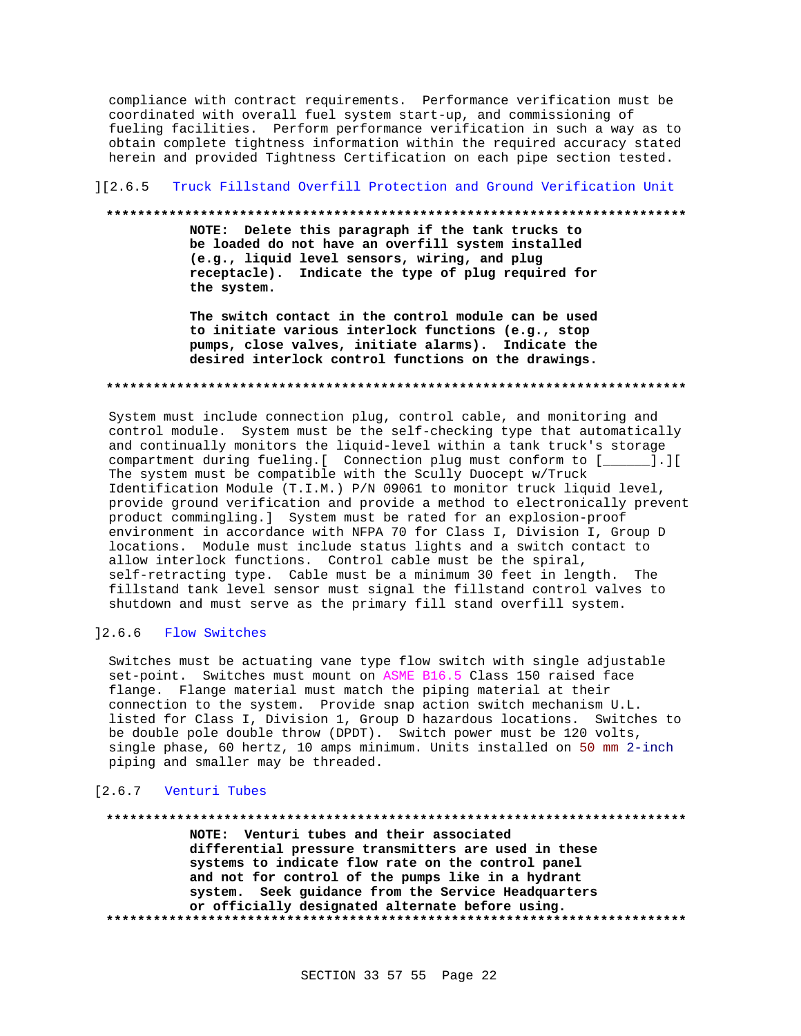compliance with contract requirements. Performance verification must be coordinated with overall fuel system start-up, and commissioning of fueling facilities. Perform performance verification in such a way as to obtain complete tightness information within the required accuracy stated herein and provided Tightness Certification on each pipe section tested.

#### $] [2.6.5]$ Truck Fillstand Overfill Protection and Ground Verification Unit

#### 

NOTE: Delete this paragraph if the tank trucks to be loaded do not have an overfill system installed (e.g., liquid level sensors, wiring, and plug receptacle). Indicate the type of plug required for the system.

The switch contact in the control module can be used to initiate various interlock functions (e.g., stop pumps, close valves, initiate alarms). Indicate the desired interlock control functions on the drawings.

System must include connection plug, control cable, and monitoring and control module. System must be the self-checking type that automatically and continually monitors the liquid-level within a tank truck's storage compartment during fueling. [ Connection plug must conform to [ \_\_\_\_\_].] The system must be compatible with the Scully Duocept w/Truck Identification Module (T.I.M.) P/N 09061 to monitor truck liquid level, provide ground verification and provide a method to electronically prevent product commingling.] System must be rated for an explosion-proof environment in accordance with NFPA 70 for Class I, Division I, Group D locations. Module must include status lights and a switch contact to allow interlock functions. Control cable must be the spiral, self-retracting type. Cable must be a minimum 30 feet in length. The fillstand tank level sensor must signal the fillstand control valves to shutdown and must serve as the primary fill stand overfill system.

### 12.6.6 Flow Switches

Switches must be actuating vane type flow switch with single adjustable set-point. Switches must mount on ASME B16.5 Class 150 raised face flange. Flange material must match the piping material at their connection to the system. Provide snap action switch mechanism U.L. listed for Class I, Division 1, Group D hazardous locations. Switches to be double pole double throw (DPDT). Switch power must be 120 volts, single phase, 60 hertz, 10 amps minimum. Units installed on 50 mm 2-inch piping and smaller may be threaded.

#### [2.6.7 Venturi Tubes

#### 

NOTE: Venturi tubes and their associated differential pressure transmitters are used in these systems to indicate flow rate on the control panel and not for control of the pumps like in a hydrant system. Seek guidance from the Service Headquarters or officially designated alternate before using.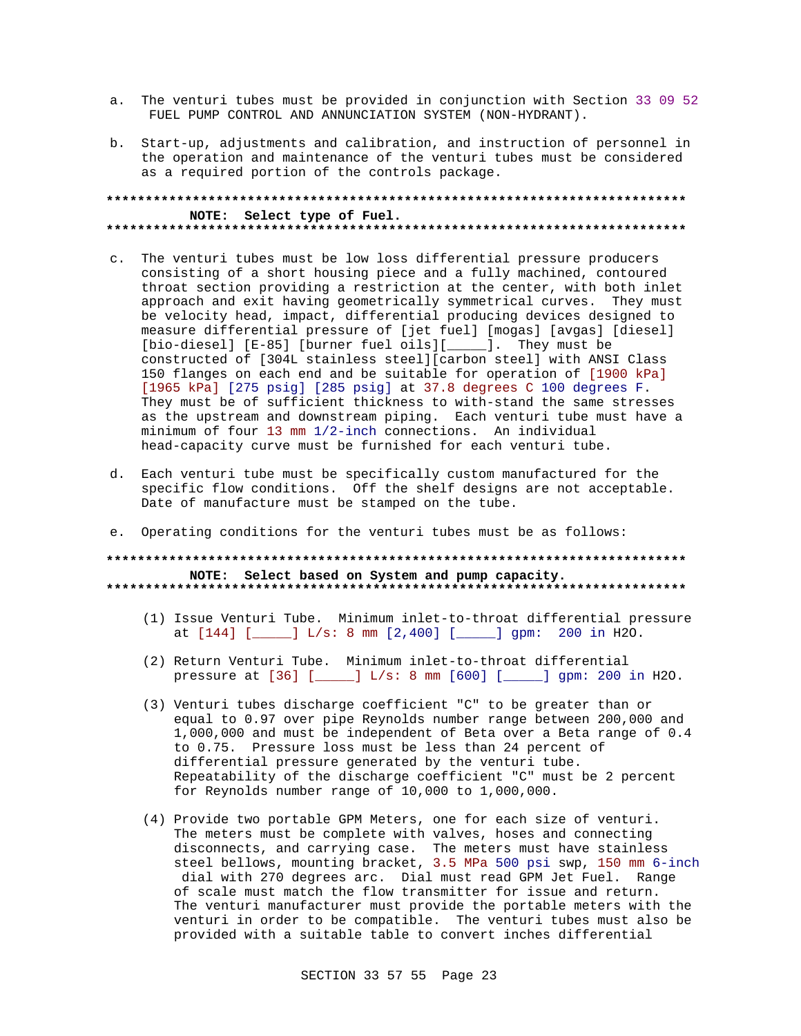- a. The venturi tubes must be provided in conjunction with Section 33 09 52 FUEL PUMP CONTROL AND ANNUNCIATION SYSTEM (NON-HYDRANT).
- b. Start-up, adjustments and calibration, and instruction of personnel in the operation and maintenance of the venturi tubes must be considered as a required portion of the controls package.

#### **\*\*\*\*\*\*\*\*\*\*\*\*\*\*\*\*\*\*\*\*\*\*\*\*\*\*\*\*\*\*\*\*\*\*\*\*\*\*\*\*\*\*\*\*\*\*\*\*\*\*\*\*\*\*\*\*\*\*\*\*\*\*\*\*\*\*\*\*\*\*\*\*\*\* NOTE: Select type of Fuel. \*\*\*\*\*\*\*\*\*\*\*\*\*\*\*\*\*\*\*\*\*\*\*\*\*\*\*\*\*\*\*\*\*\*\*\*\*\*\*\*\*\*\*\*\*\*\*\*\*\*\*\*\*\*\*\*\*\*\*\*\*\*\*\*\*\*\*\*\*\*\*\*\*\***

- c. The venturi tubes must be low loss differential pressure producers consisting of a short housing piece and a fully machined, contoured throat section providing a restriction at the center, with both inlet approach and exit having geometrically symmetrical curves. They must be velocity head, impact, differential producing devices designed to measure differential pressure of [jet fuel] [mogas] [avgas] [diesel] [bio-diesel] [E-85] [burner fuel oils][\_\_\_\_\_]. They must be constructed of [304L stainless steel][carbon steel] with ANSI Class 150 flanges on each end and be suitable for operation of [1900 kPa] [1965 kPa] [275 psig] [285 psig] at 37.8 degrees C 100 degrees F. They must be of sufficient thickness to with-stand the same stresses as the upstream and downstream piping. Each venturi tube must have a minimum of four 13 mm 1/2-inch connections. An individual head-capacity curve must be furnished for each venturi tube.
- d. Each venturi tube must be specifically custom manufactured for the specific flow conditions. Off the shelf designs are not acceptable. Date of manufacture must be stamped on the tube.
- e. Operating conditions for the venturi tubes must be as follows:

#### **\*\*\*\*\*\*\*\*\*\*\*\*\*\*\*\*\*\*\*\*\*\*\*\*\*\*\*\*\*\*\*\*\*\*\*\*\*\*\*\*\*\*\*\*\*\*\*\*\*\*\*\*\*\*\*\*\*\*\*\*\*\*\*\*\*\*\*\*\*\*\*\*\*\* NOTE: Select based on System and pump capacity. \*\*\*\*\*\*\*\*\*\*\*\*\*\*\*\*\*\*\*\*\*\*\*\*\*\*\*\*\*\*\*\*\*\*\*\*\*\*\*\*\*\*\*\*\*\*\*\*\*\*\*\*\*\*\*\*\*\*\*\*\*\*\*\*\*\*\*\*\*\*\*\*\*\***

- (1) Issue Venturi Tube. Minimum inlet-to-throat differential pressure at [144] [\_\_\_\_\_] L/s: 8 mm [2,400] [\_\_\_\_\_] gpm: 200 in H2O.
- (2) Return Venturi Tube. Minimum inlet-to-throat differential pressure at [36] [\_\_\_\_\_] L/s: 8 mm [600] [\_\_\_\_\_] gpm: 200 in H2O.
- (3) Venturi tubes discharge coefficient "C" to be greater than or equal to 0.97 over pipe Reynolds number range between 200,000 and 1,000,000 and must be independent of Beta over a Beta range of 0.4 to 0.75. Pressure loss must be less than 24 percent of differential pressure generated by the venturi tube. Repeatability of the discharge coefficient "C" must be 2 percent for Reynolds number range of 10,000 to 1,000,000.
- (4) Provide two portable GPM Meters, one for each size of venturi. The meters must be complete with valves, hoses and connecting disconnects, and carrying case. The meters must have stainless steel bellows, mounting bracket, 3.5 MPa 500 psi swp, 150 mm 6-inch dial with 270 degrees arc. Dial must read GPM Jet Fuel. Range of scale must match the flow transmitter for issue and return. The venturi manufacturer must provide the portable meters with the venturi in order to be compatible. The venturi tubes must also be provided with a suitable table to convert inches differential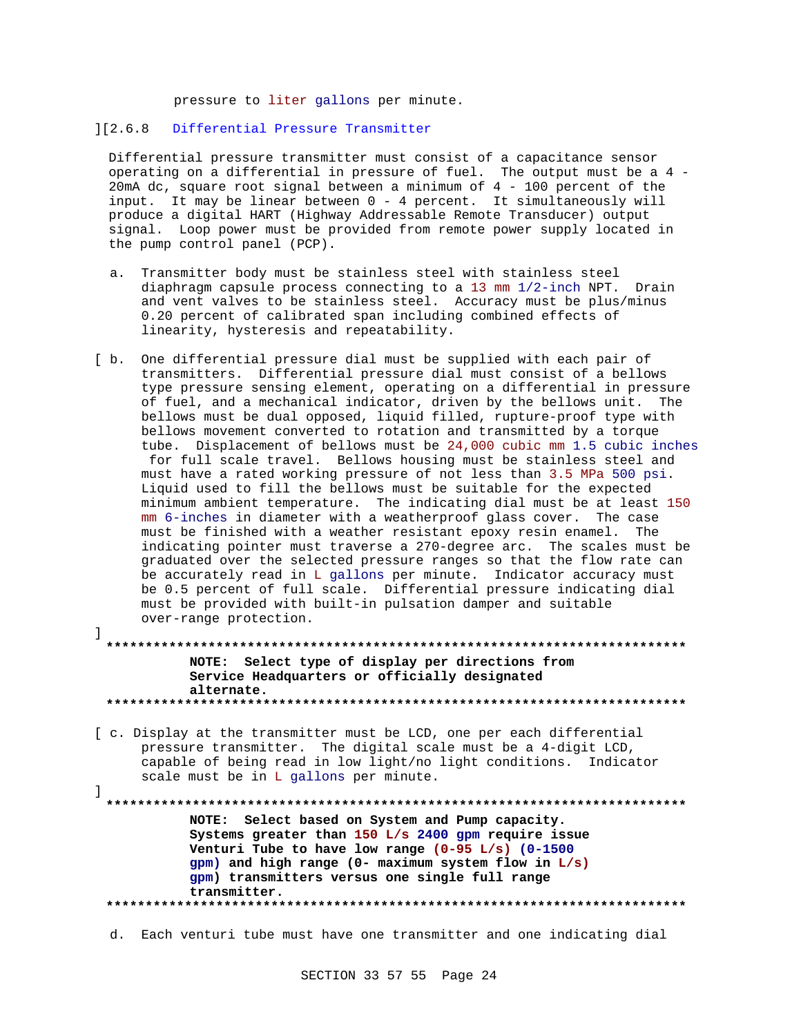pressure to liter gallons per minute.

#### ][2.6.8 Differential Pressure Transmitter

Differential pressure transmitter must consist of a capacitance sensor operating on a differential in pressure of fuel. The output must be a 4 - 20mA dc, square root signal between a minimum of 4 - 100 percent of the input. It may be linear between 0 - 4 percent. It simultaneously will produce a digital HART (Highway Addressable Remote Transducer) output signal. Loop power must be provided from remote power supply located in the pump control panel (PCP).

- a. Transmitter body must be stainless steel with stainless steel diaphragm capsule process connecting to a 13 mm 1/2-inch NPT. Drain and vent valves to be stainless steel. Accuracy must be plus/minus 0.20 percent of calibrated span including combined effects of linearity, hysteresis and repeatability.
- [ b. One differential pressure dial must be supplied with each pair of transmitters. Differential pressure dial must consist of a bellows type pressure sensing element, operating on a differential in pressure of fuel, and a mechanical indicator, driven by the bellows unit. The bellows must be dual opposed, liquid filled, rupture-proof type with bellows movement converted to rotation and transmitted by a torque tube. Displacement of bellows must be 24,000 cubic mm 1.5 cubic inches for full scale travel. Bellows housing must be stainless steel and must have a rated working pressure of not less than 3.5 MPa 500 psi. Liquid used to fill the bellows must be suitable for the expected minimum ambient temperature. The indicating dial must be at least 150 mm 6-inches in diameter with a weatherproof glass cover. The case must be finished with a weather resistant epoxy resin enamel. The indicating pointer must traverse a 270-degree arc. The scales must be graduated over the selected pressure ranges so that the flow rate can be accurately read in L gallons per minute. Indicator accuracy must be 0.5 percent of full scale. Differential pressure indicating dial must be provided with built-in pulsation damper and suitable over-range protection. ]

**\*\*\*\*\*\*\*\*\*\*\*\*\*\*\*\*\*\*\*\*\*\*\*\*\*\*\*\*\*\*\*\*\*\*\*\*\*\*\*\*\*\*\*\*\*\*\*\*\*\*\*\*\*\*\*\*\*\*\*\*\*\*\*\*\*\*\*\*\*\*\*\*\*\* NOTE: Select type of display per directions from Service Headquarters or officially designated alternate. \*\*\*\*\*\*\*\*\*\*\*\*\*\*\*\*\*\*\*\*\*\*\*\*\*\*\*\*\*\*\*\*\*\*\*\*\*\*\*\*\*\*\*\*\*\*\*\*\*\*\*\*\*\*\*\*\*\*\*\*\*\*\*\*\*\*\*\*\*\*\*\*\*\***

[ c. Display at the transmitter must be LCD, one per each differential pressure transmitter. The digital scale must be a 4-digit LCD, capable of being read in low light/no light conditions. Indicator scale must be in L gallons per minute.

]

**\*\*\*\*\*\*\*\*\*\*\*\*\*\*\*\*\*\*\*\*\*\*\*\*\*\*\*\*\*\*\*\*\*\*\*\*\*\*\*\*\*\*\*\*\*\*\*\*\*\*\*\*\*\*\*\*\*\*\*\*\*\*\*\*\*\*\*\*\*\*\*\*\*\* NOTE: Select based on System and Pump capacity. Systems greater than 150 L/s 2400 gpm require issue Venturi Tube to have low range (0-95 L/s) (0-1500 gpm) and high range (0- maximum system flow in L/s) gpm) transmitters versus one single full range transmitter. \*\*\*\*\*\*\*\*\*\*\*\*\*\*\*\*\*\*\*\*\*\*\*\*\*\*\*\*\*\*\*\*\*\*\*\*\*\*\*\*\*\*\*\*\*\*\*\*\*\*\*\*\*\*\*\*\*\*\*\*\*\*\*\*\*\*\*\*\*\*\*\*\*\***

d. Each venturi tube must have one transmitter and one indicating dial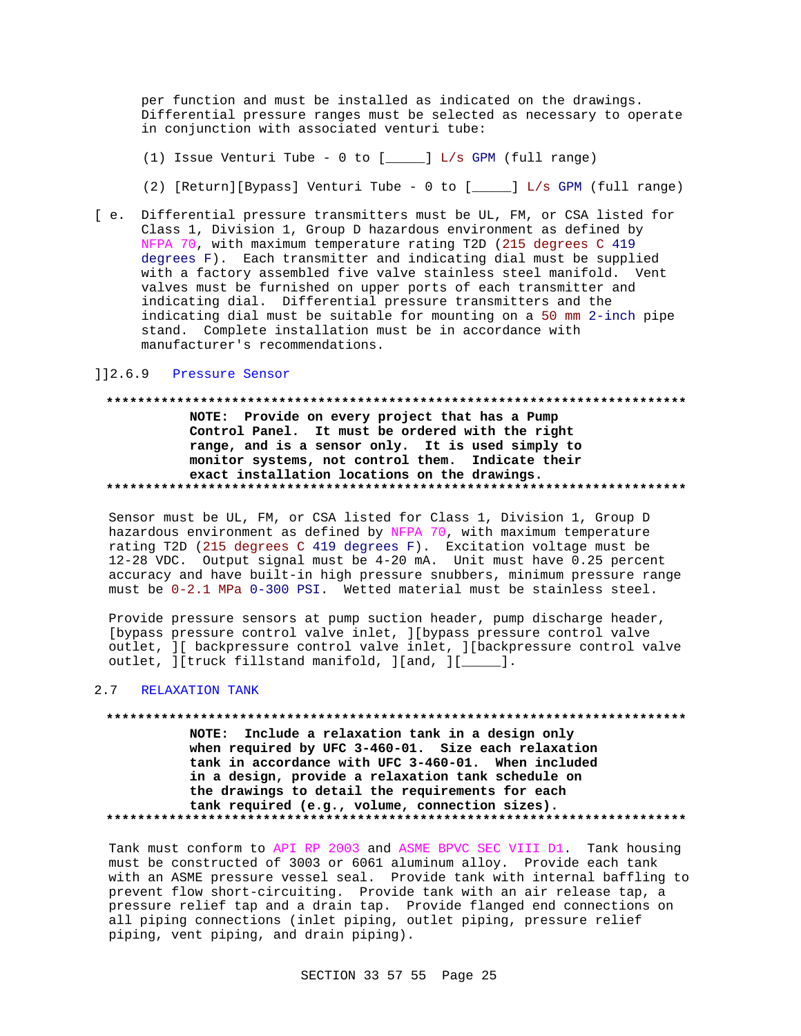per function and must be installed as indicated on the drawings. Differential pressure ranges must be selected as necessary to operate in conjunction with associated venturi tube:

- (1) Issue Venturi Tube 0 to [\_\_\_\_\_] L/s GPM (full range)
- (2) [Return][Bypass] Venturi Tube 0 to [\_\_\_\_\_] L/s GPM (full range)
- [ e. Differential pressure transmitters must be UL, FM, or CSA listed for Class 1, Division 1, Group D hazardous environment as defined by NFPA 70, with maximum temperature rating T2D (215 degrees C 419 degrees F). Each transmitter and indicating dial must be supplied with a factory assembled five valve stainless steel manifold. Vent valves must be furnished on upper ports of each transmitter and indicating dial. Differential pressure transmitters and the indicating dial must be suitable for mounting on a 50 mm 2-inch pipe stand. Complete installation must be in accordance with manufacturer's recommendations.

#### ]]2.6.9 Pressure Sensor

# **\*\*\*\*\*\*\*\*\*\*\*\*\*\*\*\*\*\*\*\*\*\*\*\*\*\*\*\*\*\*\*\*\*\*\*\*\*\*\*\*\*\*\*\*\*\*\*\*\*\*\*\*\*\*\*\*\*\*\*\*\*\*\*\*\*\*\*\*\*\*\*\*\*\* NOTE: Provide on every project that has a Pump Control Panel. It must be ordered with the right range, and is a sensor only. It is used simply to**

# **monitor systems, not control them. Indicate their exact installation locations on the drawings. \*\*\*\*\*\*\*\*\*\*\*\*\*\*\*\*\*\*\*\*\*\*\*\*\*\*\*\*\*\*\*\*\*\*\*\*\*\*\*\*\*\*\*\*\*\*\*\*\*\*\*\*\*\*\*\*\*\*\*\*\*\*\*\*\*\*\*\*\*\*\*\*\*\***

Sensor must be UL, FM, or CSA listed for Class 1, Division 1, Group D hazardous environment as defined by NFPA 70, with maximum temperature rating T2D (215 degrees C 419 degrees F). Excitation voltage must be 12-28 VDC. Output signal must be 4-20 mA. Unit must have 0.25 percent accuracy and have built-in high pressure snubbers, minimum pressure range must be 0-2.1 MPa 0-300 PSI. Wetted material must be stainless steel.

Provide pressure sensors at pump suction header, pump discharge header, [bypass pressure control valve inlet, ][bypass pressure control valve outlet, ][ backpressure control valve inlet, ][backpressure control valve outlet,  $]$ [truck fillstand manifold,  $]$ [and,  $]$ [\_\_\_\_].

#### 2.7 RELAXATION TANK

# **\*\*\*\*\*\*\*\*\*\*\*\*\*\*\*\*\*\*\*\*\*\*\*\*\*\*\*\*\*\*\*\*\*\*\*\*\*\*\*\*\*\*\*\*\*\*\*\*\*\*\*\*\*\*\*\*\*\*\*\*\*\*\*\*\*\*\*\*\*\*\*\*\*\* NOTE: Include a relaxation tank in a design only**

**when required by UFC 3-460-01. Size each relaxation tank in accordance with UFC 3-460-01. When included in a design, provide a relaxation tank schedule on the drawings to detail the requirements for each tank required (e.g., volume, connection sizes). \*\*\*\*\*\*\*\*\*\*\*\*\*\*\*\*\*\*\*\*\*\*\*\*\*\*\*\*\*\*\*\*\*\*\*\*\*\*\*\*\*\*\*\*\*\*\*\*\*\*\*\*\*\*\*\*\*\*\*\*\*\*\*\*\*\*\*\*\*\*\*\*\*\***

Tank must conform to API RP 2003 and ASME BPVC SEC VIII D1. Tank housing must be constructed of 3003 or 6061 aluminum alloy. Provide each tank with an ASME pressure vessel seal. Provide tank with internal baffling to prevent flow short-circuiting. Provide tank with an air release tap, a pressure relief tap and a drain tap. Provide flanged end connections on all piping connections (inlet piping, outlet piping, pressure relief piping, vent piping, and drain piping).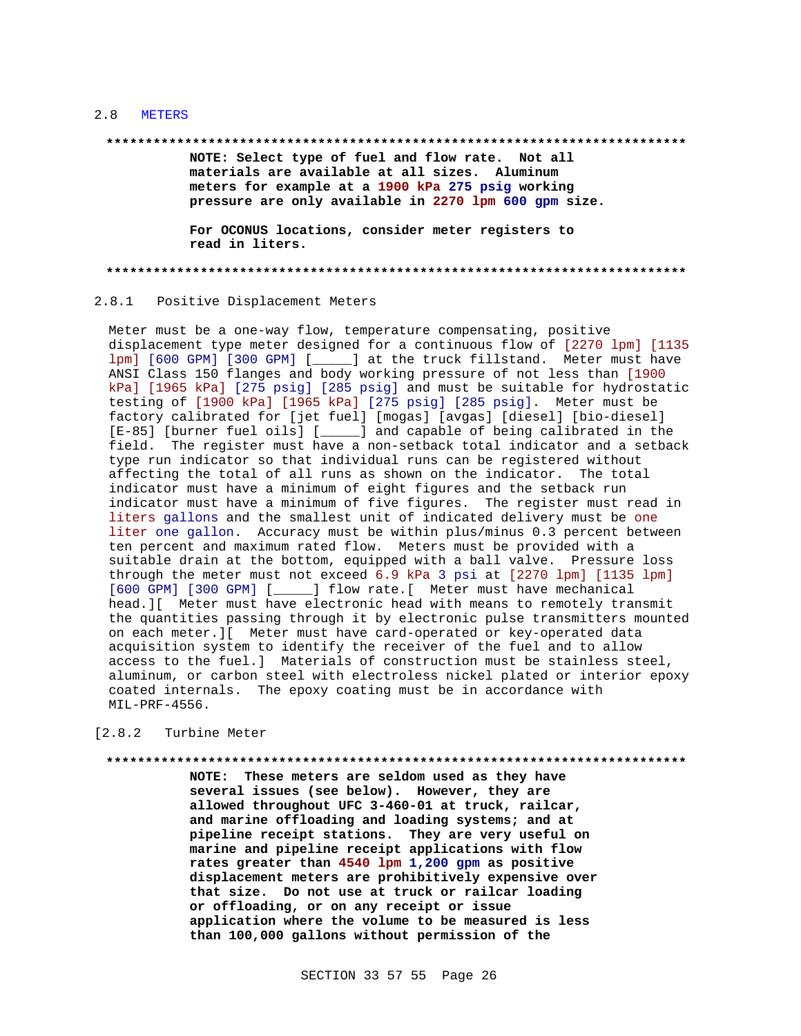#### 2.8 METERS

#### **\*\*\*\*\*\*\*\*\*\*\*\*\*\*\*\*\*\*\*\*\*\*\*\*\*\*\*\*\*\*\*\*\*\*\*\*\*\*\*\*\*\*\*\*\*\*\*\*\*\*\*\*\*\*\*\*\*\*\*\*\*\*\*\*\*\*\*\*\*\*\*\*\*\***

**NOTE: Select type of fuel and flow rate. Not all materials are available at all sizes. Aluminum meters for example at a 1900 kPa 275 psig working pressure are only available in 2270 lpm 600 gpm size.**

**For OCONUS locations, consider meter registers to read in liters.**

**\*\*\*\*\*\*\*\*\*\*\*\*\*\*\*\*\*\*\*\*\*\*\*\*\*\*\*\*\*\*\*\*\*\*\*\*\*\*\*\*\*\*\*\*\*\*\*\*\*\*\*\*\*\*\*\*\*\*\*\*\*\*\*\*\*\*\*\*\*\*\*\*\*\***

#### 2.8.1 Positive Displacement Meters

Meter must be a one-way flow, temperature compensating, positive displacement type meter designed for a continuous flow of [2270 lpm] [1135 lpm] [600 GPM] [300 GPM] [\_\_\_\_\_] at the truck fillstand. Meter must have ANSI Class 150 flanges and body working pressure of not less than [1900 kPa] [1965 kPa] [275 psig] [285 psig] and must be suitable for hydrostatic testing of [1900 kPa] [1965 kPa] [275 psig] [285 psig]. Meter must be factory calibrated for [jet fuel] [mogas] [avgas] [diesel] [bio-diesel] [E-85] [burner fuel oils] [\_\_\_\_\_] and capable of being calibrated in the field. The register must have a non-setback total indicator and a setback type run indicator so that individual runs can be registered without affecting the total of all runs as shown on the indicator. The total indicator must have a minimum of eight figures and the setback run indicator must have a minimum of five figures. The register must read in liters gallons and the smallest unit of indicated delivery must be one liter one gallon. Accuracy must be within plus/minus 0.3 percent between ten percent and maximum rated flow. Meters must be provided with a suitable drain at the bottom, equipped with a ball valve. Pressure loss through the meter must not exceed 6.9 kPa 3 psi at [2270 lpm] [1135 lpm] [600 GPM] [300 GPM] [\_\_\_\_\_] flow rate.[ Meter must have mechanical head.][ Meter must have electronic head with means to remotely transmit the quantities passing through it by electronic pulse transmitters mounted on each meter.][ Meter must have card-operated or key-operated data acquisition system to identify the receiver of the fuel and to allow access to the fuel.] Materials of construction must be stainless steel, aluminum, or carbon steel with electroless nickel plated or interior epoxy coated internals. The epoxy coating must be in accordance with MIL-PRF-4556.

#### [2.8.2 Turbine Meter

**\*\*\*\*\*\*\*\*\*\*\*\*\*\*\*\*\*\*\*\*\*\*\*\*\*\*\*\*\*\*\*\*\*\*\*\*\*\*\*\*\*\*\*\*\*\*\*\*\*\*\*\*\*\*\*\*\*\*\*\*\*\*\*\*\*\*\*\*\*\*\*\*\*\* NOTE: These meters are seldom used as they have several issues (see below). However, they are allowed throughout UFC 3-460-01 at truck, railcar, and marine offloading and loading systems; and at pipeline receipt stations. They are very useful on marine and pipeline receipt applications with flow rates greater than 4540 lpm 1,200 gpm as positive displacement meters are prohibitively expensive over that size. Do not use at truck or railcar loading or offloading, or on any receipt or issue application where the volume to be measured is less than 100,000 gallons without permission of the**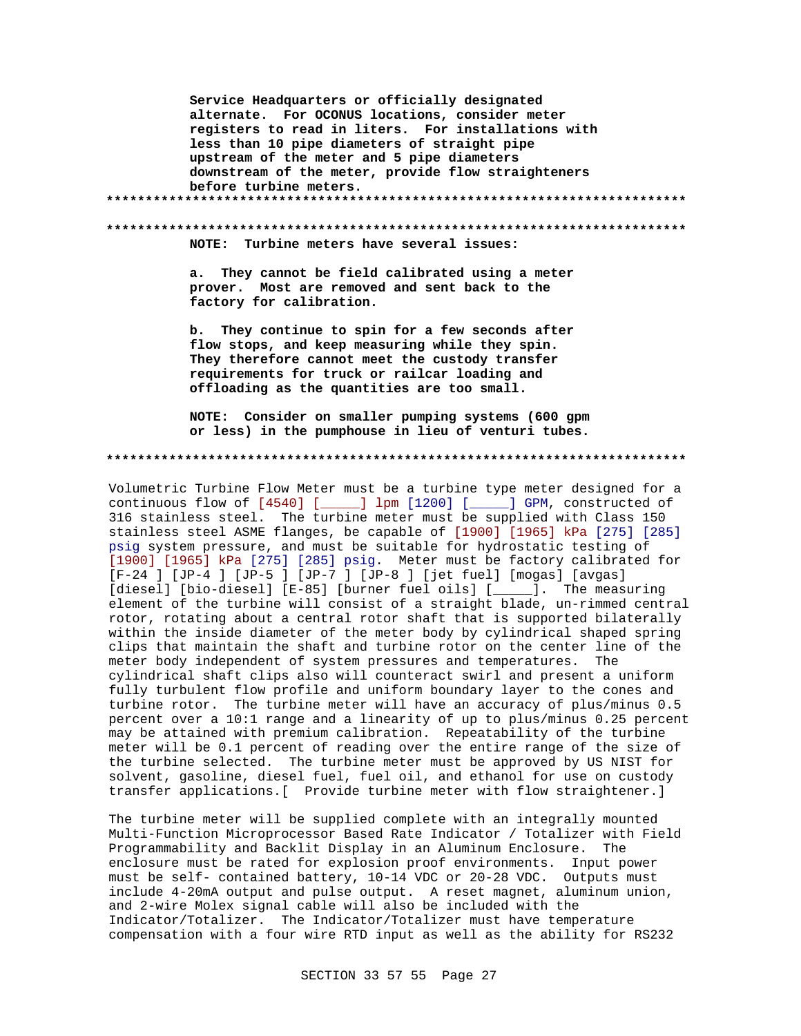Service Headquarters or officially designated alternate. For OCONUS locations, consider meter registers to read in liters. For installations with less than 10 pipe diameters of straight pipe upstream of the meter and 5 pipe diameters downstream of the meter, provide flow straighteners before turbine meters. NOTE: Turbine meters have several issues: a. They cannot be field calibrated using a meter prover. Most are removed and sent back to the factory for calibration.  $<sub>b</sub>$ .</sub> They continue to spin for a few seconds after flow stops, and keep measuring while they spin. They therefore cannot meet the custody transfer requirements for truck or railcar loading and offloading as the quantities are too small. NOTE: Consider on smaller pumping systems (600 gpm or less) in the pumphouse in lieu of venturi tubes. Volumetric Turbine Flow Meter must be a turbine type meter designed for a

continuous flow of [4540] [\_\_\_\_\_] lpm [1200] [\_\_\_\_\_] GPM, constructed of 316 stainless steel. The turbine meter must be supplied with Class 150 stainless steel ASME flanges, be capable of [1900] [1965] kPa [275] [285] psig system pressure, and must be suitable for hydrostatic testing of [1900] [1965] kPa [275] [285] psig. Meter must be factory calibrated for [F-24 ] [JP-4 ] [JP-5 ] [JP-7 ] [JP-8 ] [jet fuel] [mogas] [avgas] [diesel] [bio-diesel] [E-85] [burner fuel oils] [\_\_\_\_\_]. The measuring element of the turbine will consist of a straight blade, un-rimmed central rotor, rotating about a central rotor shaft that is supported bilaterally within the inside diameter of the meter body by cylindrical shaped spring clips that maintain the shaft and turbine rotor on the center line of the meter body independent of system pressures and temperatures. The cylindrical shaft clips also will counteract swirl and present a uniform fully turbulent flow profile and uniform boundary layer to the cones and turbine rotor. The turbine meter will have an accuracy of plus/minus 0.5 percent over a 10:1 range and a linearity of up to plus/minus 0.25 percent may be attained with premium calibration. Repeatability of the turbine meter will be 0.1 percent of reading over the entire range of the size of the turbine selected. The turbine meter must be approved by US NIST for solvent, gasoline, diesel fuel, fuel oil, and ethanol for use on custody transfer applications. [ Provide turbine meter with flow straightener.]

The turbine meter will be supplied complete with an integrally mounted Multi-Function Microprocessor Based Rate Indicator / Totalizer with Field Programmability and Backlit Display in an Aluminum Enclosure. The enclosure must be rated for explosion proof environments. Input power must be self- contained battery, 10-14 VDC or 20-28 VDC. Outputs must include 4-20mA output and pulse output. A reset magnet, aluminum union, and 2-wire Molex signal cable will also be included with the Indicator/Totalizer. The Indicator/Totalizer must have temperature compensation with a four wire RTD input as well as the ability for RS232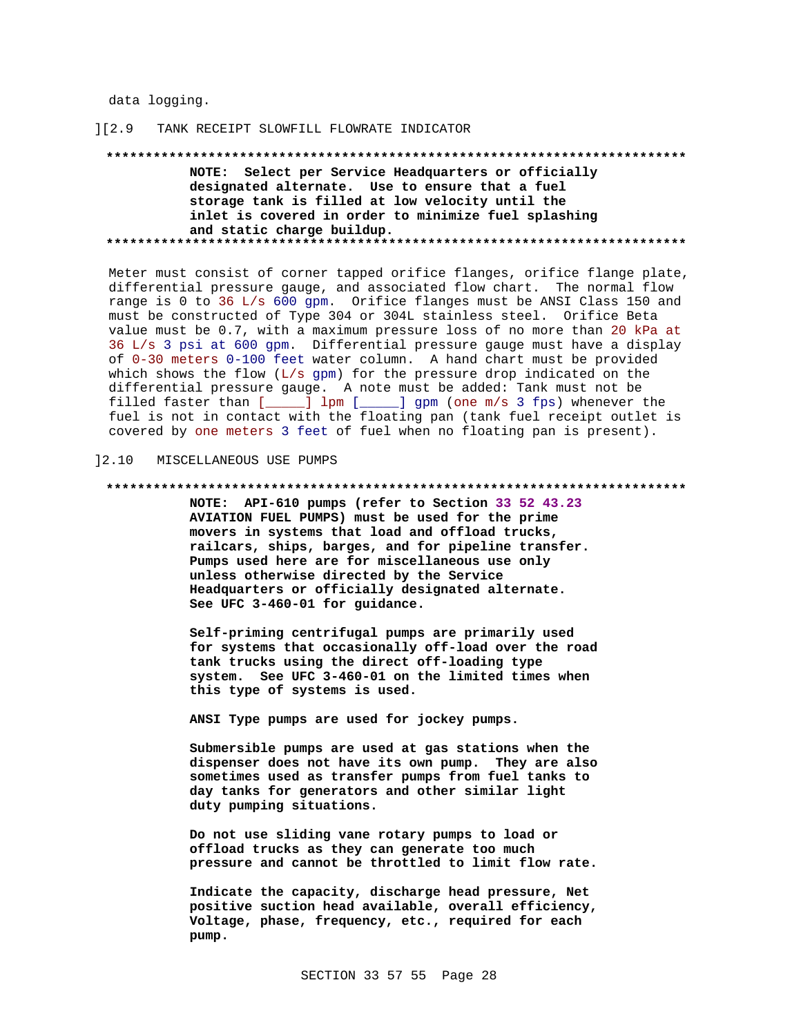data logging.

#### $1[2.9]$ TANK RECEIPT SLOWFILL FLOWRATE INDICATOR

NOTE: Select per Service Headquarters or officially designated alternate. Use to ensure that a fuel storage tank is filled at low velocity until the inlet is covered in order to minimize fuel splashing and static charge buildup. 

Meter must consist of corner tapped orifice flanges, orifice flange plate, differential pressure gauge, and associated flow chart. The normal flow range is 0 to 36 L/s 600 gpm. Orifice flanges must be ANSI Class 150 and must be constructed of Type 304 or 304L stainless steel. Orifice Beta value must be 0.7, with a maximum pressure loss of no more than 20 kPa at 36 L/s 3 psi at 600 gpm. Differential pressure gauge must have a display of 0-30 meters 0-100 feet water column. A hand chart must be provided which shows the flow (L/s gpm) for the pressure drop indicated on the differential pressure gauge. A note must be added: Tank must not be filled faster than [\_\_\_\_\_] lpm [\_\_\_\_\_] gpm (one m/s 3 fps) whenever the fuel is not in contact with the floating pan (tank fuel receipt outlet is covered by one meters 3 feet of fuel when no floating pan is present).

#### $12.10$ MISCELLANEOUS USE PUMPS

#### 

NOTE: API-610 pumps (refer to Section 33 52 43.23 AVIATION FUEL PUMPS) must be used for the prime movers in systems that load and offload trucks, railcars, ships, barges, and for pipeline transfer. Pumps used here are for miscellaneous use only unless otherwise directed by the Service Headquarters or officially designated alternate. See UFC 3-460-01 for guidance.

Self-priming centrifugal pumps are primarily used for systems that occasionally off-load over the road tank trucks using the direct off-loading type system. See UFC 3-460-01 on the limited times when this type of systems is used.

ANSI Type pumps are used for jockey pumps.

Submersible pumps are used at gas stations when the dispenser does not have its own pump. They are also sometimes used as transfer pumps from fuel tanks to day tanks for generators and other similar light duty pumping situations.

Do not use sliding vane rotary pumps to load or offload trucks as they can generate too much pressure and cannot be throttled to limit flow rate.

Indicate the capacity, discharge head pressure, Net positive suction head available, overall efficiency, Voltage, phase, frequency, etc., required for each pump.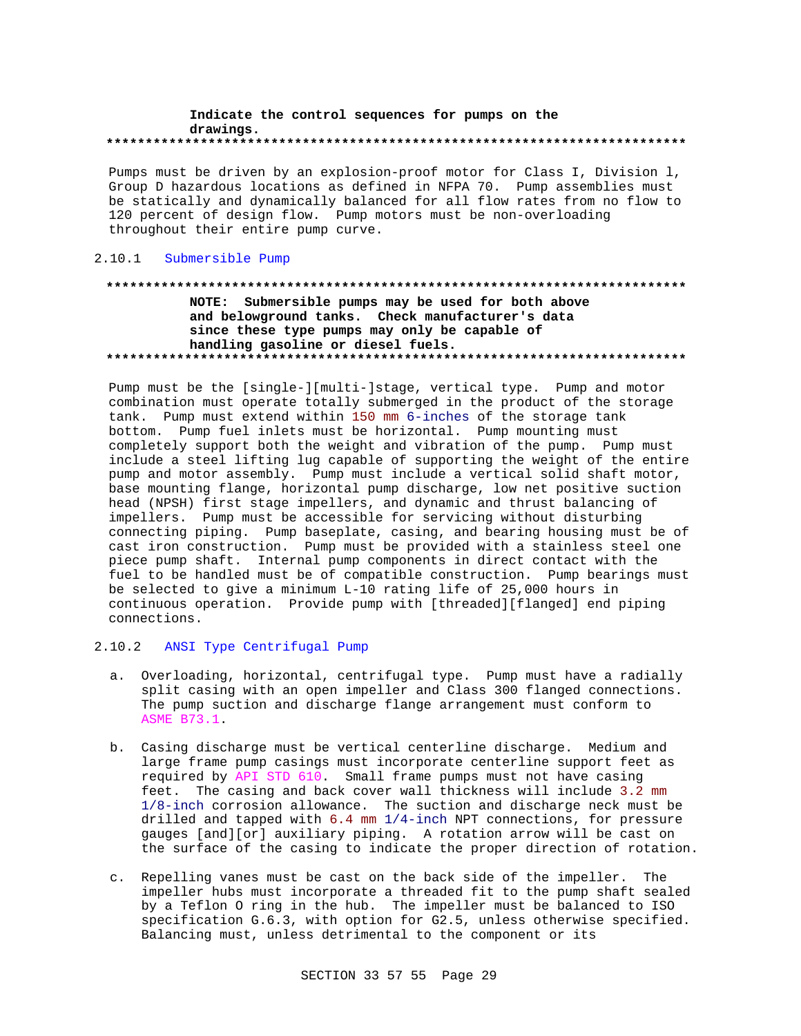#### Indicate the control sequences for pumps on the drawings.

Pumps must be driven by an explosion-proof motor for Class I, Division 1, Group D hazardous locations as defined in NFPA 70. Pump assemblies must be statically and dynamically balanced for all flow rates from no flow to 120 percent of design flow. Pump motors must be non-overloading throughout their entire pump curve.

### 2.10.1 Submersible Pump

# NOTE: Submersible pumps may be used for both above and belowground tanks. Check manufacturer's data since these type pumps may only be capable of handling gasoline or diesel fuels.

Pump must be the [single-][multi-]stage, vertical type. Pump and motor combination must operate totally submerged in the product of the storage tank. Pump must extend within 150 mm 6-inches of the storage tank bottom. Pump fuel inlets must be horizontal. Pump mounting must completely support both the weight and vibration of the pump. Pump must include a steel lifting lug capable of supporting the weight of the entire pump and motor assembly. Pump must include a vertical solid shaft motor, base mounting flange, horizontal pump discharge, low net positive suction head (NPSH) first stage impellers, and dynamic and thrust balancing of impellers. Pump must be accessible for servicing without disturbing connecting piping. Pump baseplate, casing, and bearing housing must be of cast iron construction. Pump must be provided with a stainless steel one piece pump shaft. Internal pump components in direct contact with the fuel to be handled must be of compatible construction. Pump bearings must be selected to give a minimum L-10 rating life of 25,000 hours in continuous operation. Provide pump with [threaded][flanged] end piping connections.

### 2.10.2 ANSI Type Centrifugal Pump

- a. Overloading, horizontal, centrifugal type. Pump must have a radially split casing with an open impeller and Class 300 flanged connections. The pump suction and discharge flange arrangement must conform to ASME B73.1.
- b. Casing discharge must be vertical centerline discharge. Medium and large frame pump casings must incorporate centerline support feet as required by API STD 610. Small frame pumps must not have casing feet. The casing and back cover wall thickness will include 3.2 mm 1/8-inch corrosion allowance. The suction and discharge neck must be drilled and tapped with 6.4 mm 1/4-inch NPT connections, for pressure gauges [and][or] auxiliary piping. A rotation arrow will be cast on the surface of the casing to indicate the proper direction of rotation.
- c. Repelling vanes must be cast on the back side of the impeller. The impeller hubs must incorporate a threaded fit to the pump shaft sealed by a Teflon 0 ring in the hub. The impeller must be balanced to ISO specification G.6.3, with option for G2.5, unless otherwise specified. Balancing must, unless detrimental to the component or its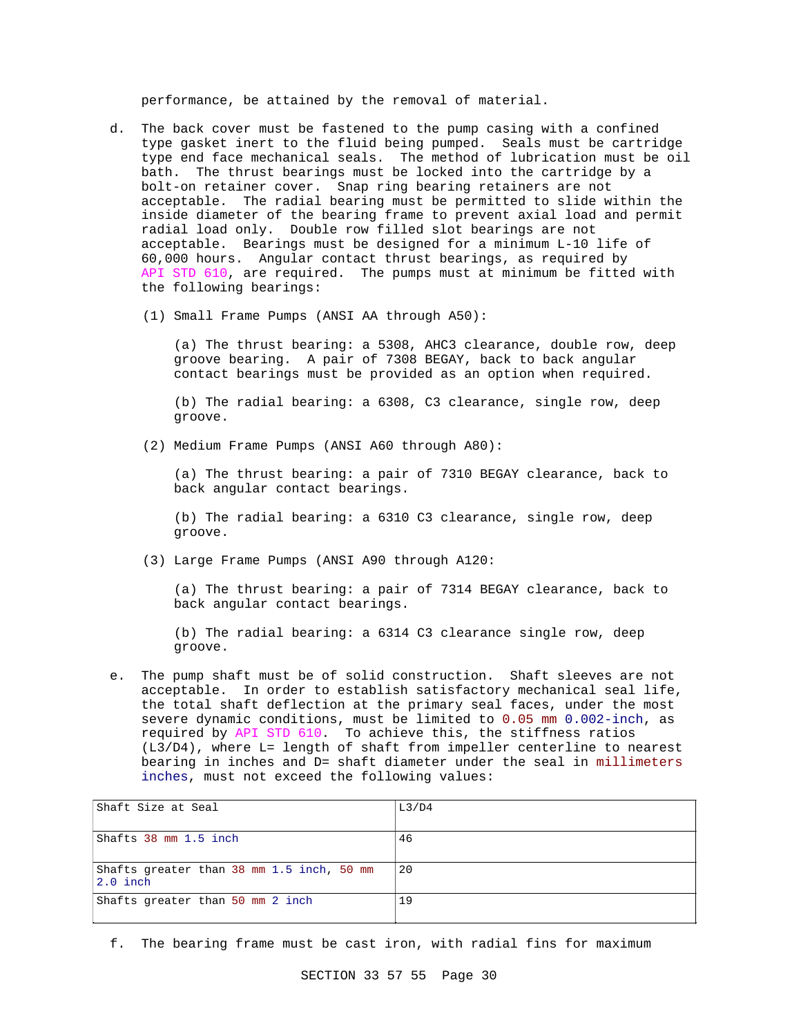performance, be attained by the removal of material.

- d. The back cover must be fastened to the pump casing with a confined type gasket inert to the fluid being pumped. Seals must be cartridge type end face mechanical seals. The method of lubrication must be oil bath. The thrust bearings must be locked into the cartridge by a bolt-on retainer cover. Snap ring bearing retainers are not acceptable. The radial bearing must be permitted to slide within the inside diameter of the bearing frame to prevent axial load and permit radial load only. Double row filled slot bearings are not acceptable. Bearings must be designed for a minimum L-10 life of 60,000 hours. Angular contact thrust bearings, as required by API STD 610, are required. The pumps must at minimum be fitted with the following bearings:
	- (1) Small Frame Pumps (ANSI AA through A50):

(a) The thrust bearing: a 5308, AHC3 clearance, double row, deep groove bearing. A pair of 7308 BEGAY, back to back angular contact bearings must be provided as an option when required.

(b) The radial bearing: a 6308, C3 clearance, single row, deep groove.

(2) Medium Frame Pumps (ANSI A60 through A80):

(a) The thrust bearing: a pair of 7310 BEGAY clearance, back to back angular contact bearings.

(b) The radial bearing: a 6310 C3 clearance, single row, deep groove.

(3) Large Frame Pumps (ANSI A90 through A120:

(a) The thrust bearing: a pair of 7314 BEGAY clearance, back to back angular contact bearings.

(b) The radial bearing: a 6314 C3 clearance single row, deep groove.

e. The pump shaft must be of solid construction. Shaft sleeves are not acceptable. In order to establish satisfactory mechanical seal life, the total shaft deflection at the primary seal faces, under the most severe dynamic conditions, must be limited to 0.05 mm 0.002-inch, as required by API STD 610. To achieve this, the stiffness ratios (L3/D4), where L= length of shaft from impeller centerline to nearest bearing in inches and D= shaft diameter under the seal in millimeters inches, must not exceed the following values:

| Shaft Size at Seal                                      | L3/D4 |
|---------------------------------------------------------|-------|
| Shafts 38 mm 1.5 inch                                   | 46    |
| Shafts greater than 38 mm 1.5 inch, 50 mm<br>$2.0$ inch | 20    |
| Shafts greater than 50 mm 2 inch                        | 19    |

f. The bearing frame must be cast iron, with radial fins for maximum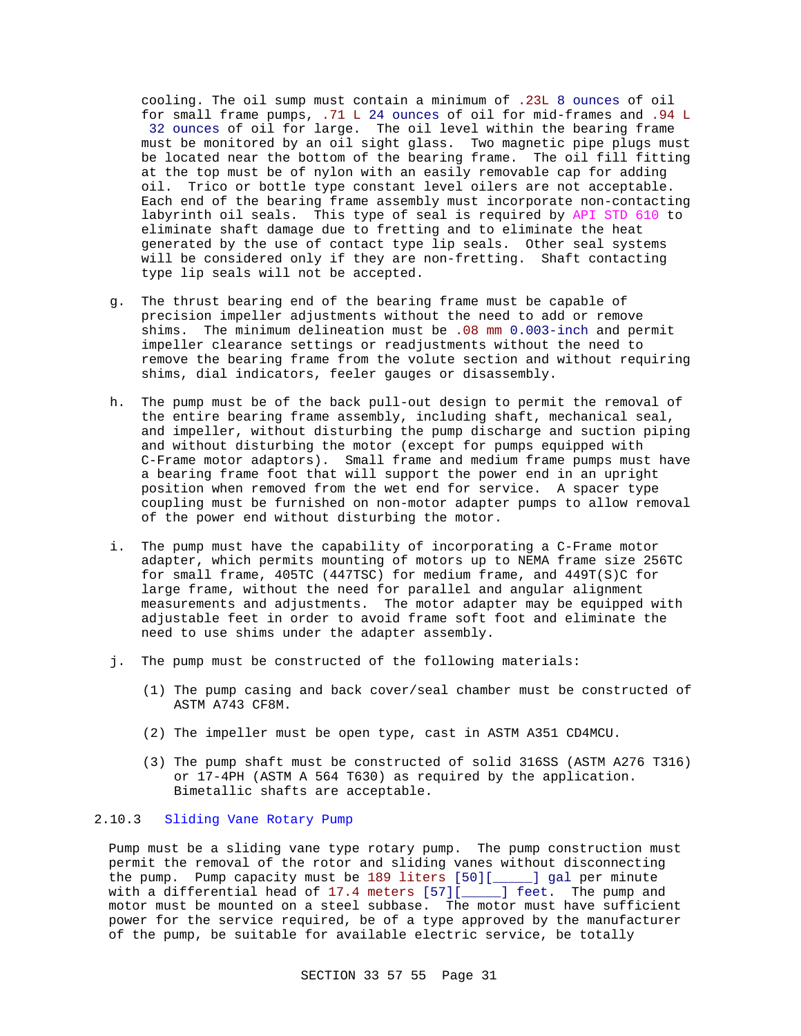cooling. The oil sump must contain a minimum of .23L 8 ounces of oil for small frame pumps, .71 L 24 ounces of oil for mid-frames and .94 L 32 ounces of oil for large. The oil level within the bearing frame must be monitored by an oil sight glass. Two magnetic pipe plugs must be located near the bottom of the bearing frame. The oil fill fitting at the top must be of nylon with an easily removable cap for adding oil. Trico or bottle type constant level oilers are not acceptable. Each end of the bearing frame assembly must incorporate non-contacting labyrinth oil seals. This type of seal is required by API STD 610 to eliminate shaft damage due to fretting and to eliminate the heat generated by the use of contact type lip seals. Other seal systems will be considered only if they are non-fretting. Shaft contacting type lip seals will not be accepted.

- g. The thrust bearing end of the bearing frame must be capable of precision impeller adjustments without the need to add or remove shims. The minimum delineation must be .08 mm 0.003-inch and permit impeller clearance settings or readjustments without the need to remove the bearing frame from the volute section and without requiring shims, dial indicators, feeler gauges or disassembly.
- h. The pump must be of the back pull-out design to permit the removal of the entire bearing frame assembly, including shaft, mechanical seal, and impeller, without disturbing the pump discharge and suction piping and without disturbing the motor (except for pumps equipped with C-Frame motor adaptors). Small frame and medium frame pumps must have a bearing frame foot that will support the power end in an upright position when removed from the wet end for service. A spacer type coupling must be furnished on non-motor adapter pumps to allow removal of the power end without disturbing the motor.
- i. The pump must have the capability of incorporating a C-Frame motor adapter, which permits mounting of motors up to NEMA frame size 256TC for small frame, 405TC (447TSC) for medium frame, and 449T(S)C for large frame, without the need for parallel and angular alignment measurements and adjustments. The motor adapter may be equipped with adjustable feet in order to avoid frame soft foot and eliminate the need to use shims under the adapter assembly.
- j. The pump must be constructed of the following materials:
	- (1) The pump casing and back cover/seal chamber must be constructed of ASTM A743 CF8M.
	- (2) The impeller must be open type, cast in ASTM A351 CD4MCU.
	- (3) The pump shaft must be constructed of solid 316SS (ASTM A276 T316) or 17-4PH (ASTM A 564 T630) as required by the application. Bimetallic shafts are acceptable.

# 2.10.3 Sliding Vane Rotary Pump

Pump must be a sliding vane type rotary pump. The pump construction must permit the removal of the rotor and sliding vanes without disconnecting the pump. Pump capacity must be 189 liters [50][\_\_\_\_\_] gal per minute with a differential head of 17.4 meters [57][\_\_\_\_\_] feet. The pump and motor must be mounted on a steel subbase. The motor must have sufficient power for the service required, be of a type approved by the manufacturer of the pump, be suitable for available electric service, be totally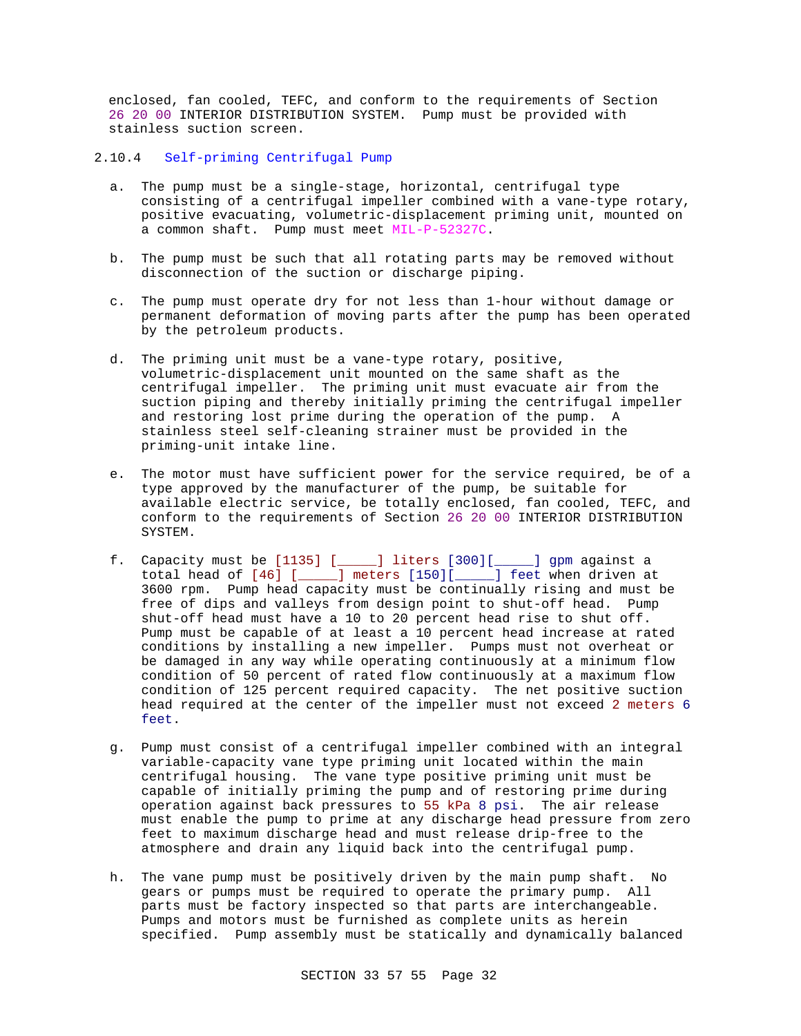enclosed, fan cooled, TEFC, and conform to the requirements of Section 26 20 00 INTERIOR DISTRIBUTION SYSTEM. Pump must be provided with stainless suction screen.

#### 2.10.4 Self-priming Centrifugal Pump

- a. The pump must be a single-stage, horizontal, centrifugal type consisting of a centrifugal impeller combined with a vane-type rotary, positive evacuating, volumetric-displacement priming unit, mounted on a common shaft. Pump must meet MIL-P-52327C.
- b. The pump must be such that all rotating parts may be removed without disconnection of the suction or discharge piping.
- c. The pump must operate dry for not less than 1-hour without damage or permanent deformation of moving parts after the pump has been operated by the petroleum products.
- d. The priming unit must be a vane-type rotary, positive, volumetric-displacement unit mounted on the same shaft as the centrifugal impeller. The priming unit must evacuate air from the suction piping and thereby initially priming the centrifugal impeller and restoring lost prime during the operation of the pump. A stainless steel self-cleaning strainer must be provided in the priming-unit intake line.
- e. The motor must have sufficient power for the service required, be of a type approved by the manufacturer of the pump, be suitable for available electric service, be totally enclosed, fan cooled, TEFC, and conform to the requirements of Section 26 20 00 INTERIOR DISTRIBUTION SYSTEM.
- f. Capacity must be [1135] [\_\_\_\_\_] liters [300][\_\_\_\_\_] gpm against a total head of [46] [\_\_\_\_\_] meters [150][\_\_\_\_\_] feet when driven at 3600 rpm. Pump head capacity must be continually rising and must be free of dips and valleys from design point to shut-off head. Pump shut-off head must have a 10 to 20 percent head rise to shut off. Pump must be capable of at least a 10 percent head increase at rated conditions by installing a new impeller. Pumps must not overheat or be damaged in any way while operating continuously at a minimum flow condition of 50 percent of rated flow continuously at a maximum flow condition of 125 percent required capacity. The net positive suction head required at the center of the impeller must not exceed 2 meters 6 feet.
- g. Pump must consist of a centrifugal impeller combined with an integral variable-capacity vane type priming unit located within the main centrifugal housing. The vane type positive priming unit must be capable of initially priming the pump and of restoring prime during operation against back pressures to 55 kPa 8 psi. The air release must enable the pump to prime at any discharge head pressure from zero feet to maximum discharge head and must release drip-free to the atmosphere and drain any liquid back into the centrifugal pump.
- h. The vane pump must be positively driven by the main pump shaft. No gears or pumps must be required to operate the primary pump. All parts must be factory inspected so that parts are interchangeable. Pumps and motors must be furnished as complete units as herein specified. Pump assembly must be statically and dynamically balanced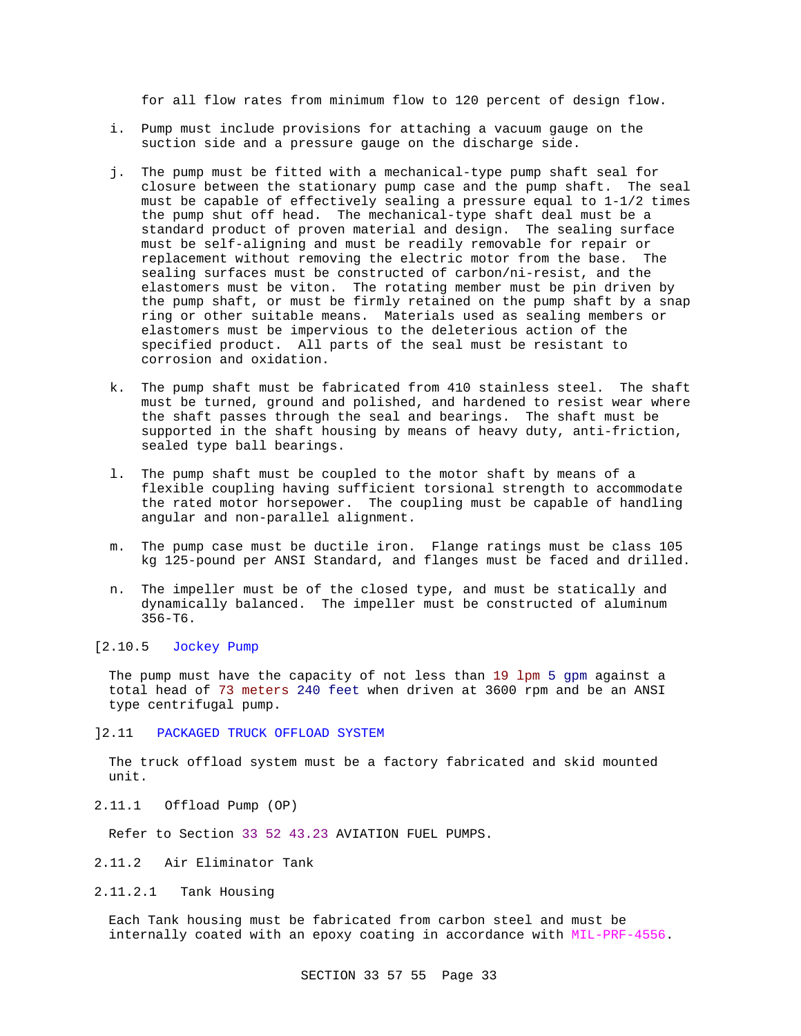for all flow rates from minimum flow to 120 percent of design flow.

- i. Pump must include provisions for attaching a vacuum gauge on the suction side and a pressure gauge on the discharge side.
- j. The pump must be fitted with a mechanical-type pump shaft seal for closure between the stationary pump case and the pump shaft. The seal must be capable of effectively sealing a pressure equal to 1-1/2 times the pump shut off head. The mechanical-type shaft deal must be a standard product of proven material and design. The sealing surface must be self-aligning and must be readily removable for repair or replacement without removing the electric motor from the base. The sealing surfaces must be constructed of carbon/ni-resist, and the elastomers must be viton. The rotating member must be pin driven by the pump shaft, or must be firmly retained on the pump shaft by a snap ring or other suitable means. Materials used as sealing members or elastomers must be impervious to the deleterious action of the specified product. All parts of the seal must be resistant to corrosion and oxidation.
- k. The pump shaft must be fabricated from 410 stainless steel. The shaft must be turned, ground and polished, and hardened to resist wear where the shaft passes through the seal and bearings. The shaft must be supported in the shaft housing by means of heavy duty, anti-friction, sealed type ball bearings.
- l. The pump shaft must be coupled to the motor shaft by means of a flexible coupling having sufficient torsional strength to accommodate the rated motor horsepower. The coupling must be capable of handling angular and non-parallel alignment.
- m. The pump case must be ductile iron. Flange ratings must be class 105 kg 125-pound per ANSI Standard, and flanges must be faced and drilled.
- n. The impeller must be of the closed type, and must be statically and dynamically balanced. The impeller must be constructed of aluminum 356-T6.

# [2.10.5 Jockey Pump

The pump must have the capacity of not less than 19 lpm 5 gpm against a total head of 73 meters 240 feet when driven at 3600 rpm and be an ANSI type centrifugal pump.

#### ]2.11 PACKAGED TRUCK OFFLOAD SYSTEM

The truck offload system must be a factory fabricated and skid mounted unit.

2.11.1 Offload Pump (OP)

Refer to Section 33 52 43.23 AVIATION FUEL PUMPS.

#### 2.11.2 Air Eliminator Tank

2.11.2.1 Tank Housing

Each Tank housing must be fabricated from carbon steel and must be internally coated with an epoxy coating in accordance with MIL-PRF-4556.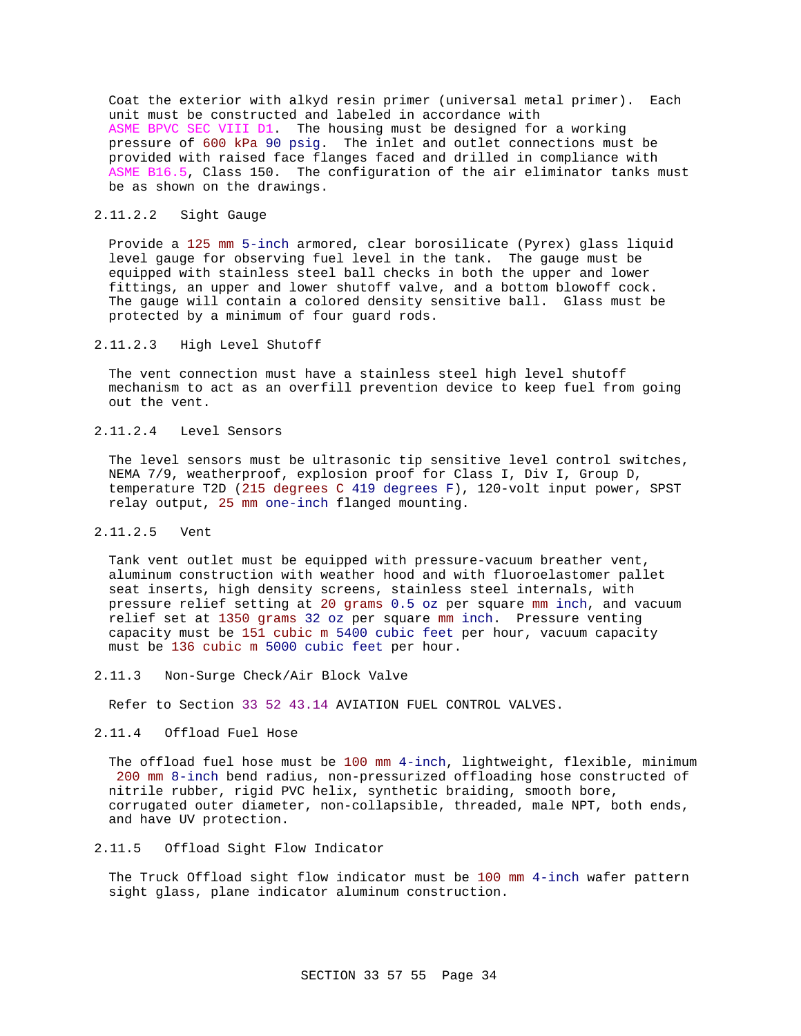Coat the exterior with alkyd resin primer (universal metal primer). Each unit must be constructed and labeled in accordance with ASME BPVC SEC VIII D1. The housing must be designed for a working pressure of 600 kPa 90 psig. The inlet and outlet connections must be provided with raised face flanges faced and drilled in compliance with ASME B16.5, Class 150. The configuration of the air eliminator tanks must be as shown on the drawings.

### 2.11.2.2 Sight Gauge

Provide a 125 mm 5-inch armored, clear borosilicate (Pyrex) glass liquid level gauge for observing fuel level in the tank. The gauge must be equipped with stainless steel ball checks in both the upper and lower fittings, an upper and lower shutoff valve, and a bottom blowoff cock. The gauge will contain a colored density sensitive ball. Glass must be protected by a minimum of four guard rods.

#### 2.11.2.3 High Level Shutoff

The vent connection must have a stainless steel high level shutoff mechanism to act as an overfill prevention device to keep fuel from going out the vent.

### 2.11.2.4 Level Sensors

The level sensors must be ultrasonic tip sensitive level control switches, NEMA 7/9, weatherproof, explosion proof for Class I, Div I, Group D, temperature T2D (215 degrees C 419 degrees F), 120-volt input power, SPST relay output, 25 mm one-inch flanged mounting.

#### 2.11.2.5 Vent

Tank vent outlet must be equipped with pressure-vacuum breather vent, aluminum construction with weather hood and with fluoroelastomer pallet seat inserts, high density screens, stainless steel internals, with pressure relief setting at 20 grams 0.5 oz per square mm inch, and vacuum relief set at 1350 grams 32 oz per square mm inch. Pressure venting capacity must be 151 cubic m 5400 cubic feet per hour, vacuum capacity must be 136 cubic m 5000 cubic feet per hour.

2.11.3 Non-Surge Check/Air Block Valve

Refer to Section 33 52 43.14 AVIATION FUEL CONTROL VALVES.

#### 2.11.4 Offload Fuel Hose

The offload fuel hose must be 100 mm 4-inch, lightweight, flexible, minimum 200 mm 8-inch bend radius, non-pressurized offloading hose constructed of nitrile rubber, rigid PVC helix, synthetic braiding, smooth bore, corrugated outer diameter, non-collapsible, threaded, male NPT, both ends, and have UV protection.

### 2.11.5 Offload Sight Flow Indicator

The Truck Offload sight flow indicator must be 100 mm 4-inch wafer pattern sight glass, plane indicator aluminum construction.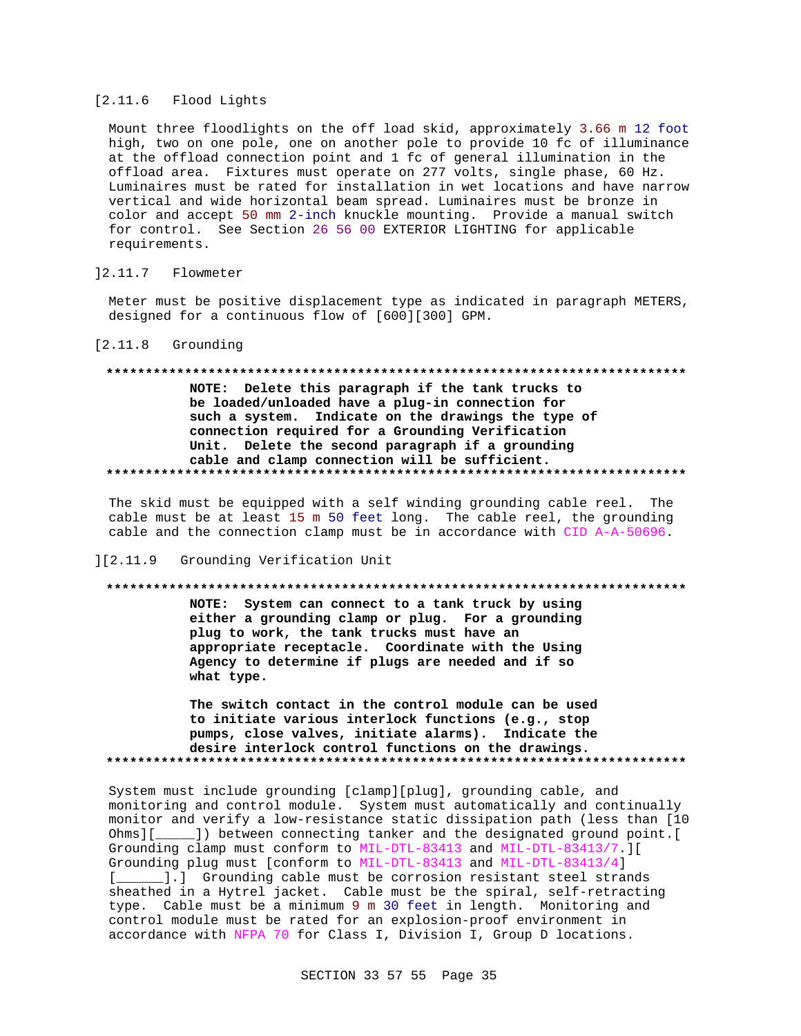#### [2.11.6 Flood Lights

Mount three floodlights on the off load skid, approximately 3.66 m 12 foot high, two on one pole, one on another pole to provide 10 fc of illuminance at the offload connection point and 1 fc of general illumination in the offload area. Fixtures must operate on 277 volts, single phase, 60 Hz. Luminaires must be rated for installation in wet locations and have narrow vertical and wide horizontal beam spread. Luminaires must be bronze in color and accept 50 mm 2-inch knuckle mounting. Provide a manual switch for control. See Section 26 56 00 EXTERIOR LIGHTING for applicable requirements.

#### $] 2.11.7$ Flowmeter

Meter must be positive displacement type as indicated in paragraph METERS, designed for a continuous flow of [600][300] GPM.

#### $[2.11.8$  Grounding

# NOTE: Delete this paragraph if the tank trucks to be loaded/unloaded have a plug-in connection for such a system. Indicate on the drawings the type of connection required for a Grounding Verification Unit. Delete the second paragraph if a grounding cable and clamp connection will be sufficient.

The skid must be equipped with a self winding grounding cable reel. The cable must be at least 15 m 50 feet long. The cable reel, the grounding cable and the connection clamp must be in accordance with CID A-A-50696.

#### ][2.11.9 Grounding Verification Unit

#### 

NOTE: System can connect to a tank truck by using either a grounding clamp or plug. For a grounding plug to work, the tank trucks must have an appropriate receptacle. Coordinate with the Using Agency to determine if plugs are needed and if so what type.

The switch contact in the control module can be used to initiate various interlock functions (e.g., stop pumps, close valves, initiate alarms). Indicate the desire interlock control functions on the drawings. 

System must include grounding [clamp][plug], grounding cable, and monitoring and control module. System must automatically and continually monitor and verify a low-resistance static dissipation path (less than [10 Ohms][\_\_\_\_\_]) between connecting tanker and the designated ground point.[ Grounding clamp must conform to MIL-DTL-83413 and MIL-DTL-83413/7.][ Grounding plug must [conform to MIL-DTL-83413 and MIL-DTL-83413/4] [\_\_\_\_\_\_].] Grounding cable must be corrosion resistant steel strands sheathed in a Hytrel jacket. Cable must be the spiral, self-retracting type. Cable must be a minimum 9 m 30 feet in length. Monitoring and control module must be rated for an explosion-proof environment in accordance with NFPA 70 for Class I, Division I, Group D locations.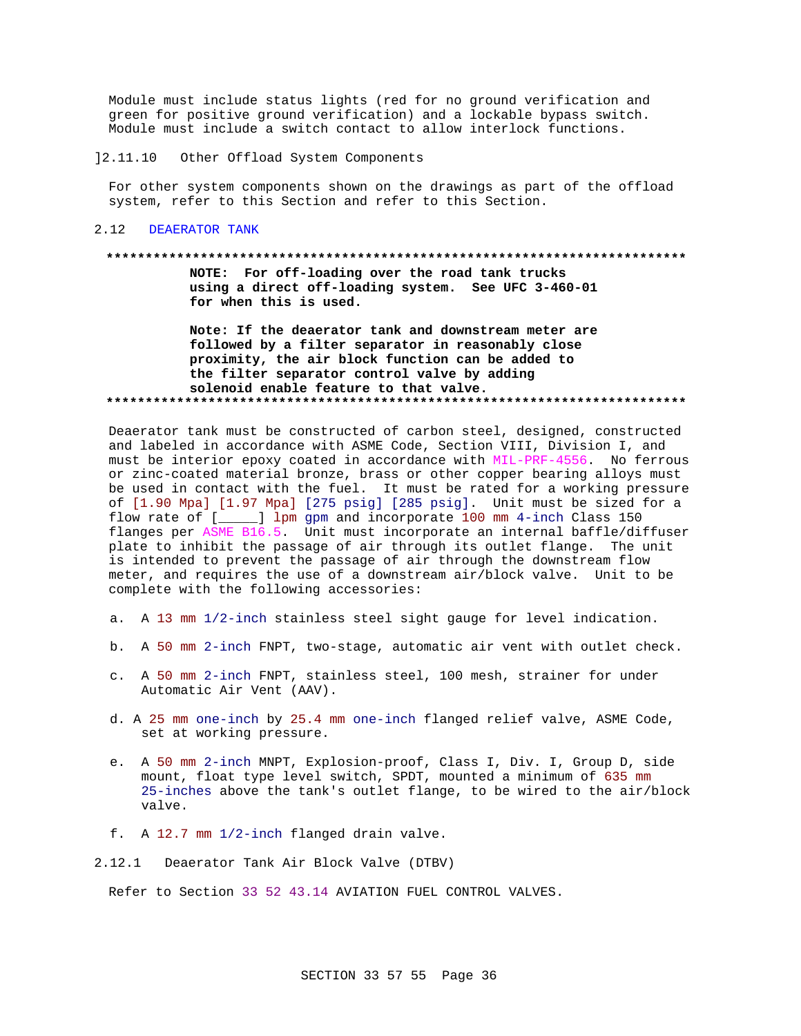Module must include status lights (red for no ground verification and green for positive ground verification) and a lockable bypass switch. Module must include a switch contact to allow interlock functions.

 $] 2.11.10$ Other Offload System Components

For other system components shown on the drawings as part of the offload system, refer to this Section and refer to this Section.

#### $2.12$ DEAERATOR TANK

#### 

NOTE: For off-loading over the road tank trucks using a direct off-loading system. See UFC 3-460-01 for when this is used.

Note: If the deaerator tank and downstream meter are followed by a filter separator in reasonably close proximity, the air block function can be added to the filter separator control valve by adding solenoid enable feature to that valve. 

Deaerator tank must be constructed of carbon steel, designed, constructed and labeled in accordance with ASME Code, Section VIII, Division I, and must be interior epoxy coated in accordance with MIL-PRF-4556. No ferrous or zinc-coated material bronze, brass or other copper bearing alloys must be used in contact with the fuel. It must be rated for a working pressure of [1.90 Mpa] [1.97 Mpa] [275 psig] [285 psig]. Unit must be sized for a flow rate of  $[\_\_]$  1pm gpm and incorporate 100 mm 4-inch Class 150 flanges per ASME B16.5. Unit must incorporate an internal baffle/diffuser plate to inhibit the passage of air through its outlet flange. The unit is intended to prevent the passage of air through the downstream flow meter, and requires the use of a downstream air/block valve. Unit to be complete with the following accessories:

- a. A 13 mm 1/2-inch stainless steel sight gauge for level indication.
- b. A 50 mm 2-inch FNPT, two-stage, automatic air vent with outlet check.
- c. A 50 mm 2-inch FNPT, stainless steel, 100 mesh, strainer for under Automatic Air Vent (AAV).
- d. A 25 mm one-inch by 25.4 mm one-inch flanged relief valve, ASME Code, set at working pressure.
- e. A 50 mm 2-inch MNPT, Explosion-proof, Class I, Div. I, Group D, side mount, float type level switch, SPDT, mounted a minimum of 635 mm 25-inches above the tank's outlet flange, to be wired to the air/block valve.
- f. A 12.7 mm 1/2-inch flanged drain valve.
- 2.12.1 Deaerator Tank Air Block Valve (DTBV)

Refer to Section 33 52 43.14 AVIATION FUEL CONTROL VALVES.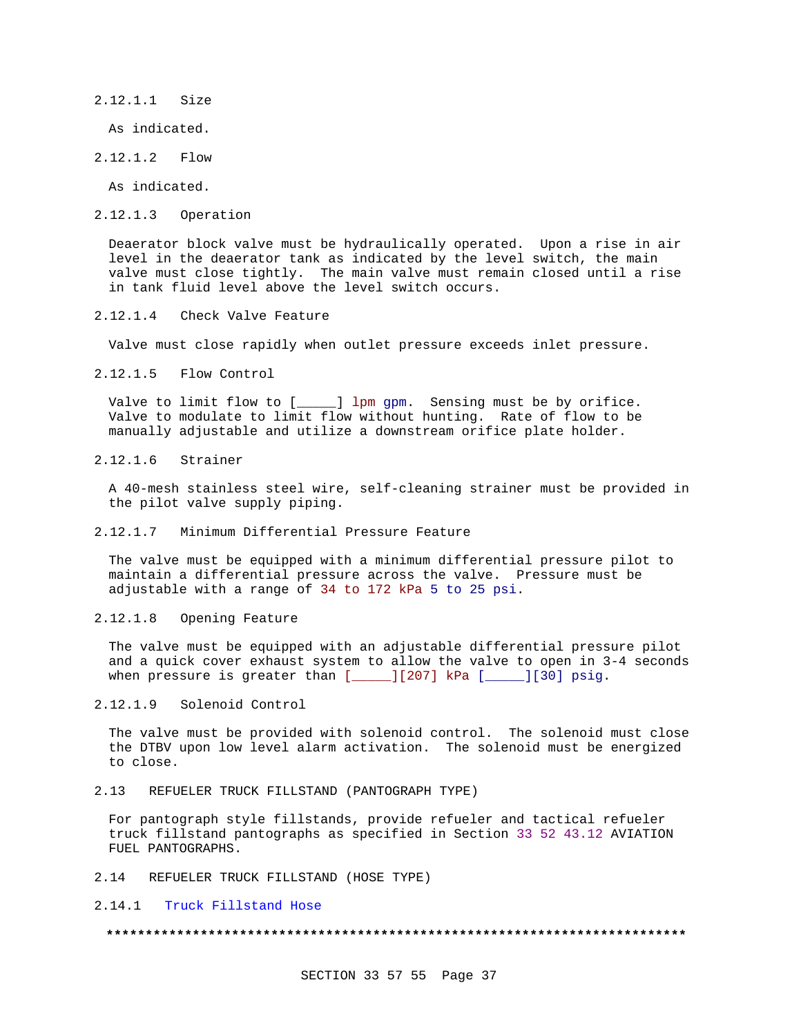2.12.1.1 Size

As indicated.

2.12.1.2 Flow

As indicated.

2.12.1.3 Operation

Deaerator block valve must be hydraulically operated. Upon a rise in air level in the deaerator tank as indicated by the level switch, the main valve must close tightly. The main valve must remain closed until a rise in tank fluid level above the level switch occurs.

2.12.1.4 Check Valve Feature

Valve must close rapidly when outlet pressure exceeds inlet pressure.

2.12.1.5 Flow Control

Valve to limit flow to [\_\_\_\_\_] lpm gpm. Sensing must be by orifice. Valve to modulate to limit flow without hunting. Rate of flow to be manually adjustable and utilize a downstream orifice plate holder.

2.12.1.6 Strainer

A 40-mesh stainless steel wire, self-cleaning strainer must be provided in the pilot valve supply piping.

2.12.1.7 Minimum Differential Pressure Feature

The valve must be equipped with a minimum differential pressure pilot to maintain a differential pressure across the valve. Pressure must be adjustable with a range of 34 to 172 kPa 5 to 25 psi.

2.12.1.8 Opening Feature

The valve must be equipped with an adjustable differential pressure pilot and a quick cover exhaust system to allow the valve to open in 3-4 seconds when pressure is greater than  $[$  [207] kPa  $[$  [ $]$ [30] psig.

2.12.1.9 Solenoid Control

The valve must be provided with solenoid control. The solenoid must close the DTBV upon low level alarm activation. The solenoid must be energized to close.

2.13 REFUELER TRUCK FILLSTAND (PANTOGRAPH TYPE)

For pantograph style fillstands, provide refueler and tactical refueler truck fillstand pantographs as specified in Section 33 52 43.12 AVIATION FUEL PANTOGRAPHS.

2.14 REFUELER TRUCK FILLSTAND (HOSE TYPE)

2.14.1 Truck Fillstand Hose

#### **\*\*\*\*\*\*\*\*\*\*\*\*\*\*\*\*\*\*\*\*\*\*\*\*\*\*\*\*\*\*\*\*\*\*\*\*\*\*\*\*\*\*\*\*\*\*\*\*\*\*\*\*\*\*\*\*\*\*\*\*\*\*\*\*\*\*\*\*\*\*\*\*\*\***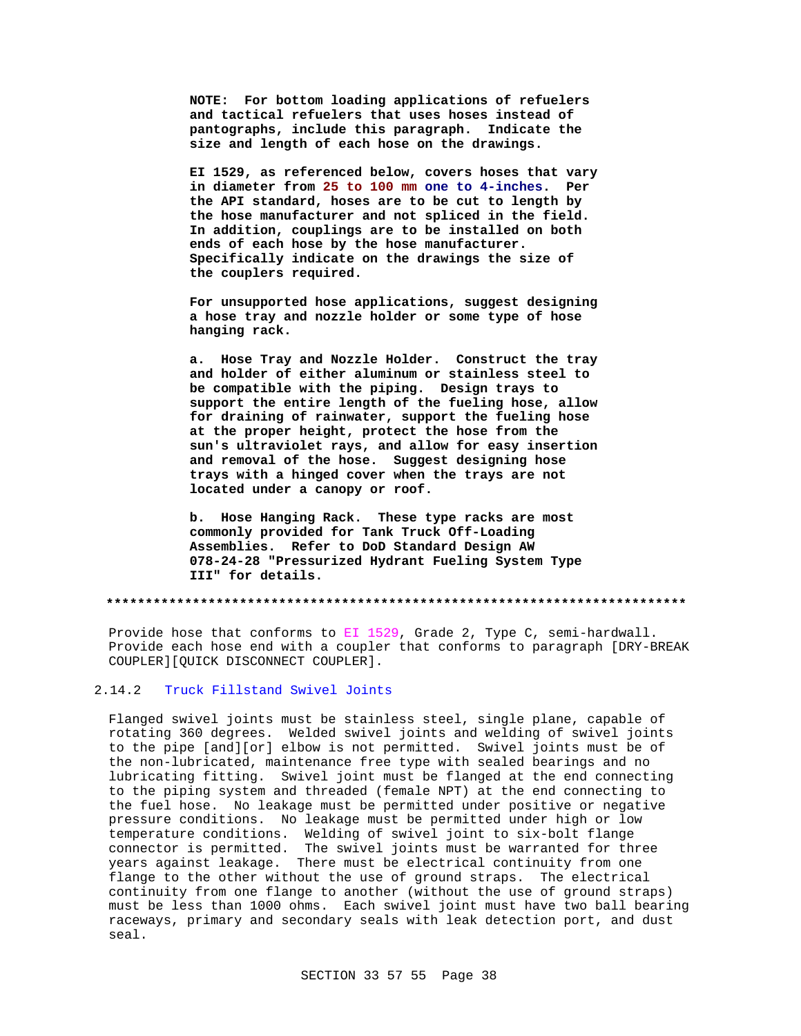**NOTE: For bottom loading applications of refuelers and tactical refuelers that uses hoses instead of pantographs, include this paragraph. Indicate the size and length of each hose on the drawings.**

**EI 1529, as referenced below, covers hoses that vary in diameter from 25 to 100 mm one to 4-inches. Per the API standard, hoses are to be cut to length by the hose manufacturer and not spliced in the field. In addition, couplings are to be installed on both ends of each hose by the hose manufacturer. Specifically indicate on the drawings the size of the couplers required.**

**For unsupported hose applications, suggest designing a hose tray and nozzle holder or some type of hose hanging rack.**

**a. Hose Tray and Nozzle Holder. Construct the tray and holder of either aluminum or stainless steel to be compatible with the piping. Design trays to support the entire length of the fueling hose, allow for draining of rainwater, support the fueling hose at the proper height, protect the hose from the sun's ultraviolet rays, and allow for easy insertion and removal of the hose. Suggest designing hose trays with a hinged cover when the trays are not located under a canopy or roof.**

**b. Hose Hanging Rack. These type racks are most commonly provided for Tank Truck Off-Loading Assemblies. Refer to DoD Standard Design AW 078-24-28 "Pressurized Hydrant Fueling System Type III" for details.**

**\*\*\*\*\*\*\*\*\*\*\*\*\*\*\*\*\*\*\*\*\*\*\*\*\*\*\*\*\*\*\*\*\*\*\*\*\*\*\*\*\*\*\*\*\*\*\*\*\*\*\*\*\*\*\*\*\*\*\*\*\*\*\*\*\*\*\*\*\*\*\*\*\*\***

Provide hose that conforms to EI 1529, Grade 2, Type C, semi-hardwall. Provide each hose end with a coupler that conforms to paragraph [DRY-BREAK COUPLER][QUICK DISCONNECT COUPLER].

### 2.14.2 Truck Fillstand Swivel Joints

Flanged swivel joints must be stainless steel, single plane, capable of rotating 360 degrees. Welded swivel joints and welding of swivel joints to the pipe [and][or] elbow is not permitted. Swivel joints must be of the non-lubricated, maintenance free type with sealed bearings and no lubricating fitting. Swivel joint must be flanged at the end connecting to the piping system and threaded (female NPT) at the end connecting to the fuel hose. No leakage must be permitted under positive or negative pressure conditions. No leakage must be permitted under high or low temperature conditions. Welding of swivel joint to six-bolt flange connector is permitted. The swivel joints must be warranted for three years against leakage. There must be electrical continuity from one flange to the other without the use of ground straps. The electrical continuity from one flange to another (without the use of ground straps) must be less than 1000 ohms. Each swivel joint must have two ball bearing raceways, primary and secondary seals with leak detection port, and dust seal.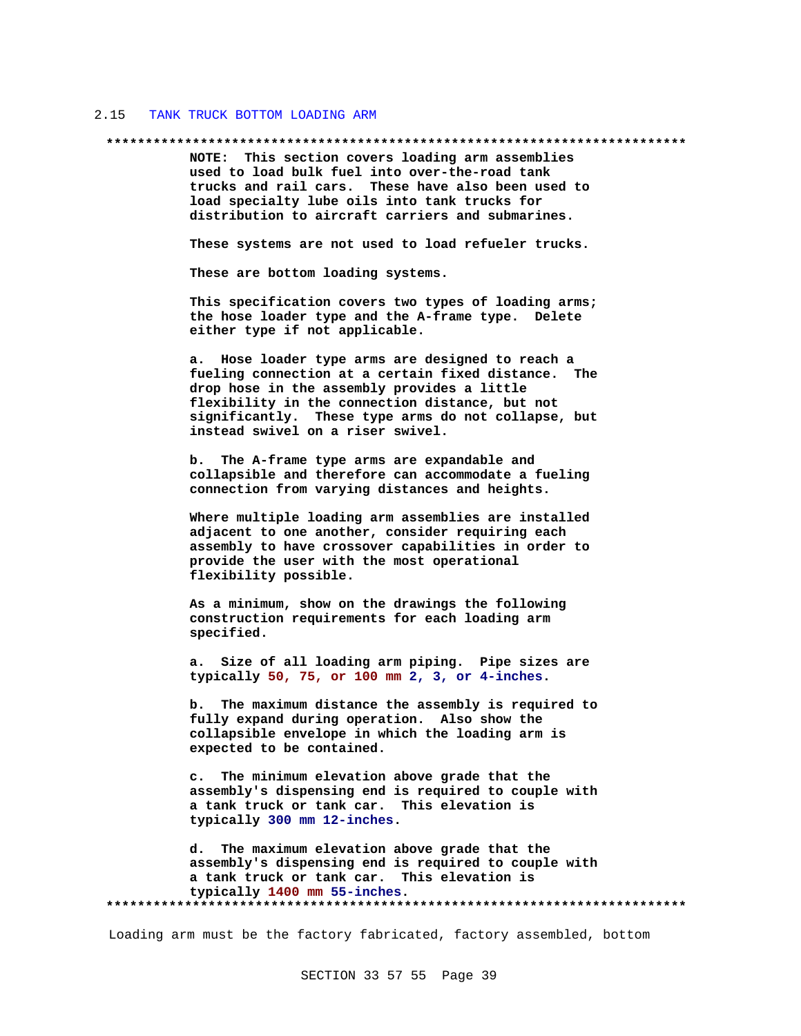#### 2.15 TANK TRUCK BOTTOM LOADING ARM

#### **\*\*\*\*\*\*\*\*\*\*\*\*\*\*\*\*\*\*\*\*\*\*\*\*\*\*\*\*\*\*\*\*\*\*\*\*\*\*\*\*\*\*\*\*\*\*\*\*\*\*\*\*\*\*\*\*\*\*\*\*\*\*\*\*\*\*\*\*\*\*\*\*\*\***

**NOTE: This section covers loading arm assemblies used to load bulk fuel into over-the-road tank trucks and rail cars. These have also been used to load specialty lube oils into tank trucks for distribution to aircraft carriers and submarines.**

**These systems are not used to load refueler trucks.**

**These are bottom loading systems.**

**This specification covers two types of loading arms; the hose loader type and the A-frame type. Delete either type if not applicable.**

**a. Hose loader type arms are designed to reach a fueling connection at a certain fixed distance. The drop hose in the assembly provides a little flexibility in the connection distance, but not significantly. These type arms do not collapse, but instead swivel on a riser swivel.**

**b. The A-frame type arms are expandable and collapsible and therefore can accommodate a fueling connection from varying distances and heights.**

**Where multiple loading arm assemblies are installed adjacent to one another, consider requiring each assembly to have crossover capabilities in order to provide the user with the most operational flexibility possible.**

**As a minimum, show on the drawings the following construction requirements for each loading arm specified.**

**a. Size of all loading arm piping. Pipe sizes are typically 50, 75, or 100 mm 2, 3, or 4-inches.**

**b. The maximum distance the assembly is required to fully expand during operation. Also show the collapsible envelope in which the loading arm is expected to be contained.**

**c. The minimum elevation above grade that the assembly's dispensing end is required to couple with a tank truck or tank car. This elevation is typically 300 mm 12-inches.**

**d. The maximum elevation above grade that the assembly's dispensing end is required to couple with a tank truck or tank car. This elevation is typically 1400 mm 55-inches. \*\*\*\*\*\*\*\*\*\*\*\*\*\*\*\*\*\*\*\*\*\*\*\*\*\*\*\*\*\*\*\*\*\*\*\*\*\*\*\*\*\*\*\*\*\*\*\*\*\*\*\*\*\*\*\*\*\*\*\*\*\*\*\*\*\*\*\*\*\*\*\*\*\***

Loading arm must be the factory fabricated, factory assembled, bottom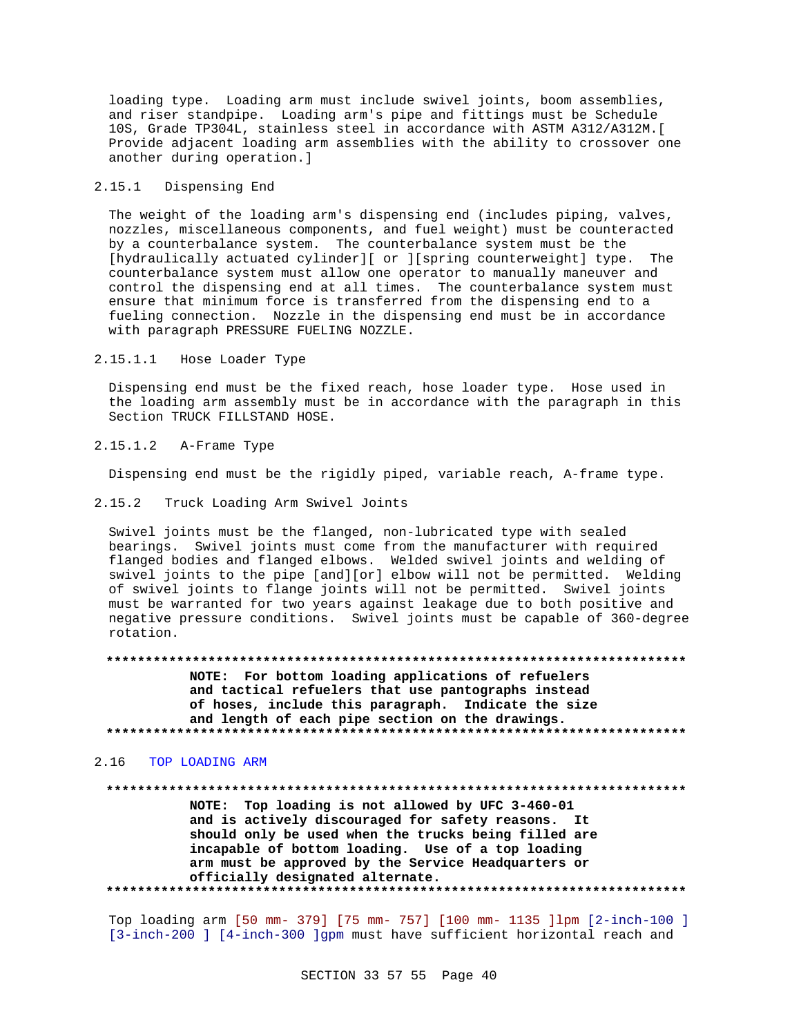loading type. Loading arm must include swivel joints, boom assemblies, and riser standpipe. Loading arm's pipe and fittings must be Schedule 10S, Grade TP304L, stainless steel in accordance with ASTM A312/A312M.[ Provide adjacent loading arm assemblies with the ability to crossover one another during operation.]

#### 2.15.1 Dispensing End

The weight of the loading arm's dispensing end (includes piping, valves, nozzles, miscellaneous components, and fuel weight) must be counteracted by a counterbalance system. The counterbalance system must be the [hydraulically actuated cylinder][ or ][spring counterweight] type. The counterbalance system must allow one operator to manually maneuver and control the dispensing end at all times. The counterbalance system must ensure that minimum force is transferred from the dispensing end to a fueling connection. Nozzle in the dispensing end must be in accordance with paragraph PRESSURE FUELING NOZZLE.

#### 2.15.1.1 Hose Loader Type

Dispensing end must be the fixed reach, hose loader type. Hose used in the loading arm assembly must be in accordance with the paragraph in this Section TRUCK FILLSTAND HOSE.

### 2.15.1.2 A-Frame Type

Dispensing end must be the rigidly piped, variable reach, A-frame type.

2.15.2 Truck Loading Arm Swivel Joints

Swivel joints must be the flanged, non-lubricated type with sealed bearings. Swivel joints must come from the manufacturer with required flanged bodies and flanged elbows. Welded swivel joints and welding of swivel joints to the pipe [and][or] elbow will not be permitted. Welding of swivel joints to flange joints will not be permitted. Swivel joints must be warranted for two years against leakage due to both positive and negative pressure conditions. Swivel joints must be capable of 360-degree rotation.

#### **\*\*\*\*\*\*\*\*\*\*\*\*\*\*\*\*\*\*\*\*\*\*\*\*\*\*\*\*\*\*\*\*\*\*\*\*\*\*\*\*\*\*\*\*\*\*\*\*\*\*\*\*\*\*\*\*\*\*\*\*\*\*\*\*\*\*\*\*\*\*\*\*\*\***

**NOTE: For bottom loading applications of refuelers and tactical refuelers that use pantographs instead of hoses, include this paragraph. Indicate the size and length of each pipe section on the drawings. \*\*\*\*\*\*\*\*\*\*\*\*\*\*\*\*\*\*\*\*\*\*\*\*\*\*\*\*\*\*\*\*\*\*\*\*\*\*\*\*\*\*\*\*\*\*\*\*\*\*\*\*\*\*\*\*\*\*\*\*\*\*\*\*\*\*\*\*\*\*\*\*\*\***

#### 2.16 TOP LOADING ARM

**\*\*\*\*\*\*\*\*\*\*\*\*\*\*\*\*\*\*\*\*\*\*\*\*\*\*\*\*\*\*\*\*\*\*\*\*\*\*\*\*\*\*\*\*\*\*\*\*\*\*\*\*\*\*\*\*\*\*\*\*\*\*\*\*\*\*\*\*\*\*\*\*\*\* NOTE: Top loading is not allowed by UFC 3-460-01 and is actively discouraged for safety reasons. It should only be used when the trucks being filled are incapable of bottom loading. Use of a top loading arm must be approved by the Service Headquarters or officially designated alternate. \*\*\*\*\*\*\*\*\*\*\*\*\*\*\*\*\*\*\*\*\*\*\*\*\*\*\*\*\*\*\*\*\*\*\*\*\*\*\*\*\*\*\*\*\*\*\*\*\*\*\*\*\*\*\*\*\*\*\*\*\*\*\*\*\*\*\*\*\*\*\*\*\*\***

Top loading arm [50 mm- 379] [75 mm- 757] [100 mm- 1135 ]lpm [2-inch-100 ] [3-inch-200 ] [4-inch-300 ]gpm must have sufficient horizontal reach and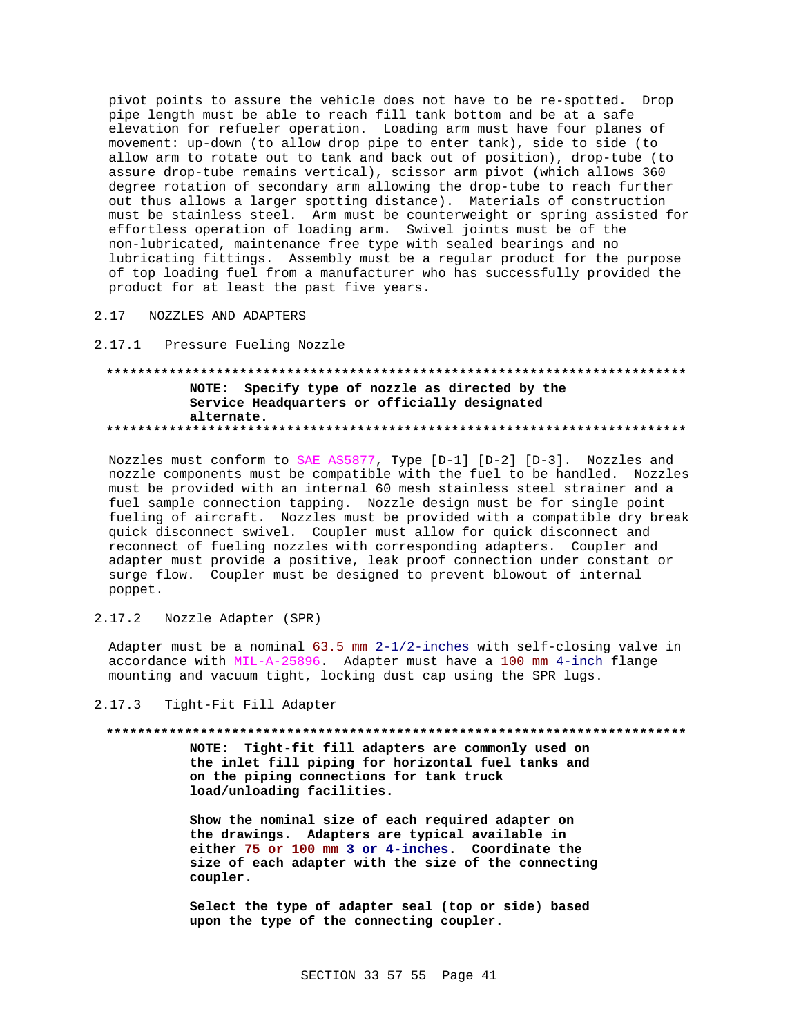pivot points to assure the vehicle does not have to be re-spotted. Drop pipe length must be able to reach fill tank bottom and be at a safe elevation for refueler operation. Loading arm must have four planes of movement: up-down (to allow drop pipe to enter tank), side to side (to allow arm to rotate out to tank and back out of position), drop-tube (to assure drop-tube remains vertical), scissor arm pivot (which allows 360 degree rotation of secondary arm allowing the drop-tube to reach further out thus allows a larger spotting distance). Materials of construction must be stainless steel. Arm must be counterweight or spring assisted for effortless operation of loading arm. Swivel joints must be of the non-lubricated, maintenance free type with sealed bearings and no lubricating fittings. Assembly must be a regular product for the purpose of top loading fuel from a manufacturer who has successfully provided the product for at least the past five years.

NOZZLES AND ADAPTERS 2.17

 $2.17.1$ Pressure Fueling Nozzle

# NOTE: Specify type of nozzle as directed by the Service Headquarters or officially designated alternate.

Nozzles must conform to SAE AS5877, Type [D-1] [D-2] [D-3]. Nozzles and nozzle components must be compatible with the fuel to be handled. Nozzles must be provided with an internal 60 mesh stainless steel strainer and a fuel sample connection tapping. Nozzle design must be for single point fueling of aircraft. Nozzles must be provided with a compatible dry break quick disconnect swivel. Coupler must allow for quick disconnect and reconnect of fueling nozzles with corresponding adapters. Coupler and adapter must provide a positive, leak proof connection under constant or surge flow. Coupler must be designed to prevent blowout of internal poppet.

 $2.17.2$ Nozzle Adapter (SPR)

Adapter must be a nominal  $63.5$  mm  $2-1/2$ -inches with self-closing valve in accordance with MIL-A-25896. Adapter must have a 100 mm 4-inch flange mounting and vacuum tight, locking dust cap using the SPR lugs.

 $2.17.3$ Tight-Fit Fill Adapter

#### 

NOTE: Tight-fit fill adapters are commonly used on the inlet fill piping for horizontal fuel tanks and on the piping connections for tank truck load/unloading facilities.

Show the nominal size of each required adapter on the drawings. Adapters are typical available in either 75 or 100 mm 3 or 4-inches. Coordinate the size of each adapter with the size of the connecting coupler.

Select the type of adapter seal (top or side) based upon the type of the connecting coupler.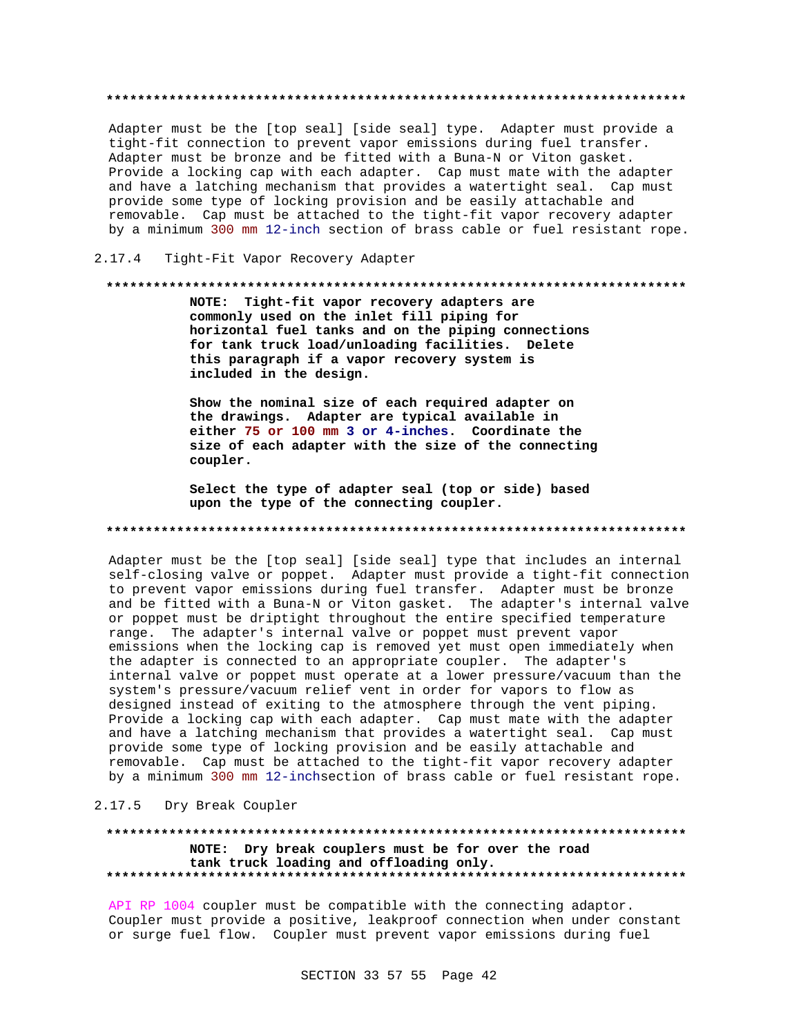Adapter must be the [top seal] [side seal] type. Adapter must provide a tight-fit connection to prevent vapor emissions during fuel transfer. Adapter must be bronze and be fitted with a Buna-N or Viton gasket. Provide a locking cap with each adapter. Cap must mate with the adapter and have a latching mechanism that provides a watertight seal. Cap must provide some type of locking provision and be easily attachable and removable. Cap must be attached to the tight-fit vapor recovery adapter by a minimum 300 mm 12-inch section of brass cable or fuel resistant rope.

#### $2.17.4$ Tight-Fit Vapor Recovery Adapter

#### 

NOTE: Tight-fit vapor recovery adapters are commonly used on the inlet fill piping for horizontal fuel tanks and on the piping connections for tank truck load/unloading facilities. Delete this paragraph if a vapor recovery system is included in the design.

Show the nominal size of each required adapter on the drawings. Adapter are typical available in either 75 or 100 mm 3 or 4-inches. Coordinate the size of each adapter with the size of the connecting coupler.

Select the type of adapter seal (top or side) based upon the type of the connecting coupler.

#### 

Adapter must be the [top seal] [side seal] type that includes an internal self-closing valve or poppet. Adapter must provide a tight-fit connection to prevent vapor emissions during fuel transfer. Adapter must be bronze and be fitted with a Buna-N or Viton gasket. The adapter's internal valve or poppet must be driptight throughout the entire specified temperature range. The adapter's internal valve or poppet must prevent vapor emissions when the locking cap is removed yet must open immediately when the adapter is connected to an appropriate coupler. The adapter's internal valve or poppet must operate at a lower pressure/vacuum than the system's pressure/vacuum relief vent in order for vapors to flow as designed instead of exiting to the atmosphere through the vent piping. Provide a locking cap with each adapter. Cap must mate with the adapter and have a latching mechanism that provides a watertight seal. Cap must provide some type of locking provision and be easily attachable and removable. Cap must be attached to the tight-fit vapor recovery adapter by a minimum 300 mm 12-inchsection of brass cable or fuel resistant rope.

### 2.17.5 Dry Break Coupler

### NOTE: Dry break couplers must be for over the road tank truck loading and offloading only.

API RP 1004 coupler must be compatible with the connecting adaptor. Coupler must provide a positive, leakproof connection when under constant or surge fuel flow. Coupler must prevent vapor emissions during fuel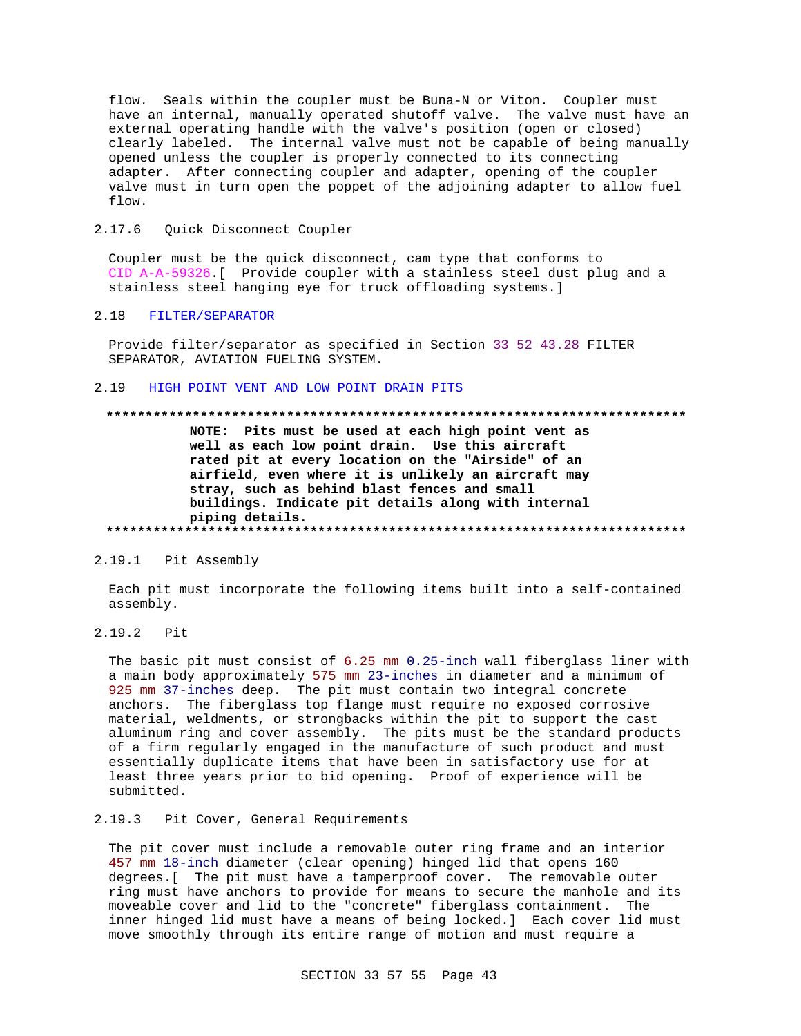flow. Seals within the coupler must be Buna-N or Viton. Coupler must have an internal, manually operated shutoff valve. The valve must have an external operating handle with the valve's position (open or closed) clearly labeled. The internal valve must not be capable of being manually opened unless the coupler is properly connected to its connecting adapter. After connecting coupler and adapter, opening of the coupler valve must in turn open the poppet of the adjoining adapter to allow fuel flow.

#### 2.17.6 Quick Disconnect Coupler

Coupler must be the quick disconnect, cam type that conforms to CID A-A-59326. [ Provide coupler with a stainless steel dust plug and a stainless steel hanging eye for truck offloading systems.]

# 2.18 FILTER/SEPARATOR

Provide filter/separator as specified in Section 33 52 43.28 FILTER SEPARATOR, AVIATION FUELING SYSTEM.

#### HIGH POINT VENT AND LOW POINT DRAIN PITS  $2.19$

#### 

NOTE: Pits must be used at each high point vent as well as each low point drain. Use this aircraft rated pit at every location on the "Airside" of an airfield, even where it is unlikely an aircraft may stray, such as behind blast fences and small buildings. Indicate pit details along with internal piping details. 

#### 2.19.1 Pit Assembly

Each pit must incorporate the following items built into a self-contained assembly.

 $2.19.2$ Pit

> The basic pit must consist of 6.25 mm 0.25-inch wall fiberglass liner with a main body approximately 575 mm 23-inches in diameter and a minimum of 925 mm 37-inches deep. The pit must contain two integral concrete anchors. The fiberglass top flange must require no exposed corrosive material, weldments, or strongbacks within the pit to support the cast aluminum ring and cover assembly. The pits must be the standard products of a firm regularly engaged in the manufacture of such product and must essentially duplicate items that have been in satisfactory use for at least three years prior to bid opening. Proof of experience will be submitted.

# 2.19.3 Pit Cover, General Requirements

The pit cover must include a removable outer ring frame and an interior 457 mm 18-inch diameter (clear opening) hinged lid that opens 160 degrees. [ The pit must have a tamperproof cover. The removable outer ring must have anchors to provide for means to secure the manhole and its moveable cover and lid to the "concrete" fiberglass containment. The inner hinged lid must have a means of being locked.] Each cover lid must move smoothly through its entire range of motion and must require a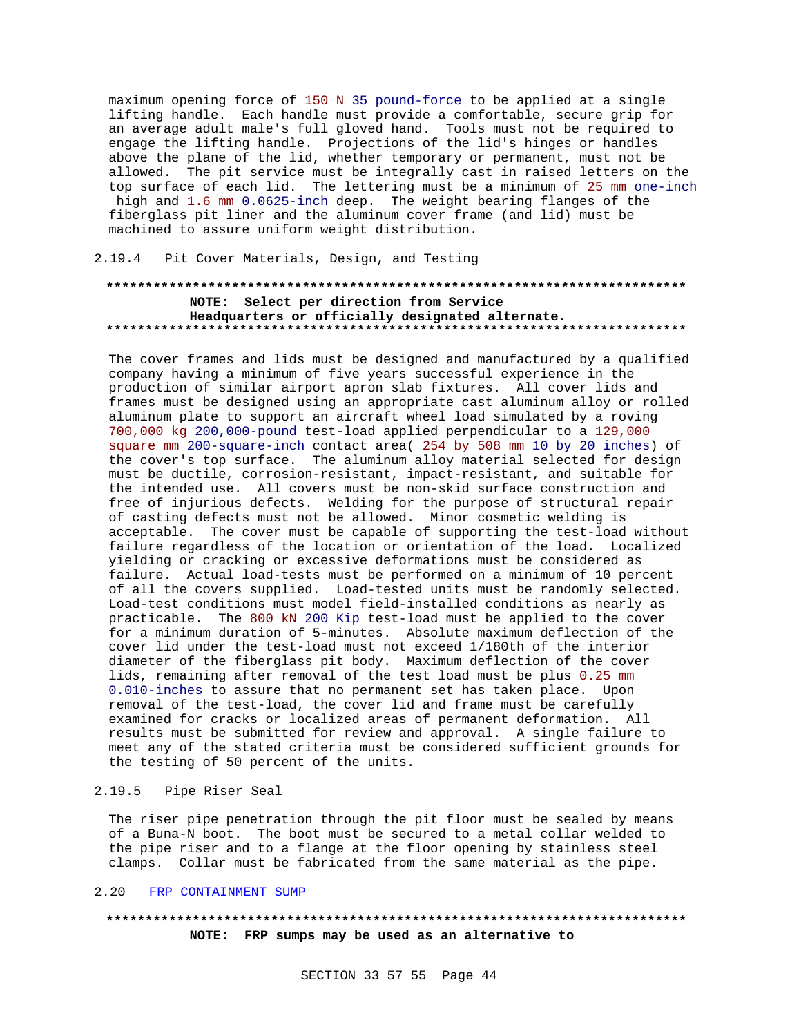maximum opening force of 150 N 35 pound-force to be applied at a single lifting handle. Each handle must provide a comfortable, secure grip for an average adult male's full gloved hand. Tools must not be required to engage the lifting handle. Projections of the lid's hinges or handles above the plane of the lid, whether temporary or permanent, must not be allowed. The pit service must be integrally cast in raised letters on the top surface of each lid. The lettering must be a minimum of 25 mm one-inch high and 1.6 mm 0.0625-inch deep. The weight bearing flanges of the fiberglass pit liner and the aluminum cover frame (and lid) must be machined to assure uniform weight distribution.

### 2.19.4 Pit Cover Materials, Design, and Testing

# NOTE: Select per direction from Service Headquarters or officially designated alternate.

The cover frames and lids must be designed and manufactured by a qualified company having a minimum of five years successful experience in the production of similar airport apron slab fixtures. All cover lids and frames must be designed using an appropriate cast aluminum alloy or rolled aluminum plate to support an aircraft wheel load simulated by a roving 700,000 kg 200,000-pound test-load applied perpendicular to a 129,000 square mm 200-square-inch contact area (254 by 508 mm 10 by 20 inches) of the cover's top surface. The aluminum alloy material selected for design must be ductile, corrosion-resistant, impact-resistant, and suitable for the intended use. All covers must be non-skid surface construction and free of injurious defects. Welding for the purpose of structural repair of casting defects must not be allowed. Minor cosmetic welding is acceptable. The cover must be capable of supporting the test-load without failure regardless of the location or orientation of the load. Localized yielding or cracking or excessive deformations must be considered as failure. Actual load-tests must be performed on a minimum of 10 percent of all the covers supplied. Load-tested units must be randomly selected. Load-test conditions must model field-installed conditions as nearly as practicable. The 800 kN 200 Kip test-load must be applied to the cover for a minimum duration of 5-minutes. Absolute maximum deflection of the cover lid under the test-load must not exceed 1/180th of the interior diameter of the fiberglass pit body. Maximum deflection of the cover lids, remaining after removal of the test load must be plus 0.25 mm 0.010-inches to assure that no permanent set has taken place. Upon removal of the test-load, the cover lid and frame must be carefully examined for cracks or localized areas of permanent deformation. All results must be submitted for review and approval. A single failure to meet any of the stated criteria must be considered sufficient grounds for the testing of 50 percent of the units.

#### $2.19.5$ Pipe Riser Seal

The riser pipe penetration through the pit floor must be sealed by means of a Buna-N boot. The boot must be secured to a metal collar welded to the pipe riser and to a flange at the floor opening by stainless steel clamps. Collar must be fabricated from the same material as the pipe.

#### $2.20$ FRP CONTAINMENT SUMP

# NOTE: FRP sumps may be used as an alternative to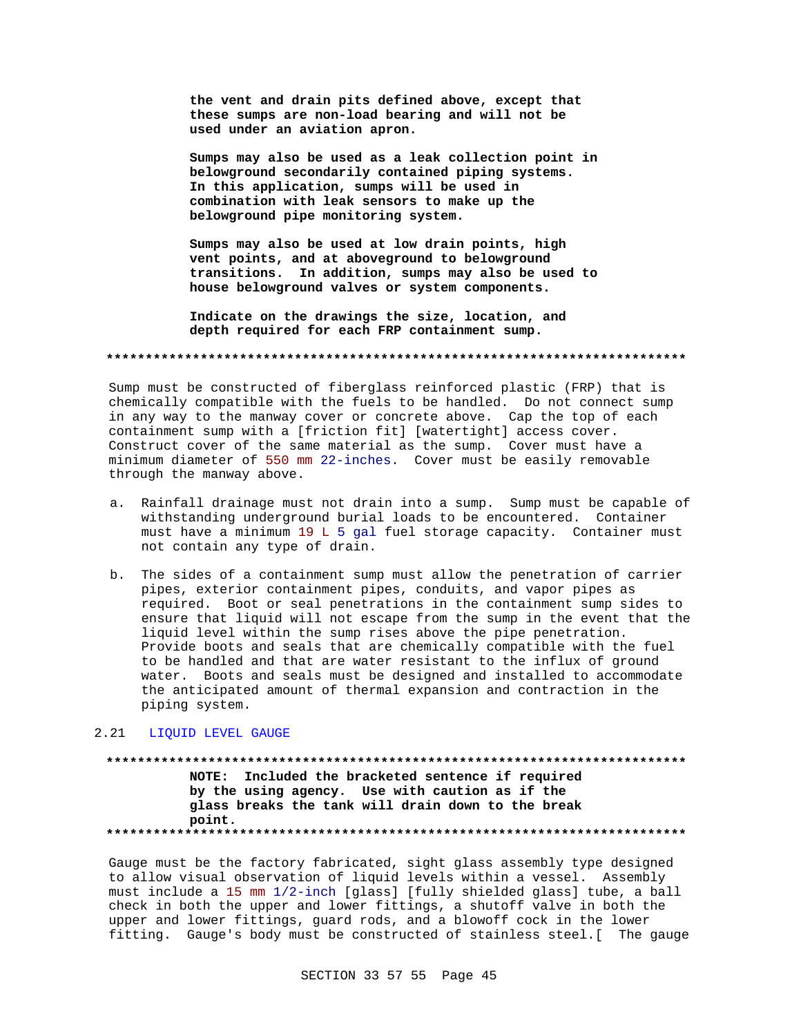**the vent and drain pits defined above, except that these sumps are non-load bearing and will not be used under an aviation apron.**

**Sumps may also be used as a leak collection point in belowground secondarily contained piping systems. In this application, sumps will be used in combination with leak sensors to make up the belowground pipe monitoring system.**

**Sumps may also be used at low drain points, high vent points, and at aboveground to belowground transitions. In addition, sumps may also be used to house belowground valves or system components.**

**Indicate on the drawings the size, location, and depth required for each FRP containment sump.**

**\*\*\*\*\*\*\*\*\*\*\*\*\*\*\*\*\*\*\*\*\*\*\*\*\*\*\*\*\*\*\*\*\*\*\*\*\*\*\*\*\*\*\*\*\*\*\*\*\*\*\*\*\*\*\*\*\*\*\*\*\*\*\*\*\*\*\*\*\*\*\*\*\*\***

Sump must be constructed of fiberglass reinforced plastic (FRP) that is chemically compatible with the fuels to be handled. Do not connect sump in any way to the manway cover or concrete above. Cap the top of each containment sump with a [friction fit] [watertight] access cover. Construct cover of the same material as the sump. Cover must have a minimum diameter of 550 mm 22-inches. Cover must be easily removable through the manway above.

- a. Rainfall drainage must not drain into a sump. Sump must be capable of withstanding underground burial loads to be encountered. Container must have a minimum 19 L 5 gal fuel storage capacity. Container must not contain any type of drain.
- b. The sides of a containment sump must allow the penetration of carrier pipes, exterior containment pipes, conduits, and vapor pipes as required. Boot or seal penetrations in the containment sump sides to ensure that liquid will not escape from the sump in the event that the liquid level within the sump rises above the pipe penetration. Provide boots and seals that are chemically compatible with the fuel to be handled and that are water resistant to the influx of ground water. Boots and seals must be designed and installed to accommodate the anticipated amount of thermal expansion and contraction in the piping system.

#### 2.21 LIQUID LEVEL GAUGE

**\*\*\*\*\*\*\*\*\*\*\*\*\*\*\*\*\*\*\*\*\*\*\*\*\*\*\*\*\*\*\*\*\*\*\*\*\*\*\*\*\*\*\*\*\*\*\*\*\*\*\*\*\*\*\*\*\*\*\*\*\*\*\*\*\*\*\*\*\*\*\*\*\*\* NOTE: Included the bracketed sentence if required by the using agency. Use with caution as if the glass breaks the tank will drain down to the break point. \*\*\*\*\*\*\*\*\*\*\*\*\*\*\*\*\*\*\*\*\*\*\*\*\*\*\*\*\*\*\*\*\*\*\*\*\*\*\*\*\*\*\*\*\*\*\*\*\*\*\*\*\*\*\*\*\*\*\*\*\*\*\*\*\*\*\*\*\*\*\*\*\*\***

Gauge must be the factory fabricated, sight glass assembly type designed to allow visual observation of liquid levels within a vessel. Assembly must include a 15 mm 1/2-inch [glass] [fully shielded glass] tube, a ball check in both the upper and lower fittings, a shutoff valve in both the upper and lower fittings, guard rods, and a blowoff cock in the lower fitting. Gauge's body must be constructed of stainless steel.[ The gauge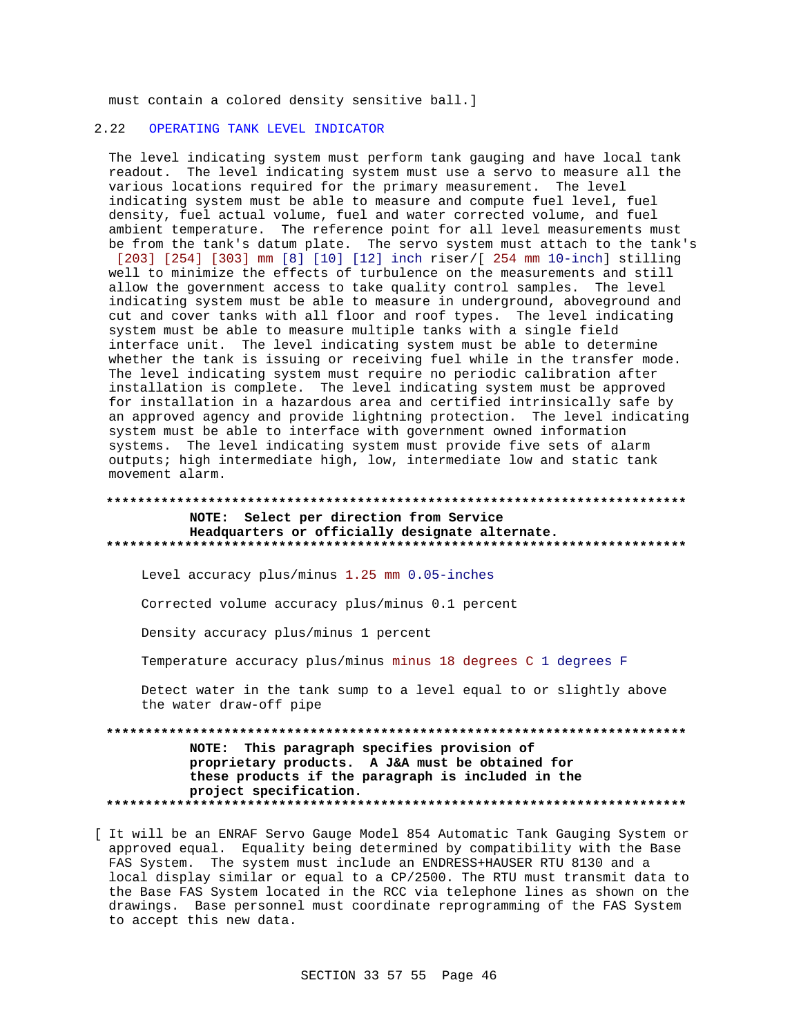must contain a colored density sensitive ball.]

#### $2.22$ OPERATING TANK LEVEL INDICATOR

The level indicating system must perform tank gauging and have local tank readout. The level indicating system must use a servo to measure all the various locations required for the primary measurement. The level indicating system must be able to measure and compute fuel level, fuel density, fuel actual volume, fuel and water corrected volume, and fuel ambient temperature. The reference point for all level measurements must be from the tank's datum plate. The servo system must attach to the tank's [203] [254] [303] mm [8] [10] [12] inch riser/[ 254 mm 10-inch] stilling well to minimize the effects of turbulence on the measurements and still allow the government access to take quality control samples. The level indicating system must be able to measure in underground, aboveground and cut and cover tanks with all floor and roof types. The level indicating system must be able to measure multiple tanks with a single field interface unit. The level indicating system must be able to determine whether the tank is issuing or receiving fuel while in the transfer mode. The level indicating system must require no periodic calibration after installation is complete. The level indicating system must be approved for installation in a hazardous area and certified intrinsically safe by an approved agency and provide lightning protection. The level indicating system must be able to interface with government owned information systems. The level indicating system must provide five sets of alarm outputs; high intermediate high, low, intermediate low and static tank movement alarm.

### NOTE: Select per direction from Service Headquarters or officially designate alternate.

Level accuracy plus/minus 1.25 mm 0.05-inches

Corrected volume accuracy plus/minus 0.1 percent

Density accuracy plus/minus 1 percent

Temperature accuracy plus/minus minus 18 degrees C 1 degrees F

Detect water in the tank sump to a level equal to or slightly above the water draw-off pipe

NOTE: This paragraph specifies provision of proprietary products. A J&A must be obtained for these products if the paragraph is included in the project specification. 

[ It will be an ENRAF Servo Gauge Model 854 Automatic Tank Gauging System or approved equal. Equality being determined by compatibility with the Base FAS System. The system must include an ENDRESS+HAUSER RTU 8130 and a local display similar or equal to a CP/2500. The RTU must transmit data to the Base FAS System located in the RCC via telephone lines as shown on the drawings. Base personnel must coordinate reprogramming of the FAS System to accept this new data.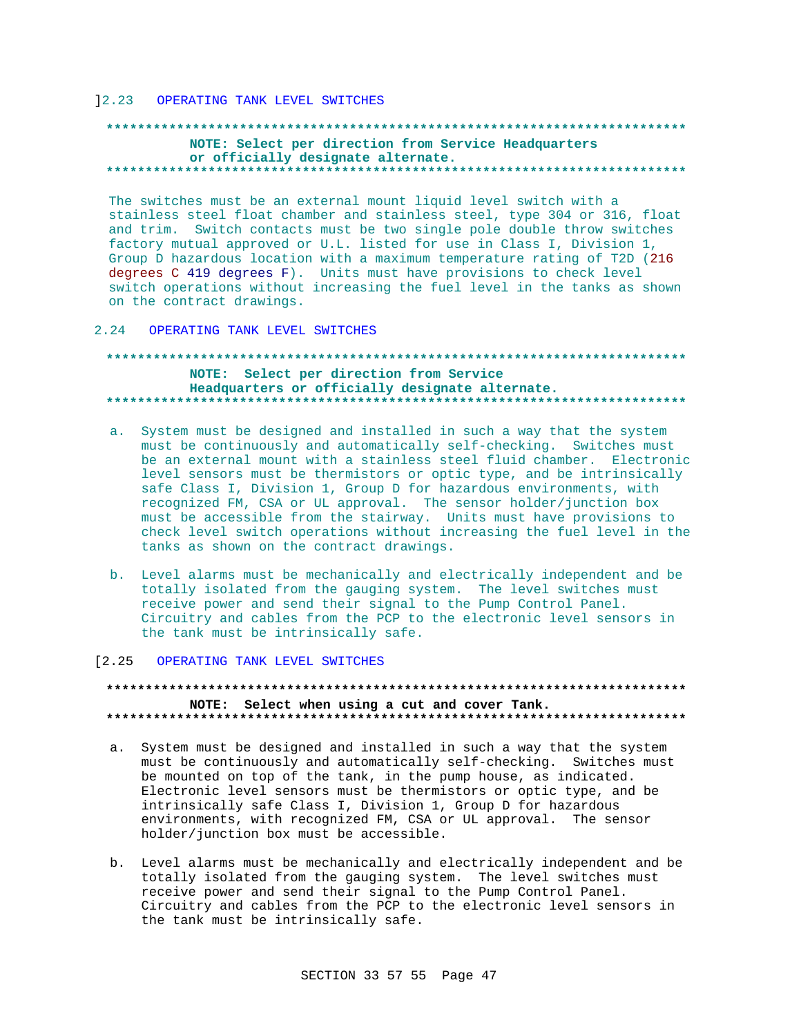#### 12.23 OPERATING TANK LEVEL SWITCHES

### NOTE: Select per direction from Service Headquarters or officially designate alternate.

The switches must be an external mount liquid level switch with a stainless steel float chamber and stainless steel, type 304 or 316, float and trim. Switch contacts must be two single pole double throw switches factory mutual approved or U.L. listed for use in Class I, Division 1, Group D hazardous location with a maximum temperature rating of T2D (216 degrees C 419 degrees F). Units must have provisions to check level switch operations without increasing the fuel level in the tanks as shown on the contract drawings.

2.24 OPERATING TANK LEVEL SWITCHES

### NOTE: Select per direction from Service Headquarters or officially designate alternate.

- a. System must be designed and installed in such a way that the system must be continuously and automatically self-checking. Switches must be an external mount with a stainless steel fluid chamber. Electronic level sensors must be thermistors or optic type, and be intrinsically safe Class I, Division 1, Group D for hazardous environments, with recognized FM, CSA or UL approval. The sensor holder/junction box must be accessible from the stairway. Units must have provisions to check level switch operations without increasing the fuel level in the tanks as shown on the contract drawings.
- b. Level alarms must be mechanically and electrically independent and be totally isolated from the gauging system. The level switches must receive power and send their signal to the Pump Control Panel. Circuitry and cables from the PCP to the electronic level sensors in the tank must be intrinsically safe.

#### [2.25 OPERATING TANK LEVEL SWITCHES

## NOTE: Select when using a cut and cover Tank.

- a. System must be designed and installed in such a way that the system must be continuously and automatically self-checking. Switches must be mounted on top of the tank, in the pump house, as indicated. Electronic level sensors must be thermistors or optic type, and be intrinsically safe Class I, Division 1, Group D for hazardous environments, with recognized FM, CSA or UL approval. The sensor holder/junction box must be accessible.
- b. Level alarms must be mechanically and electrically independent and be totally isolated from the gauging system. The level switches must receive power and send their signal to the Pump Control Panel. Circuitry and cables from the PCP to the electronic level sensors in the tank must be intrinsically safe.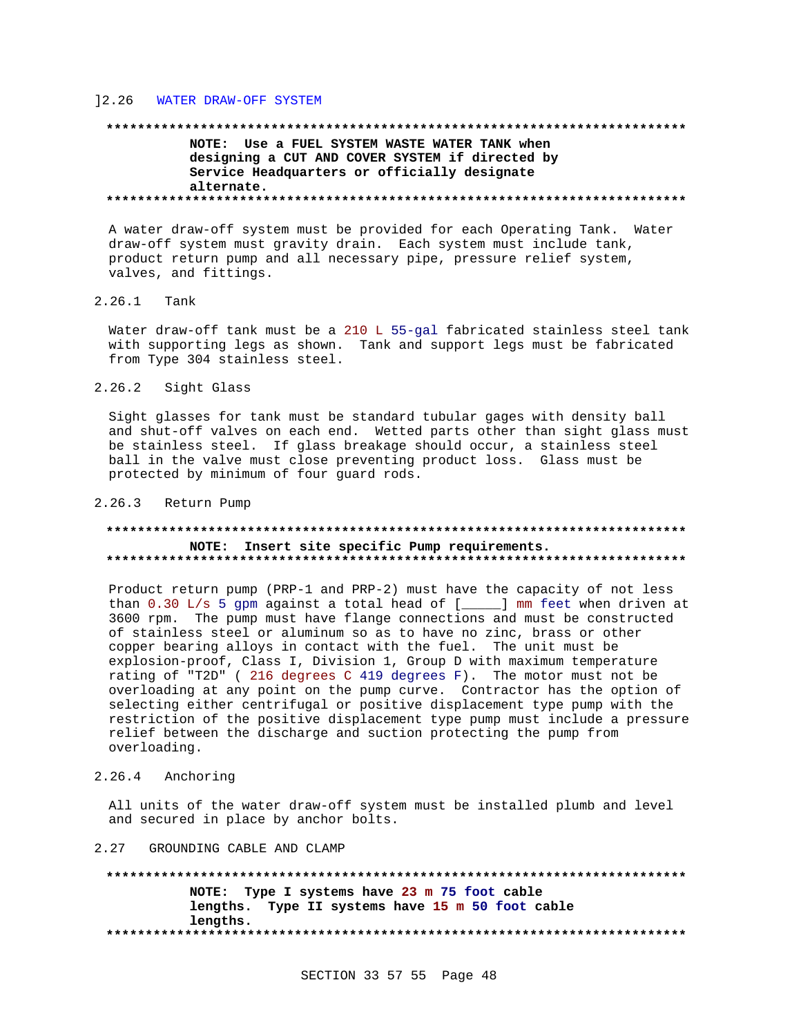#### $12.26$ WATER DRAW-OFF SYSTEM

# NOTE: Use a FUEL SYSTEM WASTE WATER TANK when designing a CUT AND COVER SYSTEM if directed by Service Headquarters or officially designate alternate.

A water draw-off system must be provided for each Operating Tank. Water draw-off system must gravity drain. Each system must include tank, product return pump and all necessary pipe, pressure relief system, valves, and fittings.

#### $2.26.1$ Tank

Water draw-off tank must be a 210 L 55-gal fabricated stainless steel tank with supporting legs as shown. Tank and support legs must be fabricated from Type 304 stainless steel.

 $2.26.2$ Sight Glass

Sight glasses for tank must be standard tubular gages with density ball and shut-off valves on each end. Wetted parts other than sight glass must be stainless steel. If glass breakage should occur, a stainless steel ball in the valve must close preventing product loss. Glass must be protected by minimum of four guard rods.

#### 2.26.3 Return Pump

#### NOTE: Insert site specific Pump requirements.

Product return pump (PRP-1 and PRP-2) must have the capacity of not less 3600 rpm. The pump must have flange connections and must be constructed of stainless steel or aluminum so as to have no zinc, brass or other copper bearing alloys in contact with the fuel. The unit must be explosion-proof, Class I, Division 1, Group D with maximum temperature rating of "T2D" (216 degrees C 419 degrees F). The motor must not be overloading at any point on the pump curve. Contractor has the option of selecting either centrifugal or positive displacement type pump with the restriction of the positive displacement type pump must include a pressure relief between the discharge and suction protecting the pump from overloading.

2.26.4 Anchoring

All units of the water draw-off system must be installed plumb and level and secured in place by anchor bolts.

#### 2.27 GROUNDING CABLE AND CLAMP

NOTE: Type I systems have 23 m 75 foot cable lengths. Type II systems have 15 m 50 foot cable lengths.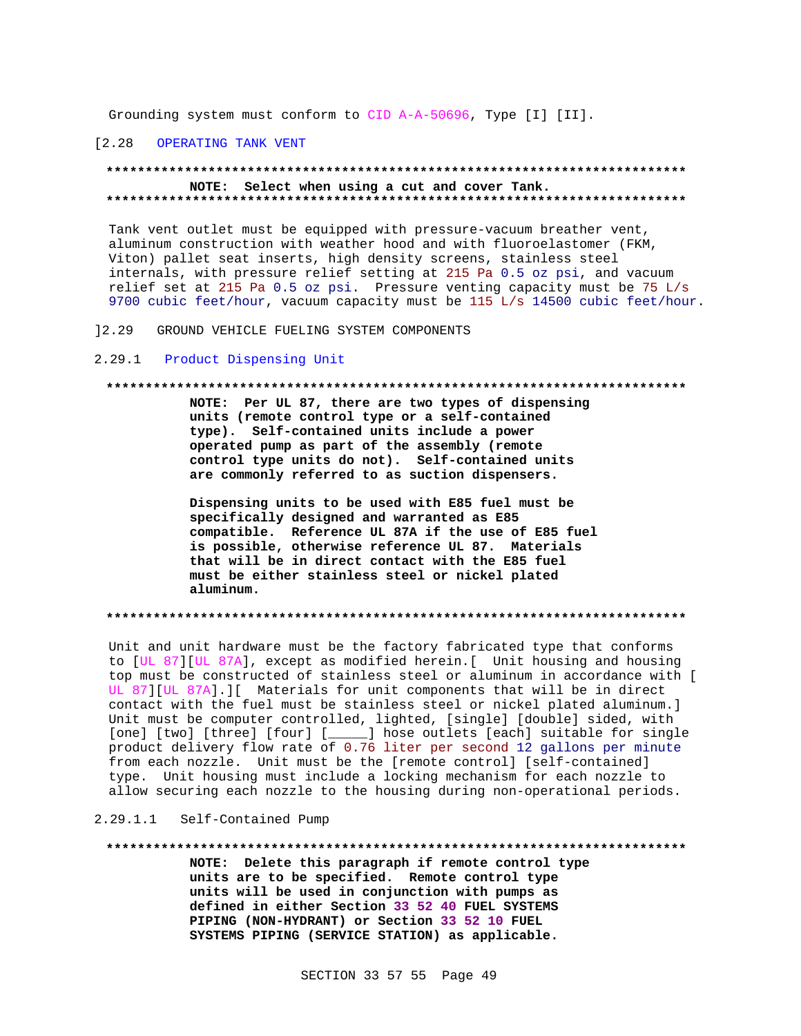Grounding system must conform to CID A-A-50696, Type [I] [II].

#### $[2.28]$ OPERATING TANK VENT

#### NOTE: Select when using a cut and cover Tank.

Tank vent outlet must be equipped with pressure-vacuum breather vent, aluminum construction with weather hood and with fluoroelastomer (FKM, Viton) pallet seat inserts, high density screens, stainless steel internals, with pressure relief setting at 215 Pa 0.5 oz psi, and vacuum relief set at 215 Pa 0.5 oz psi. Pressure venting capacity must be 75 L/s 9700 cubic feet/hour, vacuum capacity must be 115 L/s 14500 cubic feet/hour.

GROUND VEHICLE FUELING SYSTEM COMPONENTS  $12.29$ 

#### Product Dispensing Unit  $2.29.1$

#### 

NOTE: Per UL 87, there are two types of dispensing units (remote control type or a self-contained type). Self-contained units include a power operated pump as part of the assembly (remote control type units do not). Self-contained units are commonly referred to as suction dispensers.

Dispensing units to be used with E85 fuel must be specifically designed and warranted as E85 compatible. Reference UL 87A if the use of E85 fuel is possible, otherwise reference UL 87. Materials that will be in direct contact with the E85 fuel must be either stainless steel or nickel plated aluminum.

#### 

Unit and unit hardware must be the factory fabricated type that conforms to [UL 87] [UL 87A], except as modified herein. [ Unit housing and housing top must be constructed of stainless steel or aluminum in accordance with [ UL 87][UL 87A].][ Materials for unit components that will be in direct contact with the fuel must be stainless steel or nickel plated aluminum.] Unit must be computer controlled, lighted, [single] [double] sided, with [one] [two] [three] [four] [\_\_\_\_\_] hose outlets [each] suitable for single product delivery flow rate of 0.76 liter per second 12 gallons per minute from each nozzle. Unit must be the [remote control] [self-contained] type. Unit housing must include a locking mechanism for each nozzle to allow securing each nozzle to the housing during non-operational periods.

#### 2.29.1.1 Self-Contained Pump

#### \*\*\*\*\*\*\*\*\*\*\*\*

NOTE: Delete this paragraph if remote control type units are to be specified. Remote control type units will be used in conjunction with pumps as defined in either Section 33 52 40 FUEL SYSTEMS PIPING (NON-HYDRANT) or Section 33 52 10 FUEL SYSTEMS PIPING (SERVICE STATION) as applicable.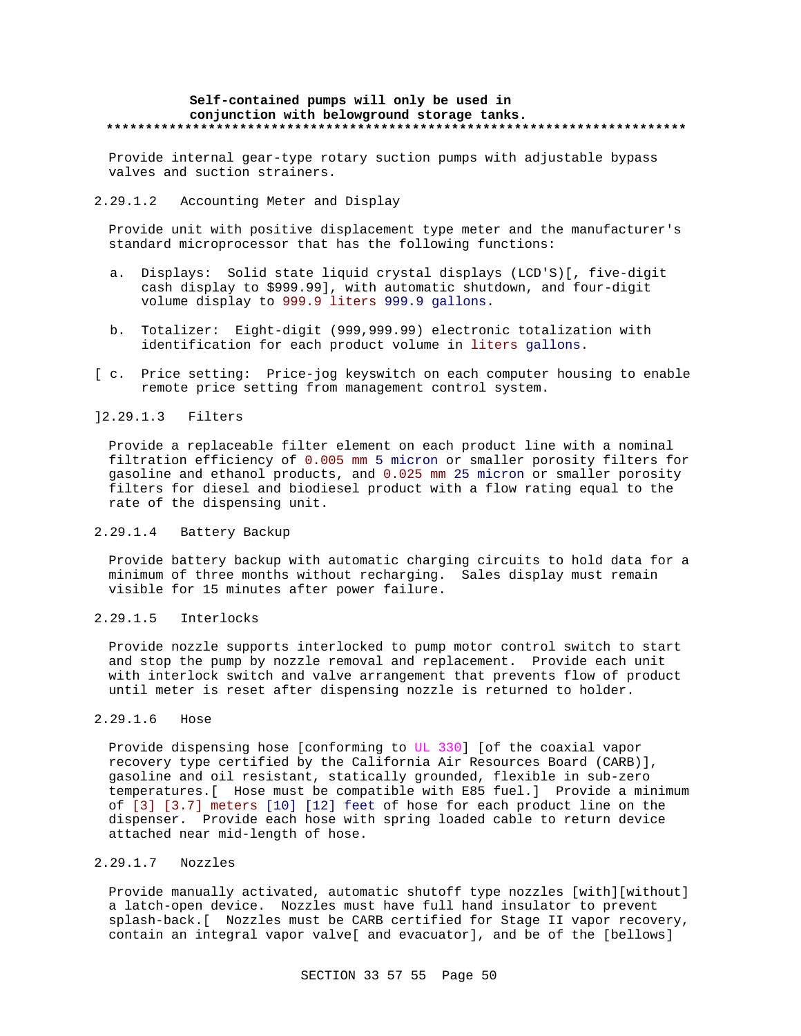#### **Self-contained pumps will only be used in conjunction with belowground storage tanks. \*\*\*\*\*\*\*\*\*\*\*\*\*\*\*\*\*\*\*\*\*\*\*\*\*\*\*\*\*\*\*\*\*\*\*\*\*\*\*\*\*\*\*\*\*\*\*\*\*\*\*\*\*\*\*\*\*\*\*\*\*\*\*\*\*\*\*\*\*\*\*\*\*\***

Provide internal gear-type rotary suction pumps with adjustable bypass valves and suction strainers.

#### 2.29.1.2 Accounting Meter and Display

Provide unit with positive displacement type meter and the manufacturer's standard microprocessor that has the following functions:

- a. Displays: Solid state liquid crystal displays (LCD'S)[, five-digit cash display to \$999.99], with automatic shutdown, and four-digit volume display to 999.9 liters 999.9 gallons.
- b. Totalizer: Eight-digit (999,999.99) electronic totalization with identification for each product volume in liters gallons.
- [ c. Price setting: Price-jog keyswitch on each computer housing to enable remote price setting from management control system.

#### ]2.29.1.3 Filters

Provide a replaceable filter element on each product line with a nominal filtration efficiency of 0.005 mm 5 micron or smaller porosity filters for gasoline and ethanol products, and 0.025 mm 25 micron or smaller porosity filters for diesel and biodiesel product with a flow rating equal to the rate of the dispensing unit.

#### 2.29.1.4 Battery Backup

Provide battery backup with automatic charging circuits to hold data for a minimum of three months without recharging. Sales display must remain visible for 15 minutes after power failure.

#### 2.29.1.5 Interlocks

Provide nozzle supports interlocked to pump motor control switch to start and stop the pump by nozzle removal and replacement. Provide each unit with interlock switch and valve arrangement that prevents flow of product until meter is reset after dispensing nozzle is returned to holder.

#### 2.29.1.6 Hose

Provide dispensing hose [conforming to UL 330] [of the coaxial vapor recovery type certified by the California Air Resources Board (CARB)], gasoline and oil resistant, statically grounded, flexible in sub-zero temperatures.[ Hose must be compatible with E85 fuel.] Provide a minimum of [3] [3.7] meters [10] [12] feet of hose for each product line on the dispenser. Provide each hose with spring loaded cable to return device attached near mid-length of hose.

# 2.29.1.7 Nozzles

Provide manually activated, automatic shutoff type nozzles [with][without] a latch-open device. Nozzles must have full hand insulator to prevent splash-back.[ Nozzles must be CARB certified for Stage II vapor recovery, contain an integral vapor valve[ and evacuator], and be of the [bellows]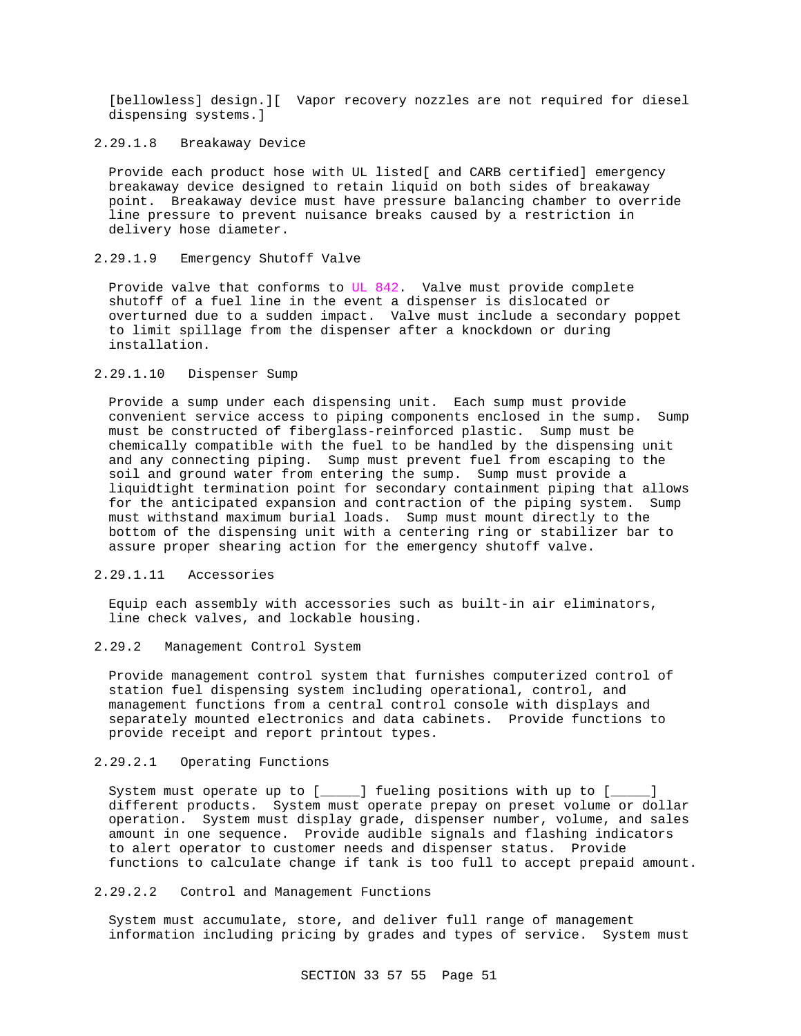[bellowless] design.][ Vapor recovery nozzles are not required for diesel dispensing systems.]

# 2.29.1.8 Breakaway Device

Provide each product hose with UL listed[ and CARB certified] emergency breakaway device designed to retain liquid on both sides of breakaway point. Breakaway device must have pressure balancing chamber to override line pressure to prevent nuisance breaks caused by a restriction in delivery hose diameter.

### 2.29.1.9 Emergency Shutoff Valve

Provide valve that conforms to UL 842. Valve must provide complete shutoff of a fuel line in the event a dispenser is dislocated or overturned due to a sudden impact. Valve must include a secondary poppet to limit spillage from the dispenser after a knockdown or during installation.

### 2.29.1.10 Dispenser Sump

Provide a sump under each dispensing unit. Each sump must provide convenient service access to piping components enclosed in the sump. Sump must be constructed of fiberglass-reinforced plastic. Sump must be chemically compatible with the fuel to be handled by the dispensing unit and any connecting piping. Sump must prevent fuel from escaping to the soil and ground water from entering the sump. Sump must provide a liquidtight termination point for secondary containment piping that allows for the anticipated expansion and contraction of the piping system. Sump must withstand maximum burial loads. Sump must mount directly to the bottom of the dispensing unit with a centering ring or stabilizer bar to assure proper shearing action for the emergency shutoff valve.

# 2.29.1.11 Accessories

Equip each assembly with accessories such as built-in air eliminators, line check valves, and lockable housing.

# 2.29.2 Management Control System

Provide management control system that furnishes computerized control of station fuel dispensing system including operational, control, and management functions from a central control console with displays and separately mounted electronics and data cabinets. Provide functions to provide receipt and report printout types.

#### 2.29.2.1 Operating Functions

System must operate up to [\_\_\_\_\_] fueling positions with up to [\_\_\_\_\_] different products. System must operate prepay on preset volume or dollar operation. System must display grade, dispenser number, volume, and sales amount in one sequence. Provide audible signals and flashing indicators to alert operator to customer needs and dispenser status. Provide functions to calculate change if tank is too full to accept prepaid amount.

#### 2.29.2.2 Control and Management Functions

System must accumulate, store, and deliver full range of management information including pricing by grades and types of service. System must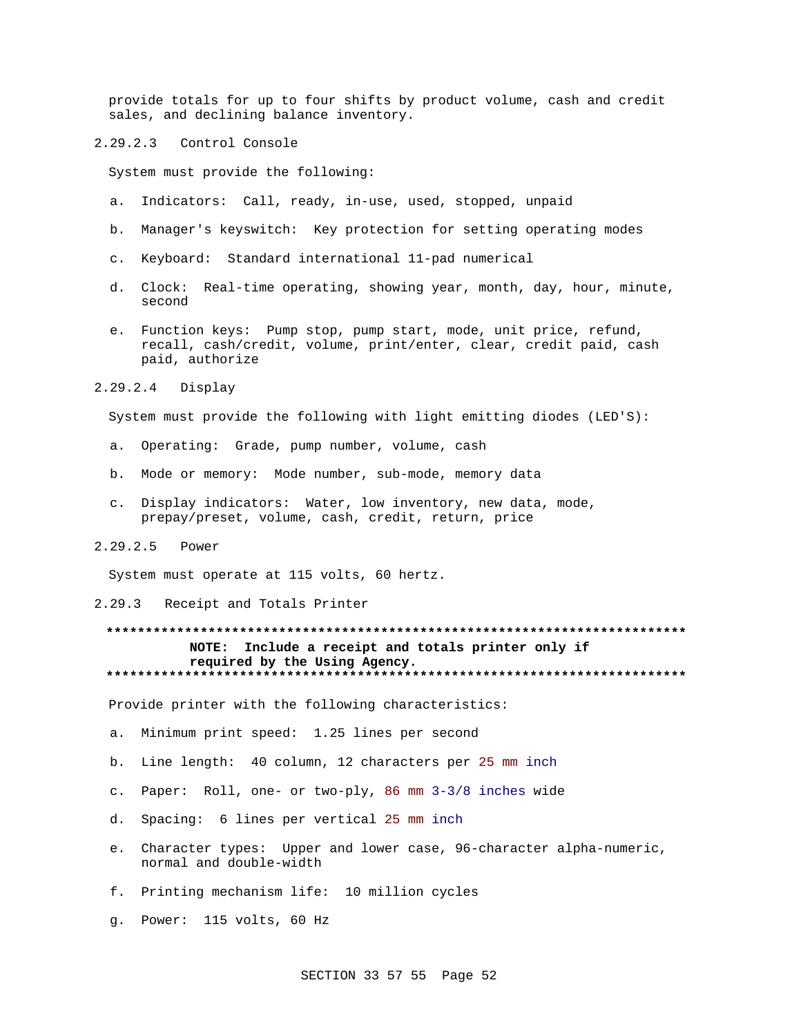provide totals for up to four shifts by product volume, cash and credit sales, and declining balance inventory.

2.29.2.3 Control Console

System must provide the following:

- a. Indicators: Call, ready, in-use, used, stopped, unpaid
- b. Manager's keyswitch: Key protection for setting operating modes
- c. Keyboard: Standard international 11-pad numerical
- d. Clock: Real-time operating, showing year, month, day, hour, minute, second
- e. Function keys: Pump stop, pump start, mode, unit price, refund, recall, cash/credit, volume, print/enter, clear, credit paid, cash paid, authorize

2.29.2.4 Display

System must provide the following with light emitting diodes (LED'S):

- a. Operating: Grade, pump number, volume, cash
- b. Mode or memory: Mode number, sub-mode, memory data
- c. Display indicators: Water, low inventory, new data, mode, prepay/preset, volume, cash, credit, return, price
- 2.29.2.5 Power

System must operate at 115 volts, 60 hertz.

2.29.3 Receipt and Totals Printer

# **\*\*\*\*\*\*\*\*\*\*\*\*\*\*\*\*\*\*\*\*\*\*\*\*\*\*\*\*\*\*\*\*\*\*\*\*\*\*\*\*\*\*\*\*\*\*\*\*\*\*\*\*\*\*\*\*\*\*\*\*\*\*\*\*\*\*\*\*\*\*\*\*\*\* NOTE: Include a receipt and totals printer only if required by the Using Agency. \*\*\*\*\*\*\*\*\*\*\*\*\*\*\*\*\*\*\*\*\*\*\*\*\*\*\*\*\*\*\*\*\*\*\*\*\*\*\*\*\*\*\*\*\*\*\*\*\*\*\*\*\*\*\*\*\*\*\*\*\*\*\*\*\*\*\*\*\*\*\*\*\*\***

Provide printer with the following characteristics:

- a. Minimum print speed: 1.25 lines per second
- b. Line length: 40 column, 12 characters per 25 mm inch
- c. Paper: Roll, one- or two-ply, 86 mm 3-3/8 inches wide
- d. Spacing: 6 lines per vertical 25 mm inch
- e. Character types: Upper and lower case, 96-character alpha-numeric, normal and double-width
- f. Printing mechanism life: 10 million cycles
- g. Power: 115 volts, 60 Hz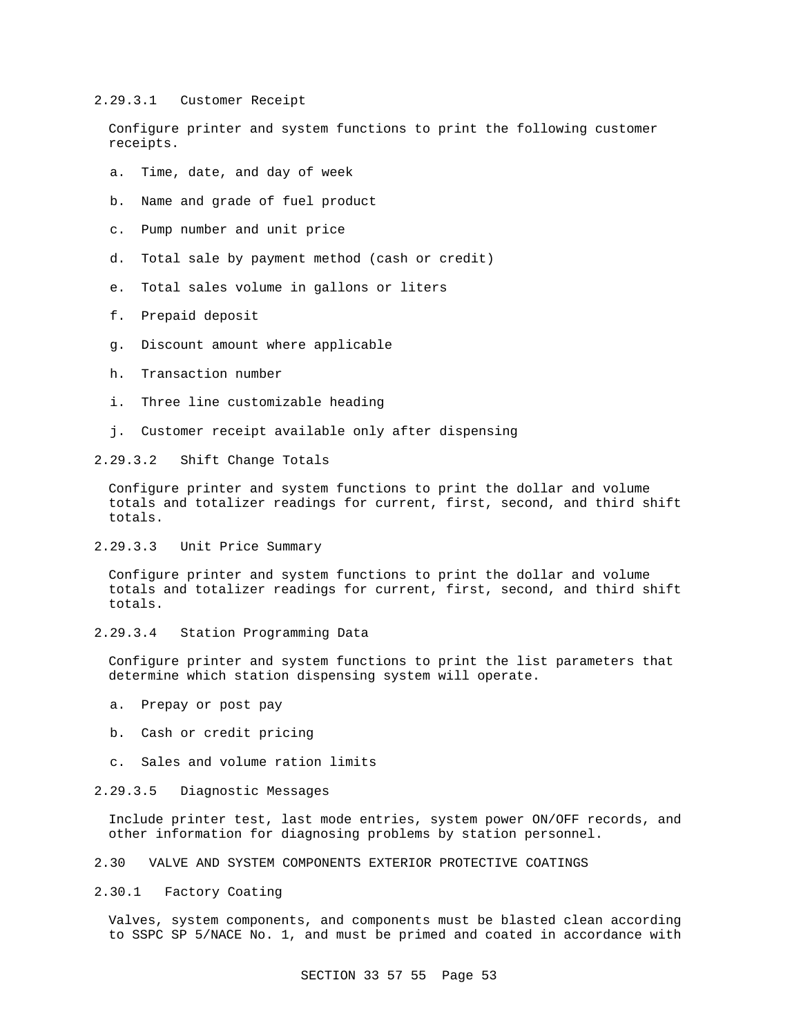#### 2.29.3.1 Customer Receipt

Configure printer and system functions to print the following customer receipts.

- a. Time, date, and day of week
- b. Name and grade of fuel product
- c. Pump number and unit price
- d. Total sale by payment method (cash or credit)
- e. Total sales volume in gallons or liters
- f. Prepaid deposit
- g. Discount amount where applicable
- h. Transaction number
- i. Three line customizable heading
- j. Customer receipt available only after dispensing

2.29.3.2 Shift Change Totals

Configure printer and system functions to print the dollar and volume totals and totalizer readings for current, first, second, and third shift totals.

2.29.3.3 Unit Price Summary

Configure printer and system functions to print the dollar and volume totals and totalizer readings for current, first, second, and third shift totals.

2.29.3.4 Station Programming Data

Configure printer and system functions to print the list parameters that determine which station dispensing system will operate.

- a. Prepay or post pay
- b. Cash or credit pricing
- c. Sales and volume ration limits
- 2.29.3.5 Diagnostic Messages

Include printer test, last mode entries, system power ON/OFF records, and other information for diagnosing problems by station personnel.

- 2.30 VALVE AND SYSTEM COMPONENTS EXTERIOR PROTECTIVE COATINGS
- 2.30.1 Factory Coating

Valves, system components, and components must be blasted clean according to SSPC SP 5/NACE No. 1, and must be primed and coated in accordance with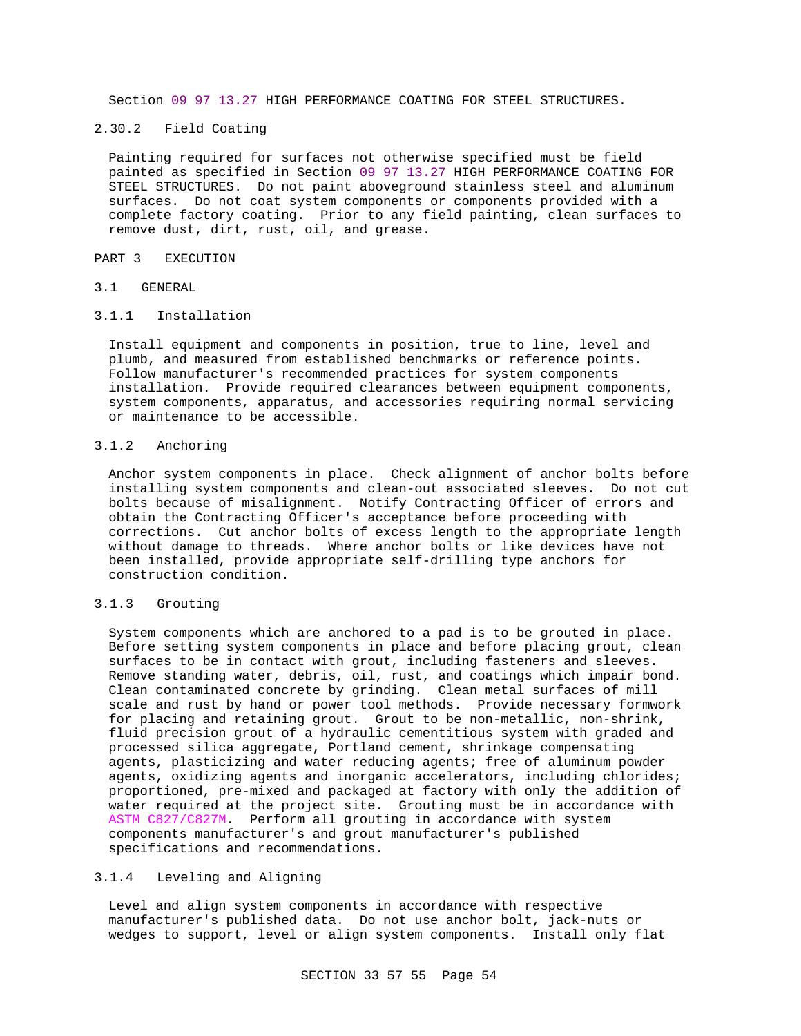Section 09 97 13.27 HIGH PERFORMANCE COATING FOR STEEL STRUCTURES.

# 2.30.2 Field Coating

Painting required for surfaces not otherwise specified must be field painted as specified in Section 09 97 13.27 HIGH PERFORMANCE COATING FOR STEEL STRUCTURES. Do not paint aboveground stainless steel and aluminum surfaces. Do not coat system components or components provided with a complete factory coating. Prior to any field painting, clean surfaces to remove dust, dirt, rust, oil, and grease.

#### PART 3 EXECUTION

#### 3.1 GENERAL

#### 3.1.1 Installation

Install equipment and components in position, true to line, level and plumb, and measured from established benchmarks or reference points. Follow manufacturer's recommended practices for system components installation. Provide required clearances between equipment components, system components, apparatus, and accessories requiring normal servicing or maintenance to be accessible.

#### 3.1.2 Anchoring

Anchor system components in place. Check alignment of anchor bolts before installing system components and clean-out associated sleeves. Do not cut bolts because of misalignment. Notify Contracting Officer of errors and obtain the Contracting Officer's acceptance before proceeding with corrections. Cut anchor bolts of excess length to the appropriate length without damage to threads. Where anchor bolts or like devices have not been installed, provide appropriate self-drilling type anchors for construction condition.

#### 3.1.3 Grouting

System components which are anchored to a pad is to be grouted in place. Before setting system components in place and before placing grout, clean surfaces to be in contact with grout, including fasteners and sleeves. Remove standing water, debris, oil, rust, and coatings which impair bond. Clean contaminated concrete by grinding. Clean metal surfaces of mill scale and rust by hand or power tool methods. Provide necessary formwork for placing and retaining grout. Grout to be non-metallic, non-shrink, fluid precision grout of a hydraulic cementitious system with graded and processed silica aggregate, Portland cement, shrinkage compensating agents, plasticizing and water reducing agents; free of aluminum powder agents, oxidizing agents and inorganic accelerators, including chlorides; proportioned, pre-mixed and packaged at factory with only the addition of water required at the project site. Grouting must be in accordance with ASTM C827/C827M. Perform all grouting in accordance with system components manufacturer's and grout manufacturer's published specifications and recommendations.

### 3.1.4 Leveling and Aligning

Level and align system components in accordance with respective manufacturer's published data. Do not use anchor bolt, jack-nuts or wedges to support, level or align system components. Install only flat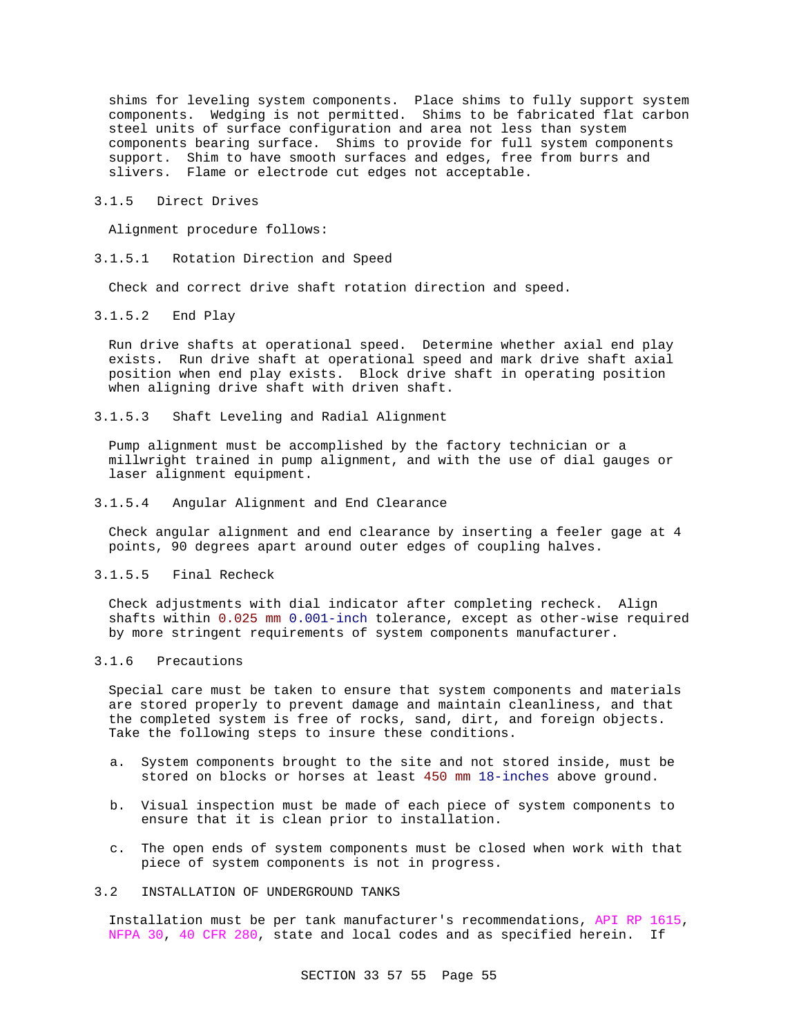shims for leveling system components. Place shims to fully support system components. Wedging is not permitted. Shims to be fabricated flat carbon steel units of surface configuration and area not less than system components bearing surface. Shims to provide for full system components support. Shim to have smooth surfaces and edges, free from burrs and slivers. Flame or electrode cut edges not acceptable.

#### 3.1.5 Direct Drives

Alignment procedure follows:

3.1.5.1 Rotation Direction and Speed

Check and correct drive shaft rotation direction and speed.

3.1.5.2 End Play

Run drive shafts at operational speed. Determine whether axial end play exists. Run drive shaft at operational speed and mark drive shaft axial position when end play exists. Block drive shaft in operating position when aligning drive shaft with driven shaft.

3.1.5.3 Shaft Leveling and Radial Alignment

Pump alignment must be accomplished by the factory technician or a millwright trained in pump alignment, and with the use of dial gauges or laser alignment equipment.

3.1.5.4 Angular Alignment and End Clearance

Check angular alignment and end clearance by inserting a feeler gage at 4 points, 90 degrees apart around outer edges of coupling halves.

# 3.1.5.5 Final Recheck

Check adjustments with dial indicator after completing recheck. Align shafts within 0.025 mm 0.001-inch tolerance, except as other-wise required by more stringent requirements of system components manufacturer.

#### 3.1.6 Precautions

Special care must be taken to ensure that system components and materials are stored properly to prevent damage and maintain cleanliness, and that the completed system is free of rocks, sand, dirt, and foreign objects. Take the following steps to insure these conditions.

- a. System components brought to the site and not stored inside, must be stored on blocks or horses at least 450 mm 18-inches above ground.
- b. Visual inspection must be made of each piece of system components to ensure that it is clean prior to installation.
- c. The open ends of system components must be closed when work with that piece of system components is not in progress.

# 3.2 INSTALLATION OF UNDERGROUND TANKS

Installation must be per tank manufacturer's recommendations, API RP 1615, NFPA 30, 40 CFR 280, state and local codes and as specified herein. If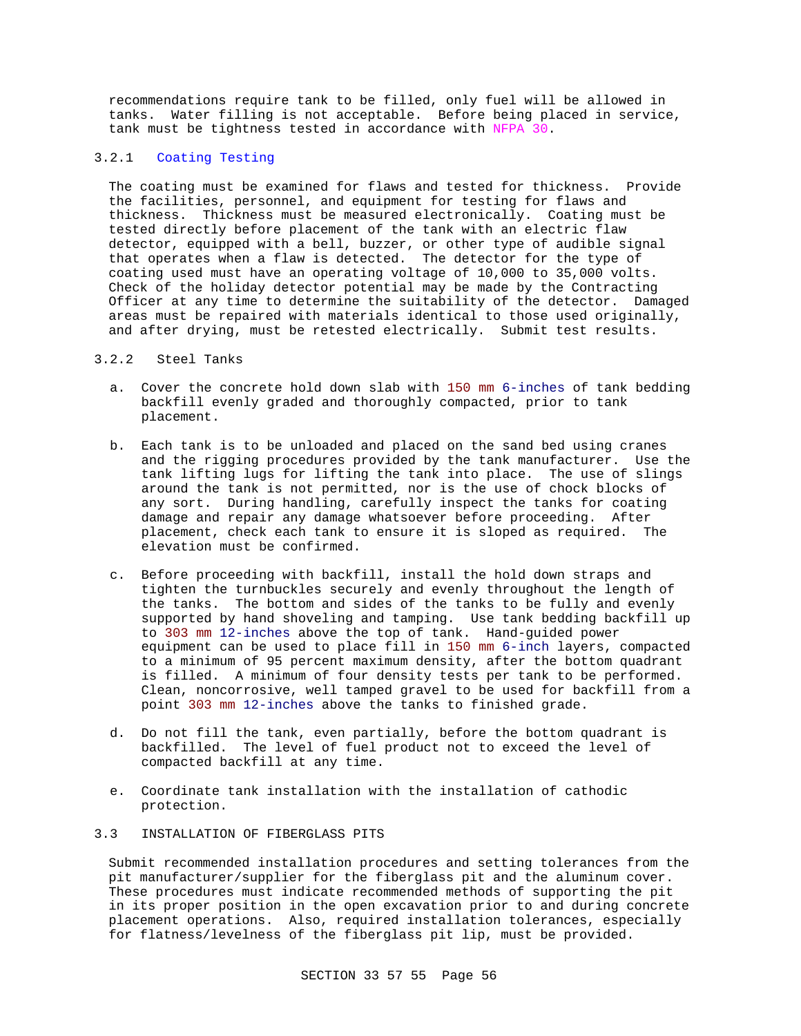recommendations require tank to be filled, only fuel will be allowed in tanks. Water filling is not acceptable. Before being placed in service, tank must be tightness tested in accordance with NFPA 30.

### 3.2.1 Coating Testing

The coating must be examined for flaws and tested for thickness. Provide the facilities, personnel, and equipment for testing for flaws and thickness. Thickness must be measured electronically. Coating must be tested directly before placement of the tank with an electric flaw detector, equipped with a bell, buzzer, or other type of audible signal that operates when a flaw is detected. The detector for the type of coating used must have an operating voltage of 10,000 to 35,000 volts. Check of the holiday detector potential may be made by the Contracting Officer at any time to determine the suitability of the detector. Damaged areas must be repaired with materials identical to those used originally, and after drying, must be retested electrically. Submit test results.

#### 3.2.2 Steel Tanks

- a. Cover the concrete hold down slab with 150 mm 6-inches of tank bedding backfill evenly graded and thoroughly compacted, prior to tank placement.
- b. Each tank is to be unloaded and placed on the sand bed using cranes and the rigging procedures provided by the tank manufacturer. Use the tank lifting lugs for lifting the tank into place. The use of slings around the tank is not permitted, nor is the use of chock blocks of any sort. During handling, carefully inspect the tanks for coating damage and repair any damage whatsoever before proceeding. After placement, check each tank to ensure it is sloped as required. The elevation must be confirmed.
- c. Before proceeding with backfill, install the hold down straps and tighten the turnbuckles securely and evenly throughout the length of the tanks. The bottom and sides of the tanks to be fully and evenly supported by hand shoveling and tamping. Use tank bedding backfill up to 303 mm 12-inches above the top of tank. Hand-guided power equipment can be used to place fill in 150 mm 6-inch layers, compacted to a minimum of 95 percent maximum density, after the bottom quadrant is filled. A minimum of four density tests per tank to be performed. Clean, noncorrosive, well tamped gravel to be used for backfill from a point 303 mm 12-inches above the tanks to finished grade.
- d. Do not fill the tank, even partially, before the bottom quadrant is backfilled. The level of fuel product not to exceed the level of compacted backfill at any time.
- e. Coordinate tank installation with the installation of cathodic protection.

# 3.3 INSTALLATION OF FIBERGLASS PITS

Submit recommended installation procedures and setting tolerances from the pit manufacturer/supplier for the fiberglass pit and the aluminum cover. These procedures must indicate recommended methods of supporting the pit in its proper position in the open excavation prior to and during concrete placement operations. Also, required installation tolerances, especially for flatness/levelness of the fiberglass pit lip, must be provided.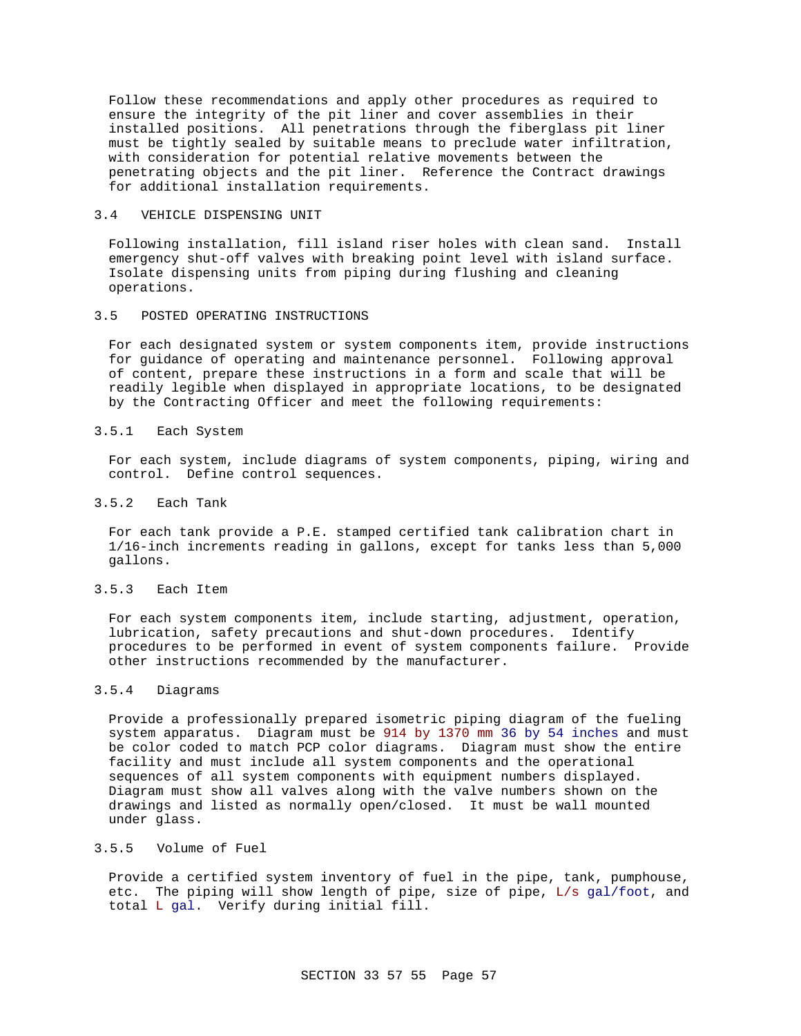Follow these recommendations and apply other procedures as required to ensure the integrity of the pit liner and cover assemblies in their installed positions. All penetrations through the fiberglass pit liner must be tightly sealed by suitable means to preclude water infiltration, with consideration for potential relative movements between the penetrating objects and the pit liner. Reference the Contract drawings for additional installation requirements.

### 3.4 VEHICLE DISPENSING UNIT

Following installation, fill island riser holes with clean sand. Install emergency shut-off valves with breaking point level with island surface. Isolate dispensing units from piping during flushing and cleaning operations.

### 3.5 POSTED OPERATING INSTRUCTIONS

For each designated system or system components item, provide instructions for guidance of operating and maintenance personnel. Following approval of content, prepare these instructions in a form and scale that will be readily legible when displayed in appropriate locations, to be designated by the Contracting Officer and meet the following requirements:

#### 3.5.1 Each System

For each system, include diagrams of system components, piping, wiring and control. Define control sequences.

3.5.2 Each Tank

For each tank provide a P.E. stamped certified tank calibration chart in 1/16-inch increments reading in gallons, except for tanks less than 5,000 gallons.

#### 3.5.3 Each Item

For each system components item, include starting, adjustment, operation, lubrication, safety precautions and shut-down procedures. Identify procedures to be performed in event of system components failure. Provide other instructions recommended by the manufacturer.

#### 3.5.4 Diagrams

Provide a professionally prepared isometric piping diagram of the fueling system apparatus. Diagram must be 914 by 1370 mm 36 by 54 inches and must be color coded to match PCP color diagrams. Diagram must show the entire facility and must include all system components and the operational sequences of all system components with equipment numbers displayed. Diagram must show all valves along with the valve numbers shown on the drawings and listed as normally open/closed. It must be wall mounted under glass.

#### 3.5.5 Volume of Fuel

Provide a certified system inventory of fuel in the pipe, tank, pumphouse, etc. The piping will show length of pipe, size of pipe, L/s gal/foot, and total L gal. Verify during initial fill.